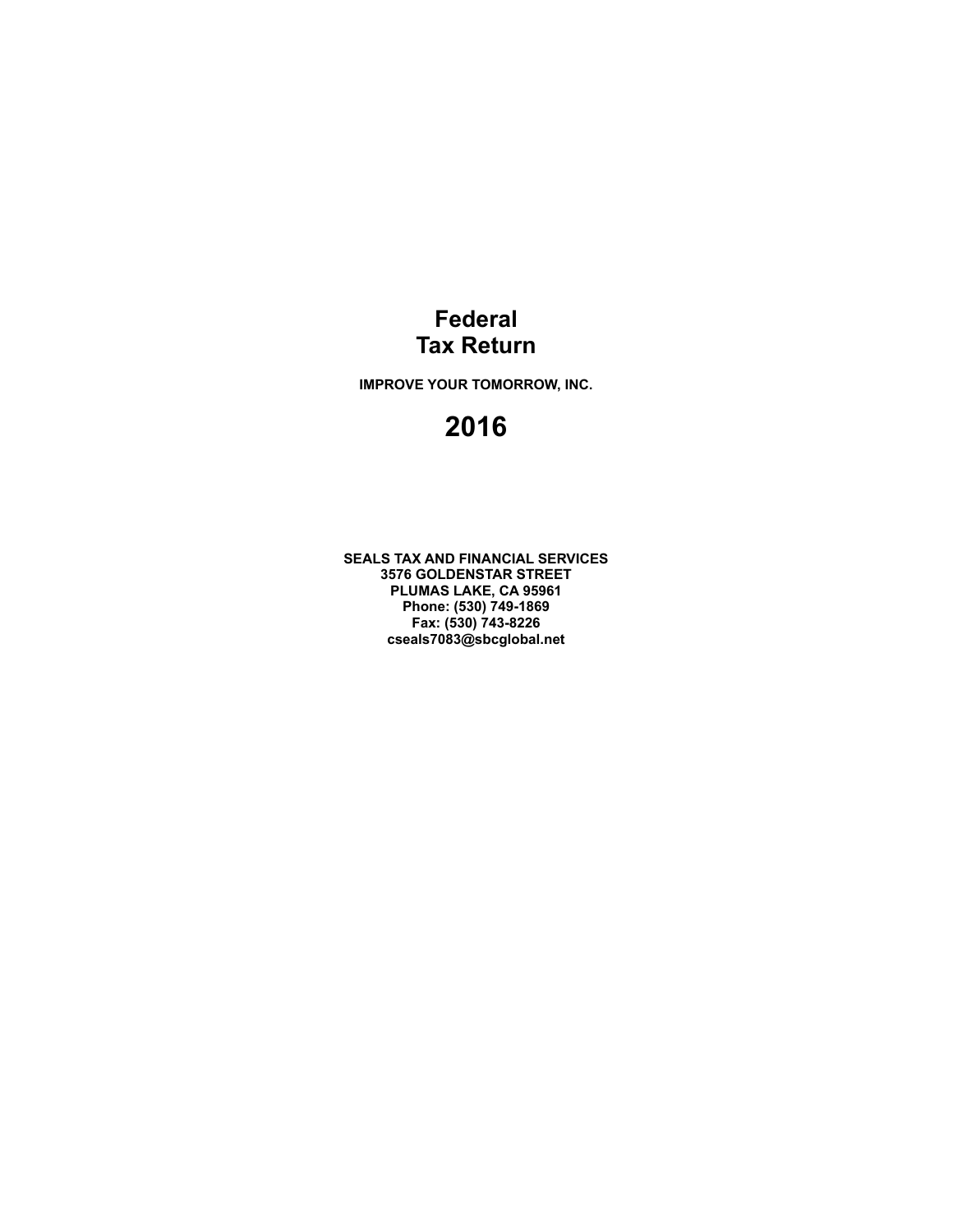# **Federal Tax Return**

**IMPROVE YOUR TOMORROW, INC.**

# **2016**

**SEALS TAX AND FINANCIAL SERVICES 3576 GOLDENSTAR STREET PLUMAS LAKE, CA 95961 Phone: (530) 749-1869 Fax: (530) 743-8226 cseals7083@sbcglobal.net**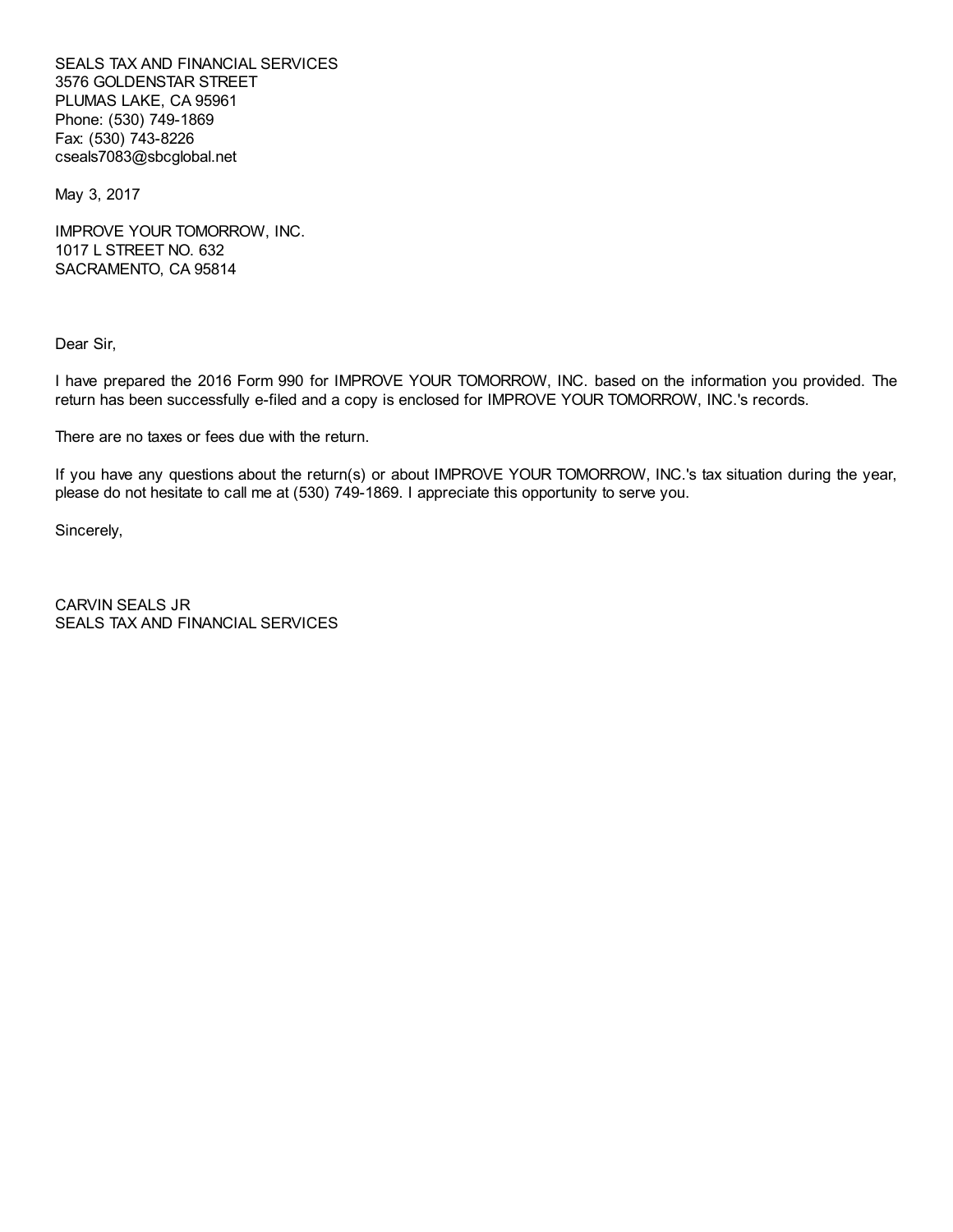SEALS TAX AND FINANCIAL SERVICES 3576 GOLDENSTAR STREET PLUMAS LAKE, CA 95961 Phone: (530) 749-1869 Fax: (530) 743-8226 cseals7083@sbcglobal.net

May 3, 2017

IMPROVE YOUR TOMORROW, INC. 1017 L STREET NO. 632 SACRAMENTO, CA 95814

Dear Sir,

I have prepared the 2016 Form 990 for IMPROVE YOUR TOMORROW, INC. based on the information you provided. The return has been successfully e-filed and a copy is enclosed for IMPROVE YOUR TOMORROW, INC.'s records.

There are no taxes or fees due with the return.

If you have any questions about the return(s) or about IMPROVE YOUR TOMORROW, INC.'s tax situation during the year, please do not hesitate to call me at (530) 749-1869. I appreciate this opportunity to serve you.

Sincerely,

CARVIN SEALS JR SEALS TAX AND FINANCIAL SERVICES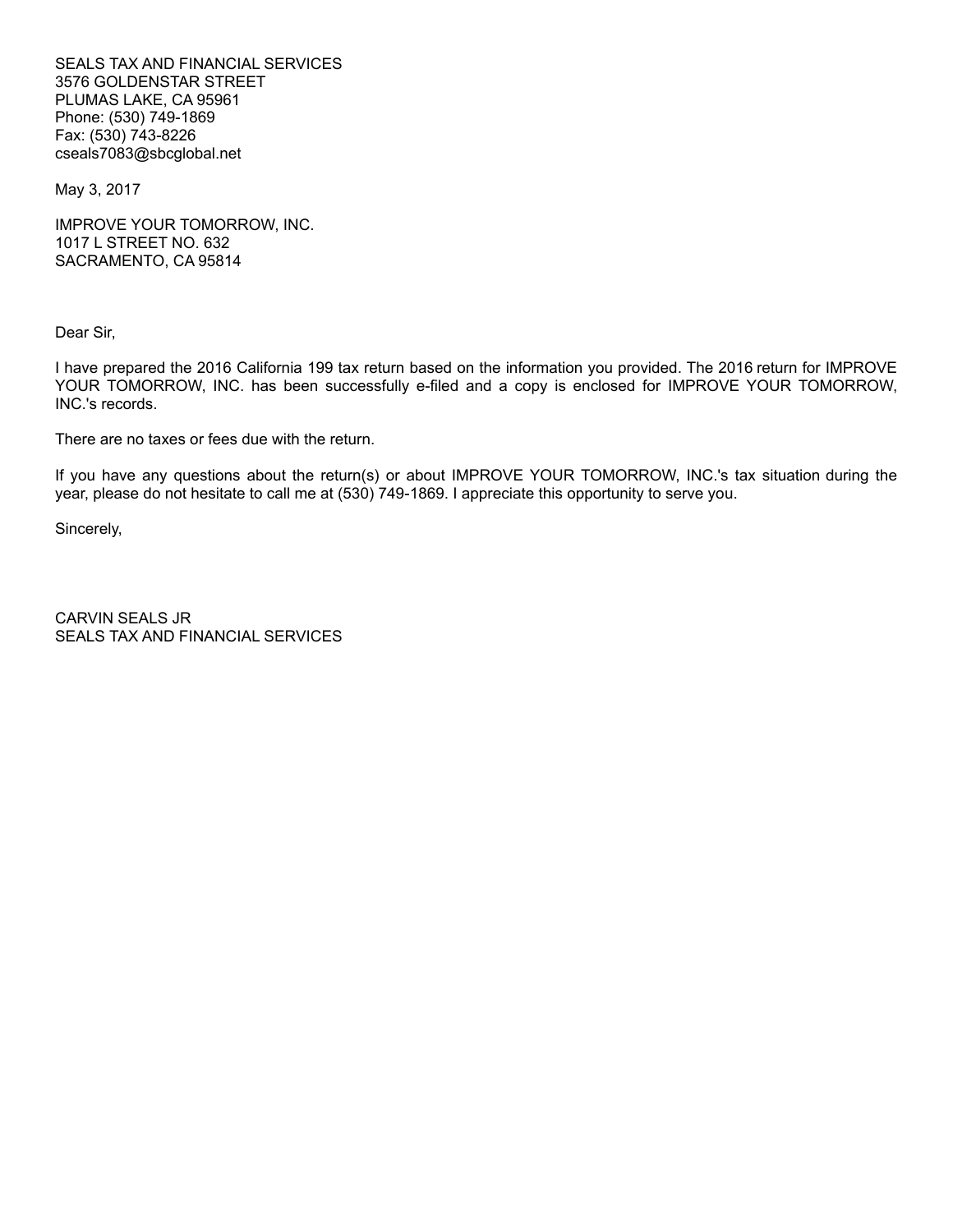SEALS TAX AND FINANCIAL SERVICES 3576 GOLDENSTAR STREET PLUMAS LAKE, CA 95961 Phone: (530) 749-1869 Fax: (530) 743-8226 cseals7083@sbcglobal.net

May 3, 2017

IMPROVE YOUR TOMORROW, INC. 1017 L STREET NO. 632 SACRAMENTO, CA 95814

Dear Sir,

I have prepared the 2016 California 199 tax return based on the information you provided. The 2016 return for IMPROVE YOUR TOMORROW, INC. has been successfully e-filed and a copy is enclosed for IMPROVE YOUR TOMORROW, INC.'s records.

There are no taxes or fees due with the return.

If you have any questions about the return(s) or about IMPROVE YOUR TOMORROW, INC.'s tax situation during the year, please do not hesitate to call me at (530) 749-1869. I appreciate this opportunity to serve you.

Sincerely,

CARVIN SEALS JR SEALS TAX AND FINANCIAL SERVICES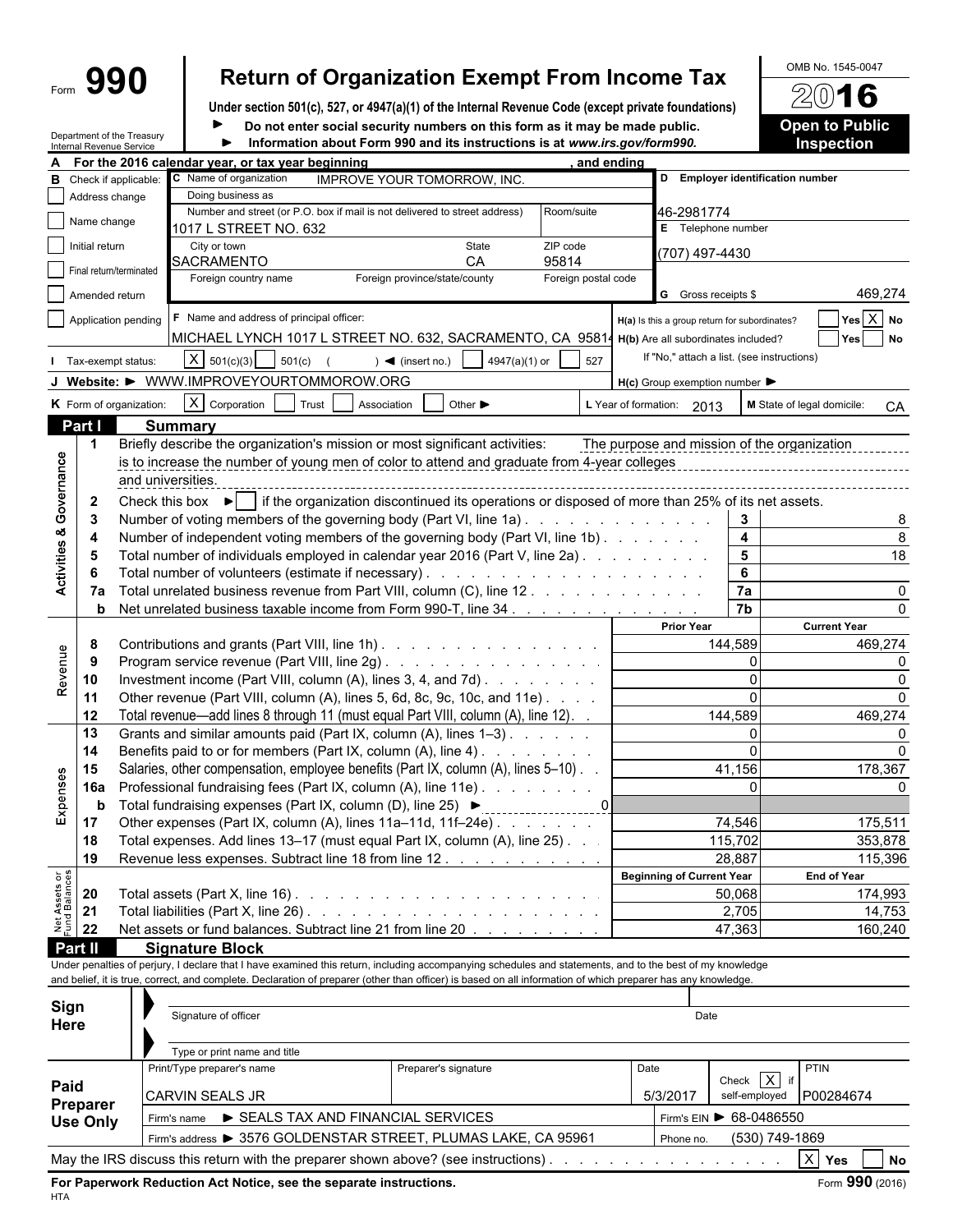# Form **990 Return of Organization Exempt From Income Tax**  $\frac{60\text{dB No. }1545-0047}{20}$

**Under section 501(c), 527, or 4947(a)(1) of the Internal Revenue Code (except private foundations)**

Department of the Treasury Internal Revenue Service

Do not enter social security numbers on this form as it may be made public. **Open to Public** ▶ **Information about Form 990 and its instructions is at** *www.irs.gov/form990.* **Inspection**

| А                       |                                                 |                                               | For the 2016 calendar year, or tax year beginning |                                                                                                                                                              |                             | and ending          |                                                     |                                            |                               |  |
|-------------------------|-------------------------------------------------|-----------------------------------------------|---------------------------------------------------|--------------------------------------------------------------------------------------------------------------------------------------------------------------|-----------------------------|---------------------|-----------------------------------------------------|--------------------------------------------|-------------------------------|--|
| в                       |                                                 | Check if applicable:                          | C Name of organization                            | <b>IMPROVE YOUR TOMORROW, INC.</b>                                                                                                                           |                             |                     |                                                     | D Employer identification number           |                               |  |
|                         |                                                 | Address change                                | Doing business as                                 |                                                                                                                                                              |                             |                     |                                                     |                                            |                               |  |
|                         | Name change                                     |                                               |                                                   | Number and street (or P.O. box if mail is not delivered to street address)                                                                                   |                             | Room/suite          | 46-2981774                                          |                                            |                               |  |
|                         |                                                 |                                               | 1017 L STREET NO. 632                             |                                                                                                                                                              |                             |                     |                                                     | E Telephone number                         |                               |  |
|                         | Initial return                                  |                                               | City or town<br>SACRAMENTO                        |                                                                                                                                                              | State<br>CA                 | ZIP code<br>95814   | (707) 497-4430                                      |                                            |                               |  |
|                         |                                                 | Final return/terminated                       | Foreign country name                              | Foreign province/state/county                                                                                                                                |                             | Foreign postal code |                                                     |                                            |                               |  |
|                         |                                                 | Amended return                                |                                                   |                                                                                                                                                              |                             |                     |                                                     | <b>G</b> Gross receipts \$                 | 469,274                       |  |
|                         |                                                 |                                               |                                                   |                                                                                                                                                              |                             |                     |                                                     |                                            |                               |  |
|                         |                                                 | Application pending                           | F Name and address of principal officer:          |                                                                                                                                                              |                             |                     | H(a) Is this a group return for subordinates?       |                                            | $Yes$ X No                    |  |
|                         |                                                 |                                               |                                                   | MICHAEL LYNCH 1017 L STREET NO. 632, SACRAMENTO, CA 95814 H(b) Are all subordinates included?                                                                |                             |                     |                                                     |                                            | Yes No                        |  |
|                         |                                                 | Tax-exempt status:                            | $X \mid 501(c)(3)$                                | $501(c)$ (<br>$\triangleleft$ (insert no.)                                                                                                                   | 4947(a)(1) or               | 527                 |                                                     | If "No," attach a list. (see instructions) |                               |  |
|                         |                                                 |                                               | J Website: > WWW.IMPROVEYOURTOMMOROW.ORG          |                                                                                                                                                              |                             |                     | $H(c)$ Group exemption number $\blacktriangleright$ |                                            |                               |  |
|                         |                                                 | K Form of organization:                       | X Corporation                                     | Trust<br>Association                                                                                                                                         | Other $\blacktriangleright$ |                     | L Year of formation: 2013                           |                                            | M State of legal domicile:    |  |
|                         |                                                 |                                               |                                                   |                                                                                                                                                              |                             |                     |                                                     |                                            | CA                            |  |
|                         | Part I                                          |                                               | <b>Summary</b>                                    |                                                                                                                                                              |                             |                     |                                                     |                                            |                               |  |
|                         | $\overline{1}$                                  |                                               |                                                   | Briefly describe the organization's mission or most significant activities:                                                                                  |                             |                     | The purpose and mission of the organization         |                                            |                               |  |
|                         |                                                 |                                               |                                                   | is to increase the number of young men of color to attend and graduate from 4-year colleges                                                                  |                             |                     |                                                     |                                            |                               |  |
|                         |                                                 | and universities.                             |                                                   |                                                                                                                                                              |                             |                     |                                                     |                                            |                               |  |
|                         | $\mathbf{2}$                                    |                                               |                                                   | Check this box $\blacktriangleright$   if the organization discontinued its operations or disposed of more than 25% of its net assets.                       |                             |                     |                                                     |                                            |                               |  |
|                         | -3                                              |                                               |                                                   | Number of voting members of the governing body (Part VI, line 1a)                                                                                            |                             |                     |                                                     | $3\phantom{a}$                             |                               |  |
|                         | $\overline{4}$                                  |                                               |                                                   | Number of independent voting members of the governing body (Part VI, line 1b)                                                                                |                             |                     |                                                     | $\overline{\mathbf{4}}$                    | 8                             |  |
| Activities & Governance | 5                                               |                                               |                                                   | Total number of individuals employed in calendar year 2016 (Part V, line 2a).                                                                                |                             |                     |                                                     | $\overline{5}$                             | 18                            |  |
|                         | -6                                              |                                               |                                                   |                                                                                                                                                              |                             |                     |                                                     | 6                                          |                               |  |
|                         | 7a                                              |                                               |                                                   | Total unrelated business revenue from Part VIII, column (C), line 12                                                                                         |                             |                     |                                                     | 7a<br>$\overline{7b}$                      |                               |  |
|                         | b                                               |                                               |                                                   | Net unrelated business taxable income from Form 990-T, line 34                                                                                               |                             |                     | <b>Prior Year</b>                                   |                                            | <b>Current Year</b>           |  |
|                         |                                                 | Contributions and grants (Part VIII, line 1h) |                                                   |                                                                                                                                                              |                             |                     |                                                     | 144,589                                    | 469,274                       |  |
| Revenue                 | 8                                               |                                               |                                                   |                                                                                                                                                              |                             |                     |                                                     |                                            |                               |  |
|                         | 9                                               |                                               |                                                   | Program service revenue (Part VIII, line 2g)                                                                                                                 |                             |                     |                                                     | $\overline{0}$<br>$\Omega$                 |                               |  |
|                         | 10                                              |                                               |                                                   | Investment income (Part VIII, column (A), lines 3, 4, and 7d)                                                                                                |                             |                     |                                                     | $\Omega$                                   |                               |  |
|                         | 11<br>12                                        |                                               |                                                   | Other revenue (Part VIII, column (A), lines 5, 6d, 8c, 9c, 10c, and 11e)                                                                                     |                             |                     |                                                     | 144,589                                    |                               |  |
|                         |                                                 |                                               |                                                   | Total revenue—add lines 8 through 11 (must equal Part VIII, column (A), line 12).                                                                            |                             |                     |                                                     | $\mathbf{0}$                               | 469,274                       |  |
|                         | 13                                              |                                               |                                                   | Grants and similar amounts paid (Part IX, column (A), lines 1-3)                                                                                             |                             |                     |                                                     |                                            |                               |  |
|                         | 14                                              |                                               |                                                   | Benefits paid to or for members (Part IX, column (A), line 4)                                                                                                |                             |                     |                                                     | $\Omega$                                   |                               |  |
|                         | 15                                              |                                               |                                                   | Salaries, other compensation, employee benefits (Part IX, column (A), lines 5-10).                                                                           |                             |                     |                                                     | 41,156<br>$\Omega$                         | 178,367                       |  |
|                         | 16a                                             |                                               |                                                   | Professional fundraising fees (Part IX, column (A), line 11e)                                                                                                |                             |                     |                                                     |                                            |                               |  |
| Expenses                | b                                               |                                               |                                                   | Total fundraising expenses (Part IX, column (D), line 25) ▶                                                                                                  |                             |                     |                                                     |                                            |                               |  |
|                         | 17                                              |                                               |                                                   | Other expenses (Part IX, column (A), lines 11a-11d, 11f-24e)                                                                                                 |                             |                     |                                                     | 74,546                                     | 175,511                       |  |
|                         | 18                                              |                                               |                                                   | Total expenses. Add lines 13-17 (must equal Part IX, column (A), line 25)                                                                                    |                             |                     |                                                     | 115,702                                    | 353,878                       |  |
|                         | 19                                              |                                               |                                                   | Revenue less expenses. Subtract line 18 from line 12                                                                                                         |                             |                     | <b>Beginning of Current Year</b>                    | 28,887                                     | 115,396<br><b>End of Year</b> |  |
|                         |                                                 |                                               |                                                   |                                                                                                                                                              |                             |                     |                                                     | 50,068                                     | 174,993                       |  |
|                         |                                                 |                                               |                                                   |                                                                                                                                                              |                             |                     |                                                     | 2,705                                      | 14,753                        |  |
|                         | Net Assets or<br>Fund Balances<br>Fund 22<br>22 |                                               |                                                   | Net assets or fund balances. Subtract line 21 from line 20                                                                                                   |                             |                     |                                                     | 47,363                                     | 160,240                       |  |
|                         | Part II                                         |                                               | <b>Signature Block</b>                            |                                                                                                                                                              |                             |                     |                                                     |                                            |                               |  |
|                         |                                                 |                                               |                                                   | Under penalties of perjury, I declare that I have examined this return, including accompanying schedules and statements, and to the best of my knowledge     |                             |                     |                                                     |                                            |                               |  |
|                         |                                                 |                                               |                                                   | and belief, it is true, correct, and complete. Declaration of preparer (other than officer) is based on all information of which preparer has any knowledge. |                             |                     |                                                     |                                            |                               |  |
|                         |                                                 |                                               |                                                   |                                                                                                                                                              |                             |                     |                                                     |                                            |                               |  |
|                         | Sign                                            |                                               | Signature of officer                              |                                                                                                                                                              |                             |                     | Date                                                |                                            |                               |  |
|                         | Here                                            |                                               |                                                   |                                                                                                                                                              |                             |                     |                                                     |                                            |                               |  |
|                         |                                                 |                                               | Type or print name and title                      |                                                                                                                                                              |                             |                     |                                                     |                                            |                               |  |
|                         |                                                 |                                               | Print/Type preparer's name                        |                                                                                                                                                              | Preparer's signature        |                     | Date                                                |                                            | PTIN                          |  |
| Paid                    |                                                 |                                               |                                                   |                                                                                                                                                              |                             |                     |                                                     | Check $\overline{X}$ if                    |                               |  |
|                         | <b>Preparer</b>                                 |                                               | CARVIN SEALS JR                                   |                                                                                                                                                              |                             |                     | 5/3/2017                                            | self-employed                              | P00284674                     |  |
|                         | <b>Use Only</b>                                 |                                               |                                                   | Firm's name $\blacktriangleright$ SEALS TAX AND FINANCIAL SERVICES                                                                                           |                             |                     |                                                     | Firm's EIN ▶ 68-0486550                    |                               |  |
|                         |                                                 |                                               |                                                   | Firm's address > 3576 GOLDENSTAR STREET, PLUMAS LAKE, CA 95961                                                                                               |                             |                     | Phone no.                                           | (530) 749-1869                             |                               |  |
|                         |                                                 |                                               |                                                   | May the IRS discuss this return with the preparer shown above? (see instructions).                                                                           |                             |                     |                                                     |                                            | $ X $ Yes<br>  No             |  |
|                         |                                                 |                                               |                                                   |                                                                                                                                                              |                             |                     |                                                     |                                            |                               |  |

**For Paperwork Reduction Act Notice, see the separate instructions.** The setting of the setting of  $P_{\text{sum}}$  (2016) (2016) HTA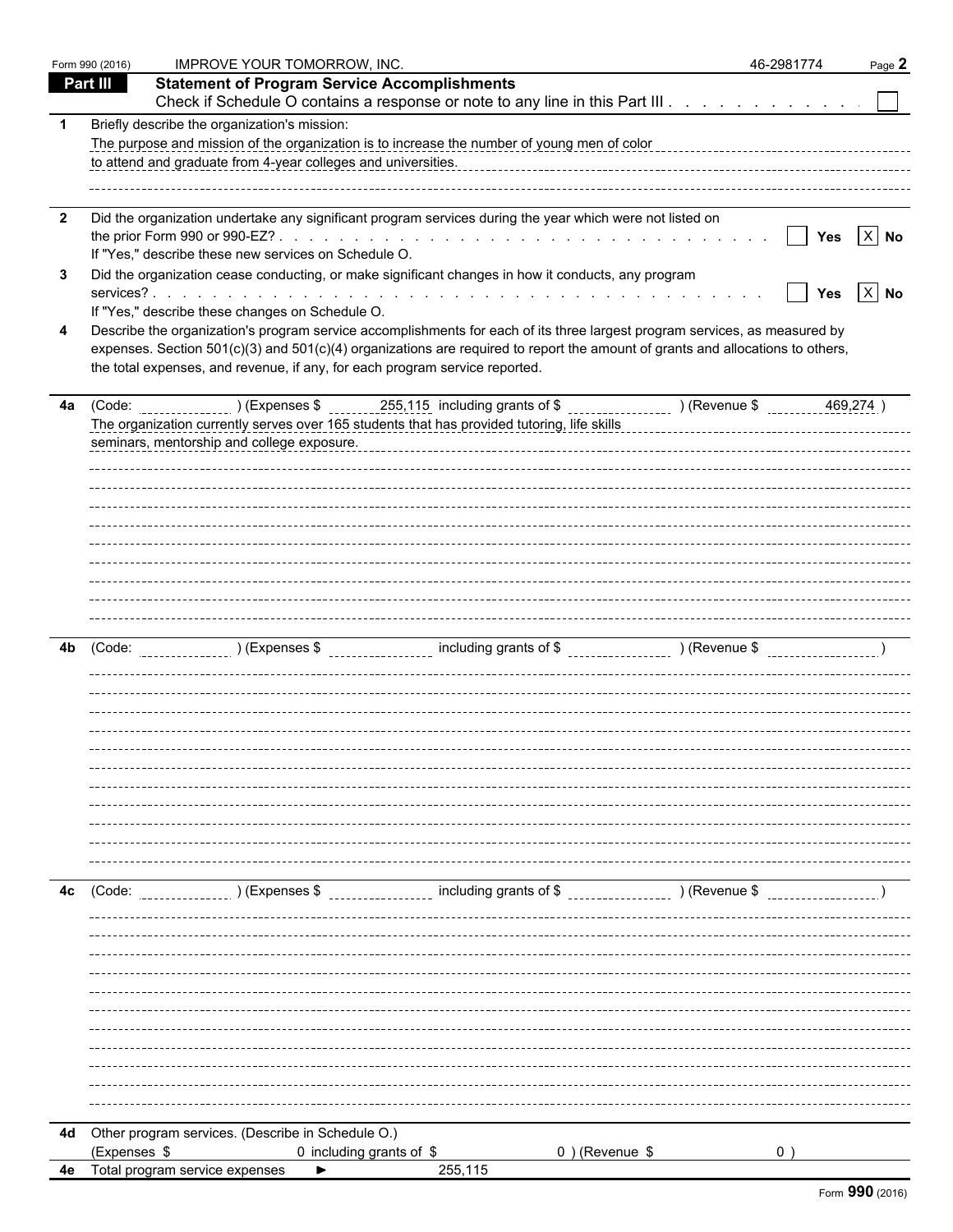|              | Form 990 (2016) | IMPROVE YOUR TOMORROW, INC.                                                                                                                                                                                                                                                                                                                 | 46-2981774 | Page $2$ |
|--------------|-----------------|---------------------------------------------------------------------------------------------------------------------------------------------------------------------------------------------------------------------------------------------------------------------------------------------------------------------------------------------|------------|----------|
|              | Part III        | <b>Statement of Program Service Accomplishments</b>                                                                                                                                                                                                                                                                                         |            |          |
|              |                 | Check if Schedule O contains a response or note to any line in this Part III.                                                                                                                                                                                                                                                               |            |          |
|              |                 | Briefly describe the organization's mission:<br>The purpose and mission of the organization is to increase the number of young men of color<br>to attend and graduate from 4-year colleges and universities.                                                                                                                                |            |          |
| $\mathbf{2}$ |                 | Did the organization undertake any significant program services during the year which were not listed on<br>If "Yes," describe these new services on Schedule O.                                                                                                                                                                            | Yes        | $X$ No   |
| 3            |                 | Did the organization cease conducting, or make significant changes in how it conducts, any program<br>If "Yes," describe these changes on Schedule O.                                                                                                                                                                                       | Yes        | $X$ No   |
|              |                 | Describe the organization's program service accomplishments for each of its three largest program services, as measured by<br>expenses. Section 501(c)(3) and 501(c)(4) organizations are required to report the amount of grants and allocations to others,<br>the total expenses, and revenue, if any, for each program service reported. |            |          |
|              |                 | 4a (Code: ________________) (Expenses \$ ________255,115 including grants of \$ ____________________) (Revenue \$<br>The organization currently serves over 165 students that has provided tutoring, life skills<br>seminars, mentorship and college exposure.                                                                              |            | 469,274) |
|              |                 |                                                                                                                                                                                                                                                                                                                                             |            |          |
|              |                 |                                                                                                                                                                                                                                                                                                                                             |            |          |
| 4b           |                 |                                                                                                                                                                                                                                                                                                                                             |            |          |
|              |                 |                                                                                                                                                                                                                                                                                                                                             |            |          |
|              |                 |                                                                                                                                                                                                                                                                                                                                             |            |          |
|              |                 |                                                                                                                                                                                                                                                                                                                                             |            |          |
| 4c           | (Code:          | Local Lines of Sciences (Coverage Sepanner Science Sepanner Sepanner Sepanner Sepanner Sepanner Sepanner Sepanner S                                                                                                                                                                                                                         |            |          |
|              |                 |                                                                                                                                                                                                                                                                                                                                             |            |          |
|              |                 |                                                                                                                                                                                                                                                                                                                                             |            |          |
|              |                 |                                                                                                                                                                                                                                                                                                                                             |            |          |
|              |                 |                                                                                                                                                                                                                                                                                                                                             |            |          |
|              |                 | 4d Other program services. (Describe in Schedule O.)                                                                                                                                                                                                                                                                                        |            |          |
|              | (Expenses \$    | 0 including grants of \$<br>0) (Revenue \$                                                                                                                                                                                                                                                                                                  | $0$ )      |          |
|              |                 | 4e Total program service expenses<br>255,115                                                                                                                                                                                                                                                                                                |            |          |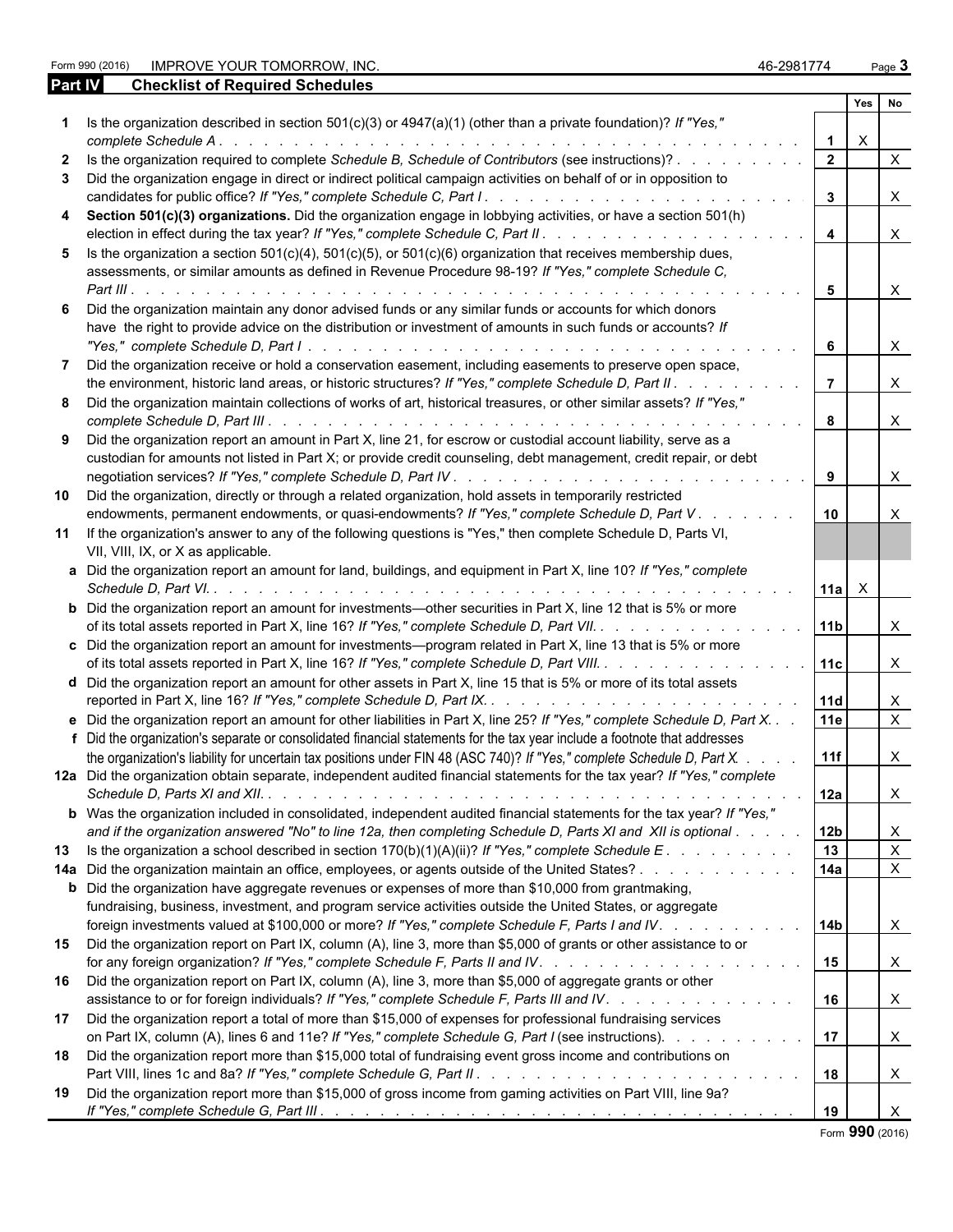Form 990 (2016) IMPROVE YOUR TOMORROW, INC. 46-2981774 Page **3**

| Part IV | <b>Checklist of Required Schedules</b>                                                                                                                                                                                                                                                                                                                                               |                 |          |              |  |
|---------|--------------------------------------------------------------------------------------------------------------------------------------------------------------------------------------------------------------------------------------------------------------------------------------------------------------------------------------------------------------------------------------|-----------------|----------|--------------|--|
|         |                                                                                                                                                                                                                                                                                                                                                                                      |                 | Yes      | No           |  |
|         | 1 Is the organization described in section 501(c)(3) or 4947(a)(1) (other than a private foundation)? If "Yes,"<br>complete Schedule A.<br>and a construction of the construction of the construction of the construction of the construction of the construction of the construction of the construction of the construction of the construction of the construction of             |                 | $\times$ |              |  |
|         | Is the organization required to complete Schedule B, Schedule of Contributors (see instructions)?                                                                                                                                                                                                                                                                                    | $\overline{2}$  |          | $\mathsf{X}$ |  |
|         | Did the organization engage in direct or indirect political campaign activities on behalf of or in opposition to                                                                                                                                                                                                                                                                     |                 |          |              |  |
|         |                                                                                                                                                                                                                                                                                                                                                                                      | $\mathbf{3}$    |          | X            |  |
|         | 4 Section 501(c)(3) organizations. Did the organization engage in lobbying activities, or have a section 501(h)                                                                                                                                                                                                                                                                      | $\overline{4}$  |          | $\mathsf{X}$ |  |
|         | 5 Is the organization a section 501(c)(4), 501(c)(5), or 501(c)(6) organization that receives membership dues,<br>assessments, or similar amounts as defined in Revenue Procedure 98-19? If "Yes," complete Schedule C,<br><i>Part III</i>                                                                                                                                           | 5               |          | $\mathsf{X}$ |  |
|         | Did the organization maintain any donor advised funds or any similar funds or accounts for which donors                                                                                                                                                                                                                                                                              |                 |          |              |  |
|         | have the right to provide advice on the distribution or investment of amounts in such funds or accounts? If<br>"Yes," complete Schedule D, Part I.<br>the contract of the contract of the contract of the contract of the contract of the contract of the contract of the contract of the contract of the contract of the contract of the contract of the contract of the contract o | 6               |          | $\mathsf{X}$ |  |
|         | Did the organization receive or hold a conservation easement, including easements to preserve open space,<br>the environment, historic land areas, or historic structures? If "Yes," complete Schedule D, Part II.                                                                                                                                                                   |                 |          | $\times$     |  |
|         | 8 Did the organization maintain collections of works of art, historical treasures, or other similar assets? If "Yes,"                                                                                                                                                                                                                                                                |                 |          |              |  |
|         | Did the organization report an amount in Part X, line 21, for escrow or custodial account liability, serve as a                                                                                                                                                                                                                                                                      | 8               |          | $\mathsf{X}$ |  |
|         | custodian for amounts not listed in Part X; or provide credit counseling, debt management, credit repair, or debt                                                                                                                                                                                                                                                                    | 9               |          | $\mathsf{X}$ |  |
|         | 10 Did the organization, directly or through a related organization, hold assets in temporarily restricted                                                                                                                                                                                                                                                                           |                 |          |              |  |
|         | endowments, permanent endowments, or quasi-endowments? If "Yes," complete Schedule D, Part V.                                                                                                                                                                                                                                                                                        | 10              |          | X            |  |
|         | 11 If the organization's answer to any of the following questions is "Yes," then complete Schedule D, Parts VI,<br>VII, VIII, IX, or X as applicable.                                                                                                                                                                                                                                |                 |          |              |  |
|         | a Did the organization report an amount for land, buildings, and equipment in Part X, line 10? If "Yes," complete                                                                                                                                                                                                                                                                    | 11al $X$        |          |              |  |
|         | <b>b</b> Did the organization report an amount for investments—other securities in Part X, line 12 that is 5% or more<br>of its total assets reported in Part X, line 16? If "Yes," complete Schedule D, Part VII.                                                                                                                                                                   | 11 <sub>b</sub> |          | X            |  |
|         | c Did the organization report an amount for investments—program related in Part X, line 13 that is 5% or more<br>of its total assets reported in Part X, line 16? If "Yes," complete Schedule D, Part VIII.                                                                                                                                                                          | 11c             |          | $\mathsf{X}$ |  |
|         | d Did the organization report an amount for other assets in Part X, line 15 that is 5% or more of its total assets                                                                                                                                                                                                                                                                   | <b>11d</b>      |          | X            |  |
|         | e Did the organization report an amount for other liabilities in Part X, line 25? If "Yes," complete Schedule D, Part X.                                                                                                                                                                                                                                                             | <b>11e</b>      |          | $\mathsf{X}$ |  |
|         | f Did the organization's separate or consolidated financial statements for the tax year include a footnote that addresses<br>the organization's liability for uncertain tax positions under FIN 48 (ASC 740)? If "Yes," complete Schedule D, Part X.                                                                                                                                 | 11f             |          | X            |  |
|         | 12a Did the organization obtain separate, independent audited financial statements for the tax year? If "Yes," complete                                                                                                                                                                                                                                                              |                 |          |              |  |
|         |                                                                                                                                                                                                                                                                                                                                                                                      | 12a             |          | $\mathsf{X}$ |  |
|         | <b>b</b> Was the organization included in consolidated, independent audited financial statements for the tax year? If "Yes,"                                                                                                                                                                                                                                                         |                 |          |              |  |
|         | and if the organization answered "No" to line 12a, then completing Schedule D, Parts XI and XII is optional                                                                                                                                                                                                                                                                          | 12b             |          | X            |  |
|         | 13 Is the organization a school described in section 170(b)(1)(A)(ii)? If "Yes," complete Schedule E.                                                                                                                                                                                                                                                                                | 13              |          | $\mathsf{X}$ |  |
|         | 14a Did the organization maintain an office, employees, or agents outside of the United States?                                                                                                                                                                                                                                                                                      | 14a             |          | $\mathsf{X}$ |  |
|         | <b>b</b> Did the organization have aggregate revenues or expenses of more than \$10,000 from grantmaking,<br>fundraising, business, investment, and program service activities outside the United States, or aggregate                                                                                                                                                               |                 |          |              |  |
|         | foreign investments valued at \$100,000 or more? If "Yes," complete Schedule F, Parts I and IV.                                                                                                                                                                                                                                                                                      | 14b             |          | $\mathsf{X}$ |  |
|         | 15 Did the organization report on Part IX, column (A), line 3, more than \$5,000 of grants or other assistance to or                                                                                                                                                                                                                                                                 |                 |          |              |  |
|         |                                                                                                                                                                                                                                                                                                                                                                                      | 15              |          | $\mathsf{X}$ |  |
|         | 16 Did the organization report on Part IX, column (A), line 3, more than \$5,000 of aggregate grants or other<br>assistance to or for foreign individuals? If "Yes," complete Schedule F, Parts III and IV.                                                                                                                                                                          | 16              |          | $\mathsf{X}$ |  |
| 17      | Did the organization report a total of more than \$15,000 of expenses for professional fundraising services<br>on Part IX, column (A), lines 6 and 11e? If "Yes," complete Schedule G, Part I (see instructions).                                                                                                                                                                    | 17              |          | $\mathsf{X}$ |  |
|         | 18 Did the organization report more than \$15,000 total of fundraising event gross income and contributions on                                                                                                                                                                                                                                                                       | 18              |          | $\mathsf{X}$ |  |
| 19      | Did the organization report more than \$15,000 of gross income from gaming activities on Part VIII, line 9a?                                                                                                                                                                                                                                                                         | 19              |          | $\mathsf{X}$ |  |

Form **990** (2016)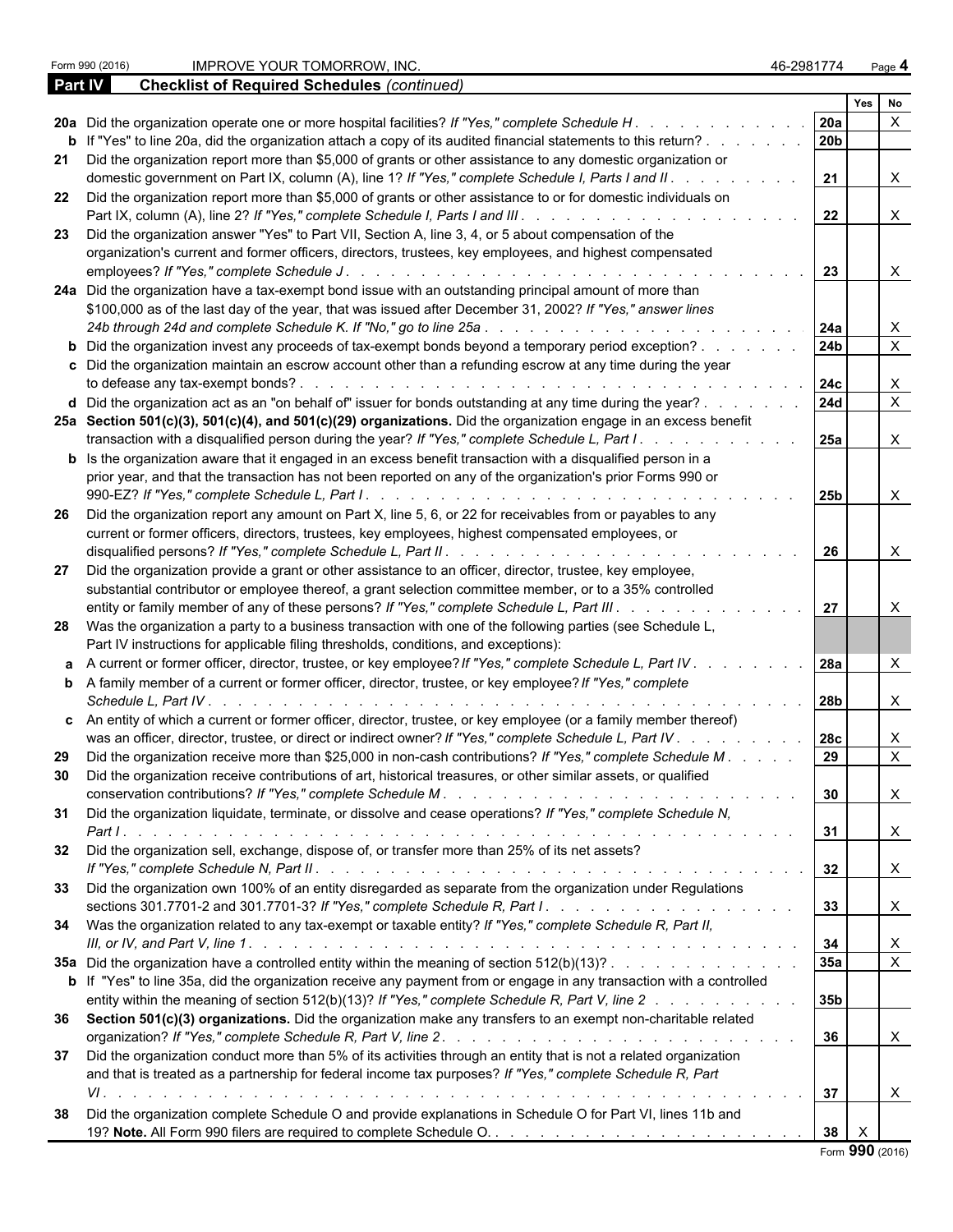| Part IV | <b>Checklist of Required Schedules (continued)</b>                                                                                                                                                  |                 |              |              |  |
|---------|-----------------------------------------------------------------------------------------------------------------------------------------------------------------------------------------------------|-----------------|--------------|--------------|--|
|         |                                                                                                                                                                                                     |                 | Yes          |              |  |
|         | 20a Did the organization operate one or more hospital facilities? If "Yes," complete Schedule H.<br>.                                                                                               | 20a             |              | $\times$     |  |
|         | <b>b</b> If "Yes" to line 20a, did the organization attach a copy of its audited financial statements to this return?                                                                               | 20 <sub>b</sub> |              |              |  |
|         | 21 Did the organization report more than \$5,000 of grants or other assistance to any domestic organization or                                                                                      |                 |              |              |  |
|         | domestic government on Part IX, column (A), line 1? If "Yes," complete Schedule I, Parts I and II.                                                                                                  | 21              |              | X            |  |
|         | 22 Did the organization report more than \$5,000 of grants or other assistance to or for domestic individuals on                                                                                    |                 |              |              |  |
|         |                                                                                                                                                                                                     | 22              |              | $\times$     |  |
| 23      | Did the organization answer "Yes" to Part VII, Section A, line 3, 4, or 5 about compensation of the                                                                                                 |                 |              |              |  |
|         | organization's current and former officers, directors, trustees, key employees, and highest compensated                                                                                             |                 |              |              |  |
|         |                                                                                                                                                                                                     |                 |              |              |  |
|         | employees? If "Yes," complete Schedule J.                                                                                                                                                           | 23              |              | $\times$     |  |
|         | 24a Did the organization have a tax-exempt bond issue with an outstanding principal amount of more than                                                                                             |                 |              |              |  |
|         | \$100,000 as of the last day of the year, that was issued after December 31, 2002? If "Yes," answer lines                                                                                           |                 |              |              |  |
|         |                                                                                                                                                                                                     | 24a             |              | X            |  |
|         | b Did the organization invest any proceeds of tax-exempt bonds beyond a temporary period exception? .                                                                                               | 24b             |              | $\mathsf{X}$ |  |
|         | c Did the organization maintain an escrow account other than a refunding escrow at any time during the year                                                                                         |                 |              |              |  |
|         | to defease any tax-exempt bonds?                                                                                                                                                                    | 24c             |              | X            |  |
|         | d Did the organization act as an "on behalf of" issuer for bonds outstanding at any time during the year?                                                                                           | <b>24d</b>      |              | $\mathsf{x}$ |  |
|         | 25a Section 501(c)(3), 501(c)(4), and 501(c)(29) organizations. Did the organization engage in an excess benefit                                                                                    |                 |              |              |  |
|         | transaction with a disqualified person during the year? If "Yes," complete Schedule L, Part I.                                                                                                      |                 |              |              |  |
|         |                                                                                                                                                                                                     | <b>25a</b>      |              | $\times$     |  |
|         | <b>b</b> Is the organization aware that it engaged in an excess benefit transaction with a disqualified person in a                                                                                 |                 |              |              |  |
|         | prior year, and that the transaction has not been reported on any of the organization's prior Forms 990 or                                                                                          |                 |              |              |  |
|         |                                                                                                                                                                                                     | 25b             |              | $\times$     |  |
| 26      | Did the organization report any amount on Part X, line 5, 6, or 22 for receivables from or payables to any                                                                                          |                 |              |              |  |
|         | current or former officers, directors, trustees, key employees, highest compensated employees, or                                                                                                   |                 |              |              |  |
|         |                                                                                                                                                                                                     | 26              |              | X            |  |
| 27      | Did the organization provide a grant or other assistance to an officer, director, trustee, key employee,                                                                                            |                 |              |              |  |
|         | substantial contributor or employee thereof, a grant selection committee member, or to a 35% controlled                                                                                             |                 |              |              |  |
|         |                                                                                                                                                                                                     |                 |              |              |  |
|         | entity or family member of any of these persons? If "Yes," complete Schedule L, Part III.                                                                                                           | 27              |              |              |  |
|         | 28 Was the organization a party to a business transaction with one of the following parties (see Schedule L,<br>Part IV instructions for applicable filing thresholds, conditions, and exceptions): |                 |              |              |  |
|         | a A current or former officer, director, trustee, or key employee? If "Yes," complete Schedule L, Part IV.                                                                                          | 28a             |              | $\times$     |  |
|         | <b>b</b> A family member of a current or former officer, director, trustee, or key employee? If "Yes," complete                                                                                     |                 |              |              |  |
|         | Schedule L, Part IV.                                                                                                                                                                                | 28b             |              | X            |  |
|         |                                                                                                                                                                                                     |                 |              |              |  |
|         | c An entity of which a current or former officer, director, trustee, or key employee (or a family member thereof)                                                                                   |                 |              |              |  |
|         | was an officer, director, trustee, or direct or indirect owner? If "Yes," complete Schedule L, Part IV                                                                                              | 28c             |              | X            |  |
|         | 29 Did the organization receive more than \$25,000 in non-cash contributions? If "Yes," complete Schedule M.                                                                                        | 29              |              | $\times$     |  |
|         | 30 Did the organization receive contributions of art, historical treasures, or other similar assets, or qualified                                                                                   |                 |              |              |  |
|         | conservation contributions? If "Yes," complete Schedule M. .                                                                                                                                        | 30              |              | $\mathsf{X}$ |  |
|         | 31 Did the organization liquidate, terminate, or dissolve and cease operations? If "Yes," complete Schedule N,                                                                                      |                 |              |              |  |
|         |                                                                                                                                                                                                     | 31              |              | $\mathsf{X}$ |  |
|         | 32 Did the organization sell, exchange, dispose of, or transfer more than 25% of its net assets?                                                                                                    |                 |              |              |  |
|         |                                                                                                                                                                                                     | 32              |              | $\times$     |  |
|         |                                                                                                                                                                                                     |                 |              |              |  |
|         | 33 Did the organization own 100% of an entity disregarded as separate from the organization under Regulations                                                                                       |                 |              |              |  |
|         |                                                                                                                                                                                                     | 33              |              | X            |  |
|         | 34 Was the organization related to any tax-exempt or taxable entity? If "Yes," complete Schedule R, Part II,                                                                                        |                 |              |              |  |
|         |                                                                                                                                                                                                     | 34              |              |              |  |
|         | 35a Did the organization have a controlled entity within the meaning of section 512(b)(13)?                                                                                                         | 35a             |              | $\mathsf{X}$ |  |
|         | <b>b</b> If "Yes" to line 35a, did the organization receive any payment from or engage in any transaction with a controlled                                                                         |                 |              |              |  |
|         | entity within the meaning of section 512(b)(13)? If "Yes," complete Schedule R, Part V, line 2                                                                                                      | 35 <sub>b</sub> |              |              |  |
|         | 36 Section 501(c)(3) organizations. Did the organization make any transfers to an exempt non-charitable related                                                                                     |                 |              |              |  |
|         |                                                                                                                                                                                                     |                 |              |              |  |
|         |                                                                                                                                                                                                     | 36              |              | $\mathsf{X}$ |  |
| 37      | Did the organization conduct more than 5% of its activities through an entity that is not a related organization                                                                                    |                 |              |              |  |
|         | and that is treated as a partnership for federal income tax purposes? If "Yes," complete Schedule R, Part                                                                                           |                 |              |              |  |
|         |                                                                                                                                                                                                     | 37              |              | X            |  |
| 38      | Did the organization complete Schedule O and provide explanations in Schedule O for Part VI, lines 11b and                                                                                          |                 |              |              |  |
|         |                                                                                                                                                                                                     | 38              | $\mathsf{X}$ |              |  |
|         |                                                                                                                                                                                                     |                 |              |              |  |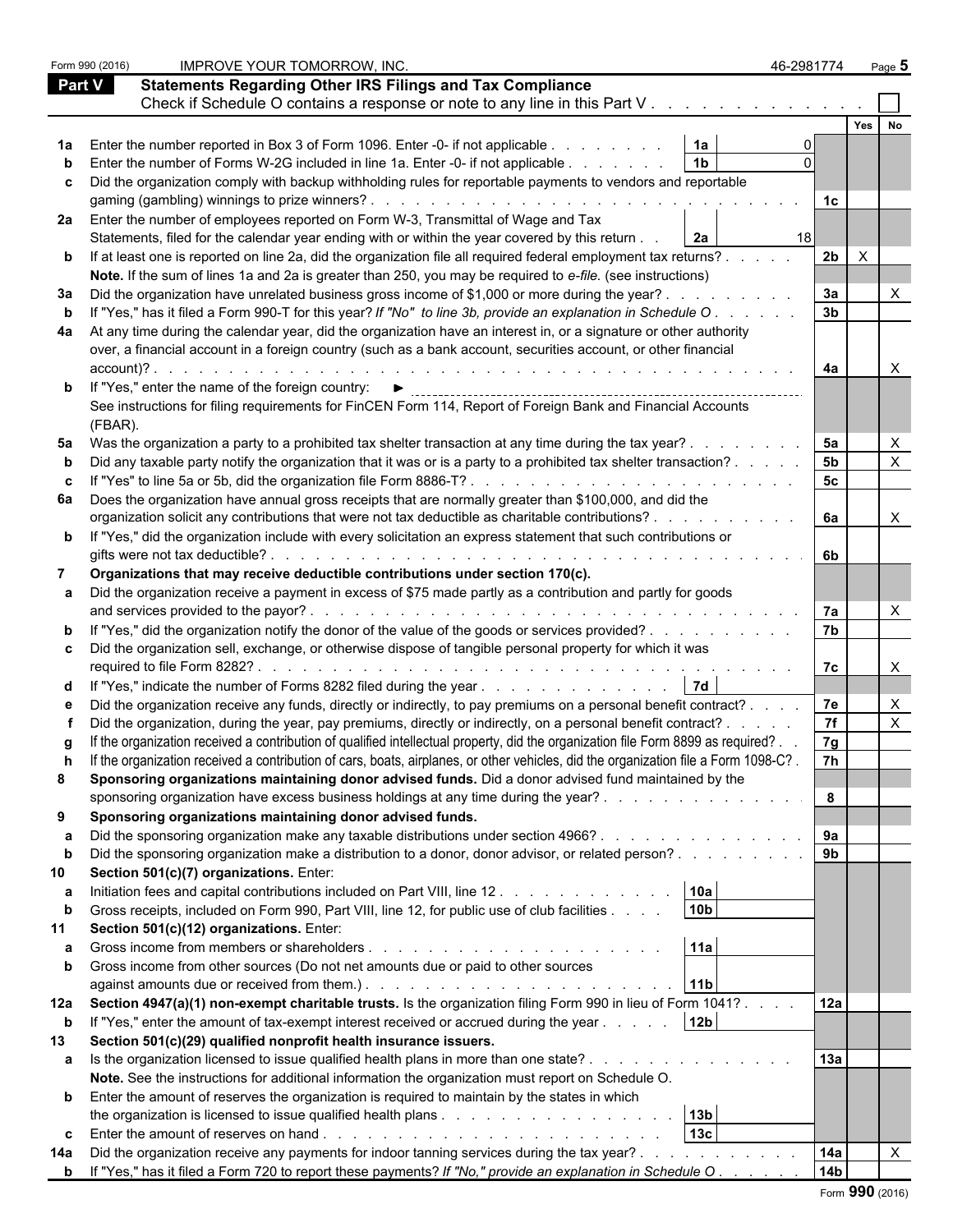|               | Form 990 (2016) | IMPROVE YOUR TOMORROW, INC.                                                                                                                                                                                                                                          | 46-2981774      | Page 5         |
|---------------|-----------------|----------------------------------------------------------------------------------------------------------------------------------------------------------------------------------------------------------------------------------------------------------------------|-----------------|----------------|
| <b>Part V</b> |                 | <b>Statements Regarding Other IRS Filings and Tax Compliance</b>                                                                                                                                                                                                     |                 |                |
|               |                 | Check if Schedule O contains a response or note to any line in this Part V                                                                                                                                                                                           |                 |                |
|               |                 |                                                                                                                                                                                                                                                                      |                 | Yes<br>No      |
|               |                 | Enter the number reported in Box 3 of Form 1096. Enter -0- if not applicable<br>  1a                                                                                                                                                                                 |                 |                |
|               |                 | 1 <sub>b</sub><br>Enter the number of Forms W-2G included in line 1a. Enter -0- if not applicable                                                                                                                                                                    |                 |                |
|               |                 |                                                                                                                                                                                                                                                                      |                 |                |
| C             |                 | Did the organization comply with backup withholding rules for reportable payments to vendors and reportable                                                                                                                                                          |                 |                |
|               |                 |                                                                                                                                                                                                                                                                      | 1c              |                |
|               |                 | 2a Enter the number of employees reported on Form W-3, Transmittal of Wage and Tax                                                                                                                                                                                   |                 |                |
|               |                 | Statements, filed for the calendar year ending with or within the year covered by this return<br>l 2a                                                                                                                                                                | 18              |                |
| b             |                 | If at least one is reported on line 2a, did the organization file all required federal employment tax returns?                                                                                                                                                       | 2 <sub>b</sub>  | $\times$       |
|               |                 | Note. If the sum of lines 1a and 2a is greater than 250, you may be required to e-file. (see instructions)                                                                                                                                                           |                 |                |
| За            |                 | Did the organization have unrelated business gross income of \$1,000 or more during the year?.                                                                                                                                                                       | 3a              |                |
|               |                 | If "Yes," has it filed a Form 990-T for this year? If "No" to line 3b, provide an explanation in Schedule O.                                                                                                                                                         | $\overline{3b}$ |                |
| 4a            |                 | At any time during the calendar year, did the organization have an interest in, or a signature or other authority                                                                                                                                                    |                 |                |
|               |                 | over, a financial account in a foreign country (such as a bank account, securities account, or other financial                                                                                                                                                       |                 |                |
|               | $account$ $?$ . |                                                                                                                                                                                                                                                                      | 4a              |                |
|               |                 |                                                                                                                                                                                                                                                                      |                 |                |
|               |                 | See instructions for filing requirements for FinCEN Form 114, Report of Foreign Bank and Financial Accounts                                                                                                                                                          |                 |                |
|               | (FBAR).         |                                                                                                                                                                                                                                                                      |                 |                |
| 5а            |                 | Was the organization a party to a prohibited tax shelter transaction at any time during the tax year?.                                                                                                                                                               | 5a              |                |
|               |                 | Did any taxable party notify the organization that it was or is a party to a prohibited tax shelter transaction?                                                                                                                                                     | 5 <sub>b</sub>  | $\pmb{\times}$ |
| c             |                 | If "Yes" to line 5a or 5b, did the organization file Form 8886-T?                                                                                                                                                                                                    | 5 <sub>c</sub>  |                |
|               |                 |                                                                                                                                                                                                                                                                      |                 |                |
| 6а            |                 | Does the organization have annual gross receipts that are normally greater than \$100,000, and did the                                                                                                                                                               | 6а              |                |
|               |                 | organization solicit any contributions that were not tax deductible as charitable contributions?                                                                                                                                                                     |                 | $\times$       |
|               |                 | <b>b</b> If "Yes," did the organization include with every solicitation an express statement that such contributions or                                                                                                                                              |                 |                |
|               |                 |                                                                                                                                                                                                                                                                      | 6b              |                |
|               |                 | Organizations that may receive deductible contributions under section 170(c).                                                                                                                                                                                        |                 |                |
|               |                 | Did the organization receive a payment in excess of \$75 made partly as a contribution and partly for goods                                                                                                                                                          |                 |                |
|               |                 | and services provided to the payor?<br>and a constitution of the construction of the constitution of the construction of the construction of the construction of the construction of the construction of the construction of the construction of the construction of | 7a              | X              |
|               |                 | If "Yes," did the organization notify the donor of the value of the goods or services provided?                                                                                                                                                                      | 7 <sub>b</sub>  |                |
|               |                 | Did the organization sell, exchange, or otherwise dispose of tangible personal property for which it was                                                                                                                                                             |                 |                |
|               |                 |                                                                                                                                                                                                                                                                      | 7c              | X              |
|               |                 | If "Yes," indicate the number of Forms 8282 filed during the year $\ldots$ $\ldots$ $\ldots$ $\ldots$ $\ldots$ $\ldots$   7d                                                                                                                                         |                 |                |
|               |                 | Did the organization receive any funds, directly or indirectly, to pay premiums on a personal benefit contract?                                                                                                                                                      | 7e              | X              |
|               |                 | Did the organization, during the year, pay premiums, directly or indirectly, on a personal benefit contract? .                                                                                                                                                       | 7f              | X              |
|               |                 | If the organization received a contribution of qualified intellectual property, did the organization file Form 8899 as required?.                                                                                                                                    | 7g              |                |
|               |                 | If the organization received a contribution of cars, boats, airplanes, or other vehicles, did the organization file a Form 1098-C?.                                                                                                                                  | 7h              |                |
|               |                 |                                                                                                                                                                                                                                                                      |                 |                |
| 8             |                 | Sponsoring organizations maintaining donor advised funds. Did a donor advised fund maintained by the                                                                                                                                                                 |                 |                |
|               |                 | sponsoring organization have excess business holdings at any time during the year?                                                                                                                                                                                   | 8               |                |
| 9             |                 | Sponsoring organizations maintaining donor advised funds.                                                                                                                                                                                                            |                 |                |
| а             |                 | Did the sponsoring organization make any taxable distributions under section 4966?                                                                                                                                                                                   | 9а              |                |
| $\mathbf b$   |                 | Did the sponsoring organization make a distribution to a donor, donor advisor, or related person?                                                                                                                                                                    | 9 <sub>b</sub>  |                |
| 10            |                 | Section 501(c)(7) organizations. Enter:                                                                                                                                                                                                                              |                 |                |
| а             |                 | 10a <br>Initiation fees and capital contributions included on Part VIII, line 12.                                                                                                                                                                                    |                 |                |
| $\mathbf b$   |                 | 10 <sub>b</sub><br>Gross receipts, included on Form 990, Part VIII, line 12, for public use of club facilities                                                                                                                                                       |                 |                |
| 11            |                 | Section 501(c)(12) organizations. Enter:                                                                                                                                                                                                                             |                 |                |
| а             |                 | 11a                                                                                                                                                                                                                                                                  |                 |                |
| b             |                 | Gross income from other sources (Do not net amounts due or paid to other sources                                                                                                                                                                                     |                 |                |
|               |                 | 11b                                                                                                                                                                                                                                                                  |                 |                |
| 12a           |                 | Section 4947(a)(1) non-exempt charitable trusts. Is the organization filing Form 990 in lieu of Form 1041?                                                                                                                                                           | 12a             |                |
| $\mathbf b$   |                 | If "Yes," enter the amount of tax-exempt interest received or accrued during the year<br>12 <sub>b</sub>                                                                                                                                                             |                 |                |
|               |                 | Section 501(c)(29) qualified nonprofit health insurance issuers.                                                                                                                                                                                                     |                 |                |
| 13            |                 |                                                                                                                                                                                                                                                                      | 13a             |                |
| а             |                 | Is the organization licensed to issue qualified health plans in more than one state?                                                                                                                                                                                 |                 |                |
|               |                 | Note. See the instructions for additional information the organization must report on Schedule O.                                                                                                                                                                    |                 |                |
|               |                 | <b>b</b> Enter the amount of reserves the organization is required to maintain by the states in which                                                                                                                                                                |                 |                |
|               |                 | 13 <sub>b</sub>                                                                                                                                                                                                                                                      |                 |                |
| C             |                 | 13c                                                                                                                                                                                                                                                                  |                 |                |
| 14a           |                 | Did the organization receive any payments for indoor tanning services during the tax year?<br>the contract of the contract of the                                                                                                                                    | 14a             |                |
| $\mathbf{p}$  |                 | If "Yes," has it filed a Form 720 to report these payments? If "No," provide an explanation in Schedule O                                                                                                                                                            | 14 <sub>b</sub> |                |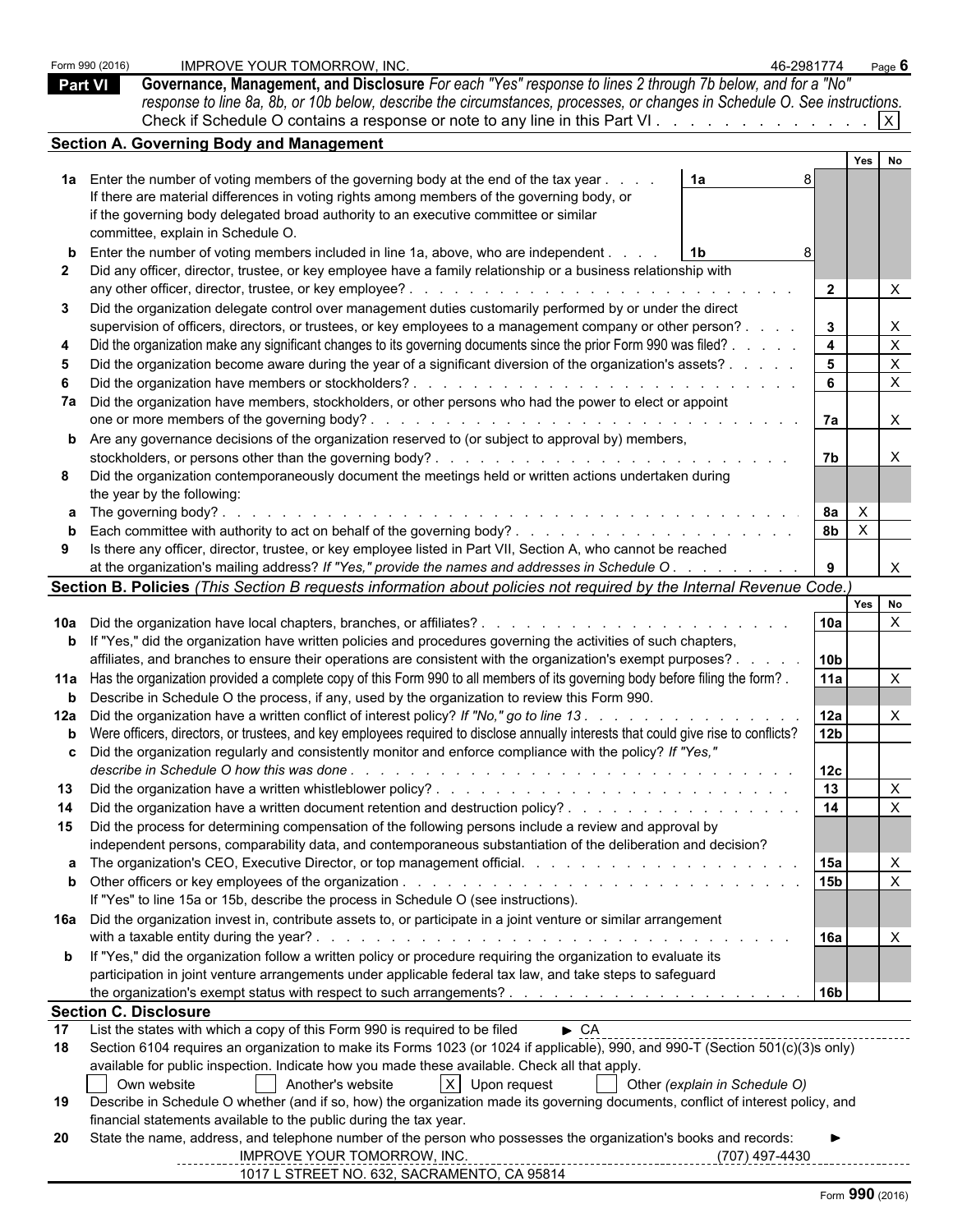|                | Form 990 (2016) | <b>IMPROVE YOUR TOMORROW, INC.</b>                                                                                                           | 46-2981774              |              | Page $6$     |  |
|----------------|-----------------|----------------------------------------------------------------------------------------------------------------------------------------------|-------------------------|--------------|--------------|--|
| <b>Part VI</b> |                 | Governance, Management, and Disclosure For each "Yes" response to lines 2 through 7b below, and for a "No"                                   |                         |              |              |  |
|                |                 | response to line 8a, 8b, or 10b below, describe the circumstances, processes, or changes in Schedule O. See instructions.                    |                         |              |              |  |
|                |                 | Check if Schedule O contains a response or note to any line in this Part VI. $\vert x \vert$                                                 |                         |              |              |  |
|                |                 | <b>Section A. Governing Body and Management</b>                                                                                              |                         |              |              |  |
|                |                 |                                                                                                                                              |                         | Yes          | <b>No</b>    |  |
|                |                 | 1a Enter the number of voting members of the governing body at the end of the tax year.<br>1a                                                |                         |              |              |  |
|                |                 |                                                                                                                                              |                         |              |              |  |
|                |                 | If there are material differences in voting rights among members of the governing body, or                                                   |                         |              |              |  |
|                |                 | if the governing body delegated broad authority to an executive committee or similar                                                         |                         |              |              |  |
|                |                 | committee, explain in Schedule O.                                                                                                            |                         |              |              |  |
|                |                 | Enter the number of voting members included in line 1a, above, who are independent.                                                          |                         |              |              |  |
|                |                 | Did any officer, director, trustee, or key employee have a family relationship or a business relationship with                               |                         |              |              |  |
|                |                 | any other officer, director, trustee, or key employee?<br>and the second contract of the second con-                                         | $\overline{2}$          |              |              |  |
| 3              |                 | Did the organization delegate control over management duties customarily performed by or under the direct                                    |                         |              |              |  |
|                |                 | supervision of officers, directors, or trustees, or key employees to a management company or other person?.                                  | $3^{\circ}$             |              | X            |  |
|                |                 | Did the organization make any significant changes to its governing documents since the prior Form 990 was filed? .                           | $\overline{\mathbf{4}}$ |              | $\mathsf{X}$ |  |
|                |                 | Did the organization become aware during the year of a significant diversion of the organization's assets?.                                  | - 5                     |              | $\mathsf{X}$ |  |
|                |                 |                                                                                                                                              | - 6                     |              | $\mathsf{X}$ |  |
|                |                 | 7a Did the organization have members, stockholders, or other persons who had the power to elect or appoint                                   |                         |              |              |  |
|                |                 |                                                                                                                                              | l 7a                    |              | $\times$     |  |
|                |                 | <b>b</b> Are any governance decisions of the organization reserved to (or subject to approval by) members,                                   |                         |              |              |  |
|                |                 |                                                                                                                                              | 7b                      |              | X            |  |
|                |                 | Did the organization contemporaneously document the meetings held or written actions undertaken during                                       |                         |              |              |  |
|                |                 |                                                                                                                                              |                         |              |              |  |
|                |                 | the year by the following:<br>a The governing body?.                                                                                         | 8a                      | $\mathsf{X}$ |              |  |
|                |                 |                                                                                                                                              | 8 <sub>b</sub>          | $\mathsf{X}$ |              |  |
| 9              |                 | Is there any officer, director, trustee, or key employee listed in Part VII, Section A, who cannot be reached                                |                         |              |              |  |
|                |                 | at the organization's mailing address? If "Yes," provide the names and addresses in Schedule O.                                              |                         |              |              |  |
|                |                 |                                                                                                                                              |                         |              |              |  |
|                |                 | Section B. Policies (This Section B requests information about policies not required by the Internal Revenue Code.)                          |                         |              | Yes No       |  |
|                |                 |                                                                                                                                              | 10a                     |              | $\mathsf{X}$ |  |
|                |                 |                                                                                                                                              |                         |              |              |  |
|                |                 | <b>b</b> If "Yes," did the organization have written policies and procedures governing the activities of such chapters,                      |                         |              |              |  |
|                |                 | affiliates, and branches to ensure their operations are consistent with the organization's exempt purposes?.                                 | 10b                     |              |              |  |
|                |                 | 11a Has the organization provided a complete copy of this Form 990 to all members of its governing body before filing the form?.             | l 11a                   |              | $\mathsf{X}$ |  |
|                |                 | <b>b</b> Describe in Schedule O the process, if any, used by the organization to review this Form 990.                                       |                         |              |              |  |
|                |                 | 12a Did the organization have a written conflict of interest policy? If "No," go to line 13.                                                 | 12a                     |              | X            |  |
|                |                 | <b>b</b> Were officers, directors, or trustees, and key employees required to disclose annually interests that could give rise to conflicts? | 12b                     |              |              |  |
|                |                 | Did the organization regularly and consistently monitor and enforce compliance with the policy? If "Yes,"                                    |                         |              |              |  |
|                |                 |                                                                                                                                              | 12c                     |              |              |  |
| 13             |                 |                                                                                                                                              | 13                      |              | $\mathsf{X}$ |  |
| -14            |                 |                                                                                                                                              | 14                      |              | $\mathsf{X}$ |  |
| 15             |                 | Did the process for determining compensation of the following persons include a review and approval by                                       |                         |              |              |  |
|                |                 | independent persons, comparability data, and contemporaneous substantiation of the deliberation and decision?                                |                         |              |              |  |
|                |                 |                                                                                                                                              | 15a                     |              | $\mathsf{X}$ |  |
|                |                 |                                                                                                                                              | 15 <sub>b</sub>         |              |              |  |
|                |                 | If "Yes" to line 15a or 15b, describe the process in Schedule O (see instructions).                                                          |                         |              |              |  |
|                |                 | 16a Did the organization invest in, contribute assets to, or participate in a joint venture or similar arrangement                           |                         |              |              |  |
|                |                 |                                                                                                                                              | <b>16a</b>              |              |              |  |
|                |                 | <b>b</b> If "Yes," did the organization follow a written policy or procedure requiring the organization to evaluate its                      |                         |              |              |  |
|                |                 | participation in joint venture arrangements under applicable federal tax law, and take steps to safeguard                                    |                         |              |              |  |
|                |                 |                                                                                                                                              | 16b                     |              |              |  |
|                |                 | <b>Section C. Disclosure</b>                                                                                                                 |                         |              |              |  |
| 17             |                 | List the states with which a copy of this Form 990 is required to be filed<br>$\triangleright$ CA                                            |                         |              |              |  |
| 18             |                 | Section 6104 requires an organization to make its Forms 1023 (or 1024 if applicable), 990, and 990-T (Section 501(c)(3)s only)               |                         |              |              |  |
|                |                 | available for public inspection. Indicate how you made these available. Check all that apply.                                                |                         |              |              |  |
|                |                 | Another's website<br>X Upon request<br>Own website<br>Other (explain in Schedule O)                                                          |                         |              |              |  |
| 19             |                 | Describe in Schedule O whether (and if so, how) the organization made its governing documents, conflict of interest policy, and              |                         |              |              |  |
|                |                 | financial statements available to the public during the tax year.                                                                            |                         |              |              |  |
| 20             |                 | State the name, address, and telephone number of the person who possesses the organization's books and records:                              |                         |              |              |  |
|                |                 | IMPROVE YOUR TOMORROW, INC.<br>(707) 497-4430                                                                                                |                         |              |              |  |
|                |                 | 1017 L STREET NO. 632, SACRAMENTO, CA 95814                                                                                                  |                         |              |              |  |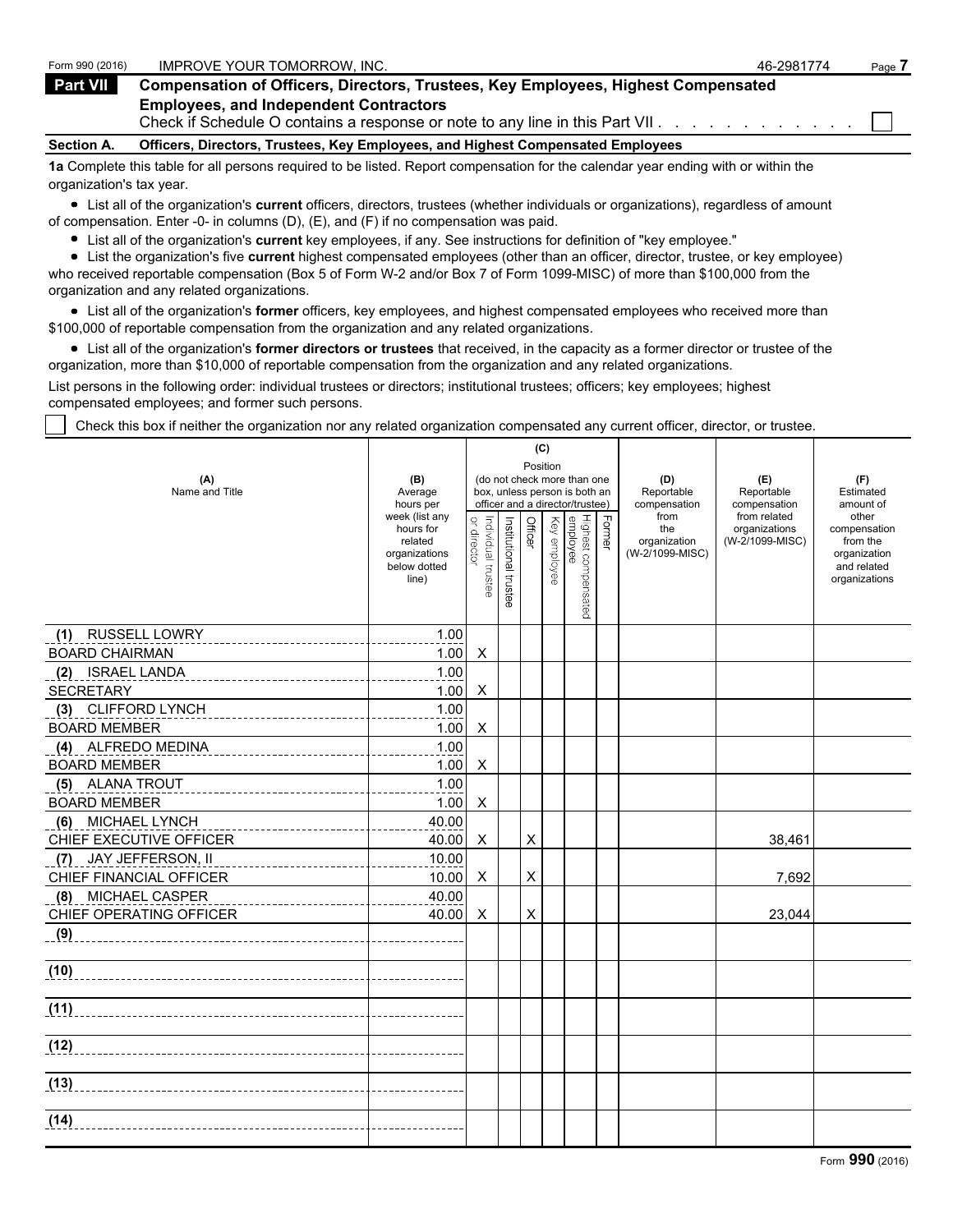| Form 990 (2016)   | IMPROVE YOUR TOMORROW. INC.                                                                                                       | 46-2981774 | Page. |
|-------------------|-----------------------------------------------------------------------------------------------------------------------------------|------------|-------|
| <b>Part VII</b>   | Compensation of Officers, Directors, Trustees, Key Employees, Highest Compensated                                                 |            |       |
|                   | <b>Employees, and Independent Contractors</b><br>Check if Schedule O contains a response or note to any line in this Part VII.    |            |       |
| <b>Section A.</b> | Officers, Directors, Trustees, Key Employees, and Highest Compensated Employees                                                   |            |       |
|                   | 1a Complete this table for all persons required to be listed. Report compensation for the calendar vear ending with or within the |            |       |

**1a** Complete this table for all persons required to be listed. Report compensation for the calendar year ending with or within the organization's tax year.

List all of the organization's **current** officers, directors, trustees (whether individuals or organizations), regardless of amount of compensation. Enter -0- in columns (D), (E), and (F) if no compensation was paid.

List all of the organization's **current** key employees, if any. See instructions for definition of "key employee."

List the organization's five **current** highest compensated employees (other than an officer, director, trustee, or key employee) who received reportable compensation (Box 5 of Form W-2 and/or Box 7 of Form 1099-MISC) of more than \$100,000 from the organization and any related organizations.

List all of the organization's **former** officers, key employees, and highest compensated employees who received more than \$100,000 of reportable compensation from the organization and any related organizations.

List all of the organization's **former directors or trustees** that received, in the capacity as a former director or trustee of the organization, more than \$10,000 of reportable compensation from the organization and any related organizations.

List persons in the following order: individual trustees or directors; institutional trustees; officers; key employees; highest compensated employees; and former such persons.

Check this box if neither the organization nor any related organization compensated any current officer, director, or trustee.

|                         |                                       |                                   |                       |                | (C)          |                                                                  |               |                                        |                                  |                                          |
|-------------------------|---------------------------------------|-----------------------------------|-----------------------|----------------|--------------|------------------------------------------------------------------|---------------|----------------------------------------|----------------------------------|------------------------------------------|
| (A)                     | (B)                                   |                                   |                       |                | Position     | (do not check more than one                                      |               | (D)                                    | (E)                              | (F)                                      |
| Name and Title          | Average<br>hours per                  |                                   |                       |                |              | box, unless person is both an<br>officer and a director/trustee) |               | Reportable<br>compensation             | Reportable                       | Estimated<br>amount of                   |
|                         | week (list any                        |                                   |                       |                |              |                                                                  |               | from                                   | compensation<br>from related     | other                                    |
|                         | hours for<br>related<br>organizations | Individual trustee<br>or director |                       | Officer        | Key employee |                                                                  | <b>Former</b> | the<br>organization<br>(W-2/1099-MISC) | organizations<br>(W-2/1099-MISC) | compensation<br>from the<br>organization |
|                         | below dotted<br>line)                 |                                   | Institutional trustee |                |              | Highest compensated<br>employee                                  |               |                                        |                                  | and related<br>organizations             |
| (1) RUSSELL LOWRY       | 1.00                                  |                                   |                       |                |              |                                                                  |               |                                        |                                  |                                          |
| <b>BOARD CHAIRMAN</b>   | 1.00                                  | X                                 |                       |                |              |                                                                  |               |                                        |                                  |                                          |
| (2) ISRAEL LANDA        | 1.00                                  |                                   |                       |                |              |                                                                  |               |                                        |                                  |                                          |
| <b>SECRETARY</b>        | 1.00                                  | X                                 |                       |                |              |                                                                  |               |                                        |                                  |                                          |
| (3) CLIFFORD LYNCH      | 1.00                                  |                                   |                       |                |              |                                                                  |               |                                        |                                  |                                          |
| <b>BOARD MEMBER</b>     | 1.00                                  | X                                 |                       |                |              |                                                                  |               |                                        |                                  |                                          |
| (4) ALFREDO MEDINA      | 1.00                                  |                                   |                       |                |              |                                                                  |               |                                        |                                  |                                          |
| <b>BOARD MEMBER</b>     | 1.00                                  | X                                 |                       |                |              |                                                                  |               |                                        |                                  |                                          |
| (5) ALANA TROUT         | 1.00                                  |                                   |                       |                |              |                                                                  |               |                                        |                                  |                                          |
| <b>BOARD MEMBER</b>     | 1.00                                  | X                                 |                       |                |              |                                                                  |               |                                        |                                  |                                          |
| (6) MICHAEL LYNCH       | 40.00                                 |                                   |                       |                |              |                                                                  |               |                                        |                                  |                                          |
| CHIEF EXECUTIVE OFFICER | 40.00                                 | X                                 |                       | X              |              |                                                                  |               |                                        | 38,461                           |                                          |
| (7) JAY JEFFERSON, II   | 10.00                                 |                                   |                       |                |              |                                                                  |               |                                        |                                  |                                          |
| CHIEF FINANCIAL OFFICER | 10.00                                 | X                                 |                       | X              |              |                                                                  |               |                                        | 7,692                            |                                          |
| (8) MICHAEL CASPER      | 40.00                                 |                                   |                       |                |              |                                                                  |               |                                        |                                  |                                          |
| CHIEF OPERATING OFFICER | 40.00                                 | X                                 |                       | $\pmb{\times}$ |              |                                                                  |               |                                        | 23,044                           |                                          |
| (9)                     |                                       |                                   |                       |                |              |                                                                  |               |                                        |                                  |                                          |
| (10)                    |                                       |                                   |                       |                |              |                                                                  |               |                                        |                                  |                                          |
| (11)                    |                                       |                                   |                       |                |              |                                                                  |               |                                        |                                  |                                          |
| (12)                    |                                       |                                   |                       |                |              |                                                                  |               |                                        |                                  |                                          |
| (13)                    |                                       |                                   |                       |                |              |                                                                  |               |                                        |                                  |                                          |
| (14)                    |                                       |                                   |                       |                |              |                                                                  |               |                                        |                                  |                                          |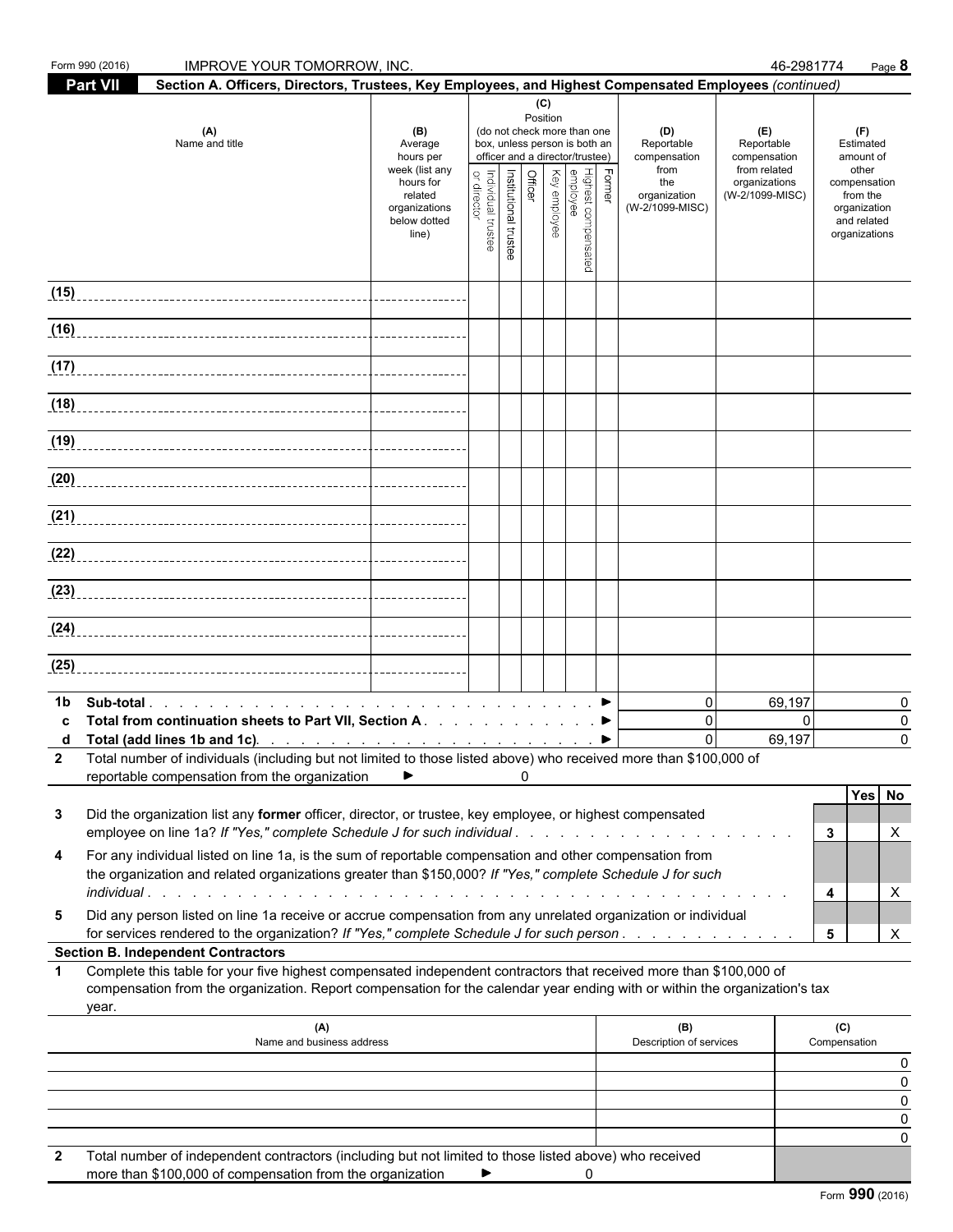|             | Form 990 (2016)<br><b>IMPROVE YOUR TOMORROW, INC.</b>                                                                                                                                                                                                     |                                                                |                                   |                       |          |                                                                                                             |                                                   |        |                                           | 46-2981774                                        | Page 8                                                                   |  |
|-------------|-----------------------------------------------------------------------------------------------------------------------------------------------------------------------------------------------------------------------------------------------------------|----------------------------------------------------------------|-----------------------------------|-----------------------|----------|-------------------------------------------------------------------------------------------------------------|---------------------------------------------------|--------|-------------------------------------------|---------------------------------------------------|--------------------------------------------------------------------------|--|
|             | Section A. Officers, Directors, Trustees, Key Employees, and Highest Compensated Employees (continued)<br><b>Part VII</b>                                                                                                                                 |                                                                |                                   |                       |          | (C)                                                                                                         |                                                   |        |                                           |                                                   |                                                                          |  |
|             | (A)<br>Name and title                                                                                                                                                                                                                                     | (B)<br>Average<br>hours per<br>week (list any                  |                                   |                       |          | Position<br>(do not check more than one<br>box, unless person is both an<br>officer and a director/trustee) |                                                   |        | (D)<br>Reportable<br>compensation<br>from | (E)<br>Reportable<br>compensation<br>from related | (F)<br>Estimated<br>amount of<br>other                                   |  |
|             |                                                                                                                                                                                                                                                           | hours for<br>related<br>organizations<br>below dotted<br>line) | Individual trustee<br>or director | Institutional trustee | Officer  |                                                                                                             | Highest compensated<br>employee<br>  Key employee | Former | the<br>organization<br>(W-2/1099-MISC)    | organizations<br>(W-2/1099-MISC)                  | compensation<br>from the<br>organization<br>and related<br>organizations |  |
| (15)        |                                                                                                                                                                                                                                                           |                                                                |                                   |                       |          |                                                                                                             |                                                   |        |                                           |                                                   |                                                                          |  |
|             | (16)                                                                                                                                                                                                                                                      |                                                                |                                   |                       |          |                                                                                                             |                                                   |        |                                           |                                                   |                                                                          |  |
|             |                                                                                                                                                                                                                                                           |                                                                |                                   |                       |          |                                                                                                             |                                                   |        |                                           |                                                   |                                                                          |  |
|             |                                                                                                                                                                                                                                                           |                                                                |                                   |                       |          |                                                                                                             |                                                   |        |                                           |                                                   |                                                                          |  |
|             |                                                                                                                                                                                                                                                           |                                                                |                                   |                       |          |                                                                                                             |                                                   |        |                                           |                                                   |                                                                          |  |
|             |                                                                                                                                                                                                                                                           |                                                                |                                   |                       |          |                                                                                                             |                                                   |        |                                           |                                                   |                                                                          |  |
|             |                                                                                                                                                                                                                                                           |                                                                |                                   |                       |          |                                                                                                             |                                                   |        |                                           |                                                   |                                                                          |  |
|             | (21)                                                                                                                                                                                                                                                      |                                                                |                                   |                       |          |                                                                                                             |                                                   |        |                                           |                                                   |                                                                          |  |
|             |                                                                                                                                                                                                                                                           |                                                                |                                   |                       |          |                                                                                                             |                                                   |        |                                           |                                                   |                                                                          |  |
|             |                                                                                                                                                                                                                                                           |                                                                |                                   |                       |          |                                                                                                             |                                                   |        |                                           |                                                   |                                                                          |  |
|             |                                                                                                                                                                                                                                                           |                                                                |                                   |                       |          |                                                                                                             |                                                   |        |                                           |                                                   |                                                                          |  |
| (25)        |                                                                                                                                                                                                                                                           |                                                                |                                   |                       |          |                                                                                                             |                                                   |        |                                           |                                                   |                                                                          |  |
| 1b          |                                                                                                                                                                                                                                                           |                                                                |                                   |                       |          |                                                                                                             |                                                   |        | $\overline{0}$                            | 69,197                                            | 0                                                                        |  |
| c<br>d      | Total from continuation sheets to Part VII, Section A. ▶<br>Total (add lines 1b and 1c). $\ldots$ $\ldots$ $\ldots$ $\ldots$ $\ldots$ $\ldots$ $\ldots$ $\ldots$                                                                                          |                                                                |                                   |                       |          |                                                                                                             |                                                   |        | $\mathbf 0$<br>$\Omega$                   | $\Omega$<br>69,197                                | $\mathbf 0$<br>$\Omega$                                                  |  |
| 2           | Total number of individuals (including but not limited to those listed above) who received more than \$100,000 of<br>reportable compensation from the organization                                                                                        |                                                                |                                   |                       | $\Omega$ |                                                                                                             |                                                   |        |                                           |                                                   |                                                                          |  |
|             |                                                                                                                                                                                                                                                           |                                                                |                                   |                       |          |                                                                                                             |                                                   |        |                                           |                                                   | Yes No                                                                   |  |
| 3           | Did the organization list any former officer, director, or trustee, key employee, or highest compensated<br>employee on line 1a? If "Yes," complete Schedule J for such individual                                                                        |                                                                |                                   |                       |          |                                                                                                             |                                                   |        |                                           |                                                   | 3<br>X                                                                   |  |
| 4           | For any individual listed on line 1a, is the sum of reportable compensation and other compensation from<br>the organization and related organizations greater than \$150,000? If "Yes," complete Schedule J for such<br>individual                        |                                                                |                                   |                       |          |                                                                                                             |                                                   |        |                                           |                                                   | X<br>4                                                                   |  |
| 5           | Did any person listed on line 1a receive or accrue compensation from any unrelated organization or individual                                                                                                                                             |                                                                |                                   |                       |          |                                                                                                             |                                                   |        |                                           |                                                   |                                                                          |  |
|             | for services rendered to the organization? If "Yes," complete Schedule J for such person<br><b>Section B. Independent Contractors</b>                                                                                                                     |                                                                |                                   |                       |          |                                                                                                             |                                                   |        |                                           |                                                   | $5\phantom{.0}$<br>X                                                     |  |
| $\mathbf 1$ | Complete this table for your five highest compensated independent contractors that received more than \$100,000 of<br>compensation from the organization. Report compensation for the calendar year ending with or within the organization's tax<br>year. |                                                                |                                   |                       |          |                                                                                                             |                                                   |        |                                           |                                                   |                                                                          |  |
|             | (A)<br>Name and business address                                                                                                                                                                                                                          |                                                                |                                   |                       |          |                                                                                                             |                                                   |        | (B)<br>Description of services            |                                                   | (C)<br>Compensation                                                      |  |
|             |                                                                                                                                                                                                                                                           |                                                                |                                   |                       |          |                                                                                                             |                                                   |        |                                           |                                                   | 0<br>0                                                                   |  |
|             |                                                                                                                                                                                                                                                           |                                                                |                                   |                       |          |                                                                                                             |                                                   |        |                                           |                                                   | 0<br>0                                                                   |  |
|             |                                                                                                                                                                                                                                                           |                                                                |                                   |                       |          |                                                                                                             |                                                   |        |                                           |                                                   | 0                                                                        |  |
| 2           | Total number of independent contractors (including but not limited to those listed above) who received<br>more than \$100,000 of compensation from the organization                                                                                       |                                                                | ▶                                 |                       |          |                                                                                                             | $\Omega$                                          |        |                                           |                                                   |                                                                          |  |

Form **990** (2016)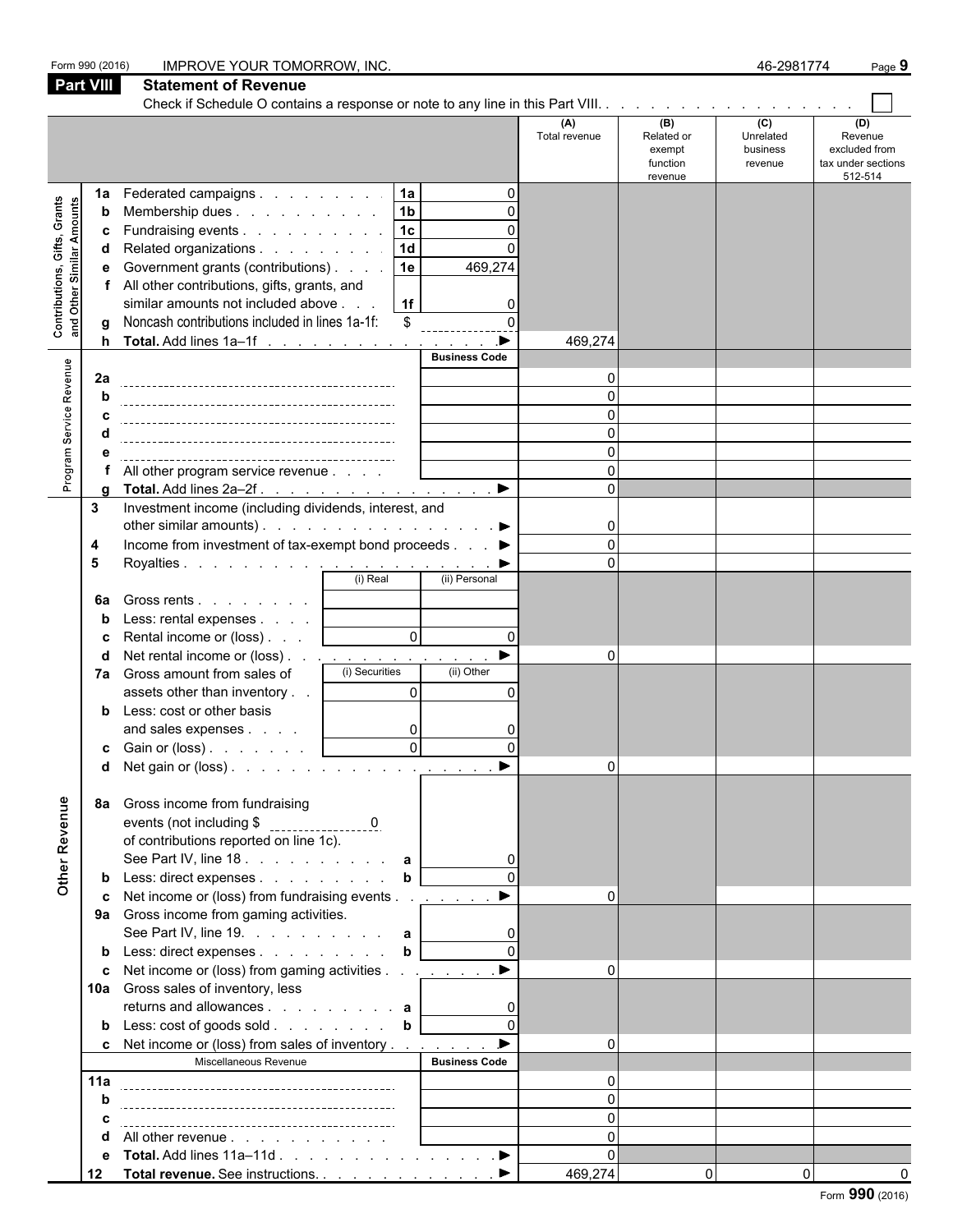|                                                                     | Form 990 (2016)              | <b>IMPROVE YOUR TOMORROW, INC.</b>                                                                                                                                                                                                                                                                                                                                                                                                                                                                                                                             |                                                                                        | 46-2981774<br>Page 9                          |                                                               |                                                    |                                         |                                                                  |  |  |  |  |
|---------------------------------------------------------------------|------------------------------|----------------------------------------------------------------------------------------------------------------------------------------------------------------------------------------------------------------------------------------------------------------------------------------------------------------------------------------------------------------------------------------------------------------------------------------------------------------------------------------------------------------------------------------------------------------|----------------------------------------------------------------------------------------|-----------------------------------------------|---------------------------------------------------------------|----------------------------------------------------|-----------------------------------------|------------------------------------------------------------------|--|--|--|--|
|                                                                     | <b>Part VIII</b>             | <b>Statement of Revenue</b>                                                                                                                                                                                                                                                                                                                                                                                                                                                                                                                                    |                                                                                        |                                               |                                                               |                                                    |                                         |                                                                  |  |  |  |  |
|                                                                     |                              |                                                                                                                                                                                                                                                                                                                                                                                                                                                                                                                                                                |                                                                                        |                                               | (A)<br>Total revenue                                          | (B)<br>Related or<br>exempt<br>function<br>revenue | (C)<br>Unrelated<br>business<br>revenue | (D)<br>Revenue<br>excluded from<br>tax under sections<br>512-514 |  |  |  |  |
| Contributions, Gifts, Grants<br><b>Other Similar Amounts</b><br>and | 1a<br>C<br>h                 | Federated campaigns<br>Membership dues<br>Fundraising events<br>Related organizations<br>Government grants (contributions)<br>All other contributions, gifts, grants, and<br>similar amounts not included above.<br>Noncash contributions included in lines 1a-1f:<br>Total. Add lines 1a-1f . <u>.</u>                                                                                                                                                                                                                                                        | 1a <br> 1 <sub>b</sub><br> 1c <br>1d<br>1e<br>1f<br>\$                                 | $\Omega$<br>469,274<br>$\Omega$<br>▶          | 469,274                                                       |                                                    |                                         |                                                                  |  |  |  |  |
| Program Service Revenue                                             | 2a                           | All other program service revenue<br>Total. Add lines 2a-2f.                                                                                                                                                                                                                                                                                                                                                                                                                                                                                                   |                                                                                        | <b>Business Code</b><br>$\blacktriangleright$ | 0<br>$\Omega$<br>$\Omega$                                     |                                                    |                                         |                                                                  |  |  |  |  |
|                                                                     | 3<br>4<br>5<br>6a<br>o<br>7a | Investment income (including dividends, interest, and<br>other similar amounts). $\ldots$ $\ldots$ $\ldots$ $\ldots$ $\ldots$ $\ldots$<br>Income from investment of tax-exempt bond proceeds ▶<br>Gross rents<br>Less: rental expenses<br>Rental income or (loss)<br>Net rental income or (loss) $\ldots$ $\ldots$ $\ldots$ $\ldots$ $\ldots$ $\ldots$<br>Gross amount from sales of<br>assets other than inventory<br>Less: cost or other basis<br>and sales expenses<br>c Gain or (loss) $\ldots$ $\ldots$ $\ldots$                                          | (i) Real<br>$\circ$<br>(i) Securities<br>$\Omega$<br>$\overline{0}$<br>ΩI<br><u>ັບ</u> | (ii) Personal<br>$\Omega$<br>(ii) Other<br>O  | 0<br>$\Omega$<br>0                                            |                                                    |                                         |                                                                  |  |  |  |  |
| Other Revenue                                                       | 8а<br>b<br>c<br>11a          | Gross income from fundraising<br>of contributions reported on line 1c).<br>See Part IV, line 18. a<br>Less: direct expenses<br>Net income or (loss) from fundraising events<br>9a Gross income from gaming activities.<br>See Part IV, line 19. $\ldots$ $\ldots$ $\ldots$ <b>a</b><br>Less: direct expenses<br>Net income or (loss) from gaming activities <u>. ▶</u><br>10a Gross sales of inventory, less<br>returns and allowances $\cdots$ $\cdots$ $\cdots$ $\cdots$ $\cdots$<br>c Net income or (loss) from sales of inventory<br>Miscellaneous Revenue | $\mathbf{b}$<br>$\mathbf{b}$                                                           | $\Omega$<br><b>Business Code</b>              | $\Omega$<br>$\Omega$<br>0<br>$\Omega$<br>$\Omega$<br>$\Omega$ |                                                    |                                         |                                                                  |  |  |  |  |
|                                                                     | 12                           | All other revenue<br>Total revenue. See instructions. ▶                                                                                                                                                                                                                                                                                                                                                                                                                                                                                                        |                                                                                        |                                               | $\Omega$<br>469,274                                           | $\overline{0}$                                     | $\overline{0}$                          |                                                                  |  |  |  |  |

Form **990** (2016)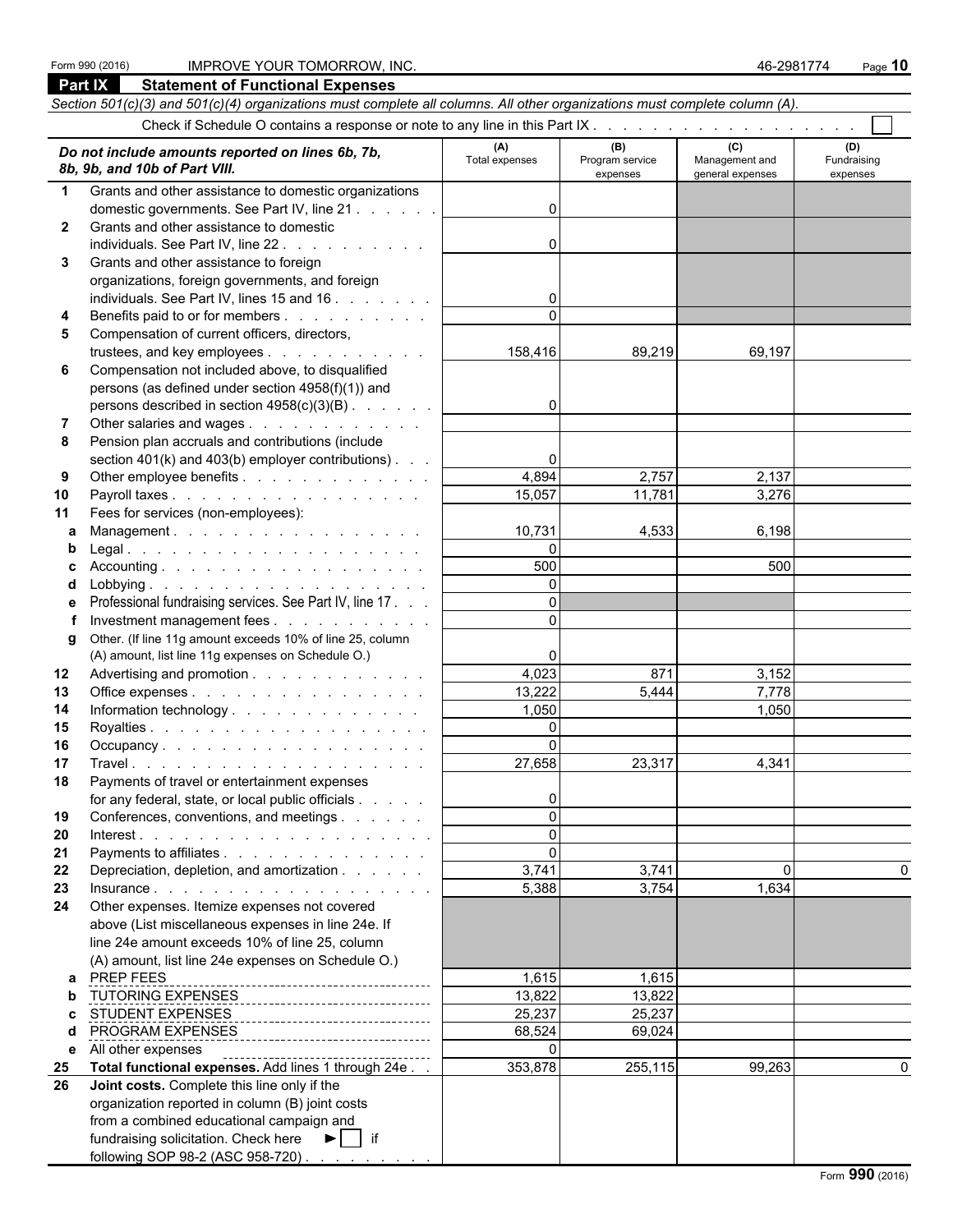following SOP 98-2 (ASC 958-720)

| <b>Part IX</b> | <b>Statement of Functional Expenses</b>                                                                                    |                       |                                    |                                           |                                |
|----------------|----------------------------------------------------------------------------------------------------------------------------|-----------------------|------------------------------------|-------------------------------------------|--------------------------------|
|                | Section 501(c)(3) and 501(c)(4) organizations must complete all columns. All other organizations must complete column (A). |                       |                                    |                                           |                                |
|                |                                                                                                                            |                       |                                    |                                           |                                |
|                | Do not include amounts reported on lines 6b, 7b,<br>8b, 9b, and 10b of Part VIII.                                          | (A)<br>Total expenses | (B)<br>Program service<br>expenses | (C)<br>Management and<br>general expenses | (D)<br>Fundraising<br>expenses |
| $\mathbf 1$    | Grants and other assistance to domestic organizations                                                                      |                       |                                    |                                           |                                |
|                | domestic governments. See Part IV, line 21                                                                                 | 0                     |                                    |                                           |                                |
| $\mathbf{2}$   | Grants and other assistance to domestic                                                                                    |                       |                                    |                                           |                                |
|                | individuals. See Part IV, line 22.                                                                                         | 0                     |                                    |                                           |                                |
| 3              | Grants and other assistance to foreign                                                                                     |                       |                                    |                                           |                                |
|                | organizations, foreign governments, and foreign                                                                            |                       |                                    |                                           |                                |
|                | individuals. See Part IV, lines 15 and 16                                                                                  | 0<br>$\Omega$         |                                    |                                           |                                |
| 4<br>5         | Benefits paid to or for members<br>Compensation of current officers, directors,                                            |                       |                                    |                                           |                                |
|                | trustees, and key employees                                                                                                | 158,416               | 89,219                             | 69,197                                    |                                |
| 6              | Compensation not included above, to disqualified                                                                           |                       |                                    |                                           |                                |
|                | persons (as defined under section 4958(f)(1)) and                                                                          |                       |                                    |                                           |                                |
|                | persons described in section 4958(c)(3)(B)                                                                                 | $\Omega$              |                                    |                                           |                                |
| 7              | Other salaries and wages                                                                                                   |                       |                                    |                                           |                                |
| 8              | Pension plan accruals and contributions (include                                                                           |                       |                                    |                                           |                                |
|                | section $401(k)$ and $403(b)$ employer contributions).                                                                     | 0                     |                                    |                                           |                                |
| 9              | Other employee benefits                                                                                                    | 4,894                 | 2,757                              | 2,137                                     |                                |
| 10             | Payroll taxes                                                                                                              | 15,057                | 11,781                             | 3,276                                     |                                |
| 11             | Fees for services (non-employees):                                                                                         | 10,731                | 4,533                              |                                           |                                |
| a<br>b         | Management.                                                                                                                | $\mathbf 0$           |                                    | 6,198                                     |                                |
| c              |                                                                                                                            | 500                   |                                    | 500                                       |                                |
| d              |                                                                                                                            | $\Omega$              |                                    |                                           |                                |
| е              | Professional fundraising services. See Part IV, line 17                                                                    | $\Omega$              |                                    |                                           |                                |
|                | Investment management fees                                                                                                 | $\Omega$              |                                    |                                           |                                |
| g              | Other. (If line 11g amount exceeds 10% of line 25, column                                                                  |                       |                                    |                                           |                                |
|                | (A) amount, list line 11g expenses on Schedule O.)                                                                         | 0                     |                                    |                                           |                                |
| 12             | Advertising and promotion                                                                                                  | 4,023                 | 871                                | 3,152                                     |                                |
| 13             | Office expenses                                                                                                            | 13,222<br>1,050       | 5,444                              | 7,778                                     |                                |
| 14<br>15       | Information technology $\ldots$ $\ldots$ $\ldots$ $\ldots$ $\ldots$                                                        | 0                     |                                    | 1,050                                     |                                |
| 16             | Occupancy.                                                                                                                 | $\Omega$              |                                    |                                           |                                |
| 17             |                                                                                                                            | 27,658                | 23,317                             | 4,341                                     |                                |
| 18             | Payments of travel or entertainment expenses                                                                               |                       |                                    |                                           |                                |
|                | for any federal, state, or local public officials                                                                          | 0                     |                                    |                                           |                                |
| 19             | Conferences, conventions, and meetings                                                                                     | $\Omega$              |                                    |                                           |                                |
| 20             |                                                                                                                            | $\Omega$              |                                    |                                           |                                |
| 21             | Payments to affiliates                                                                                                     | $\Omega$              |                                    |                                           |                                |
| 22             | Depreciation, depletion, and amortization                                                                                  | 3,741                 | 3,741                              | 0                                         | 0                              |
| 23             |                                                                                                                            | 5,388                 | 3,754                              | 1,634                                     |                                |
| 24             | Other expenses. Itemize expenses not covered<br>above (List miscellaneous expenses in line 24e. If                         |                       |                                    |                                           |                                |
|                | line 24e amount exceeds 10% of line 25, column                                                                             |                       |                                    |                                           |                                |
|                | (A) amount, list line 24e expenses on Schedule O.)                                                                         |                       |                                    |                                           |                                |
| a              | PREP FEES<br>-----------------------------------                                                                           | 1,615                 | 1,615                              |                                           |                                |
| b              | TUTORIN <u>G EXPENSES</u><br>TUTORING <u>EXPENSES</u>                                                                      | 13,822                | 13,822                             |                                           |                                |
| c              | STUDENT EXPENSES                                                                                                           | 25,237                | 25,237                             |                                           |                                |
| d              | PROGRAM EXPENSES                                                                                                           | 68,524                | 69,024                             |                                           |                                |
| е              | All other expenses                                                                                                         |                       |                                    |                                           |                                |
| 25             | Total functional expenses. Add lines 1 through 24e                                                                         | 353,878               | 255,115                            | 99,263                                    | $\Omega$                       |
| 26             | Joint costs. Complete this line only if the                                                                                |                       |                                    |                                           |                                |
|                | organization reported in column (B) joint costs                                                                            |                       |                                    |                                           |                                |
|                | from a combined educational campaign and<br>$\blacktriangleright$   if                                                     |                       |                                    |                                           |                                |
|                | fundraising solicitation. Check here                                                                                       |                       |                                    |                                           |                                |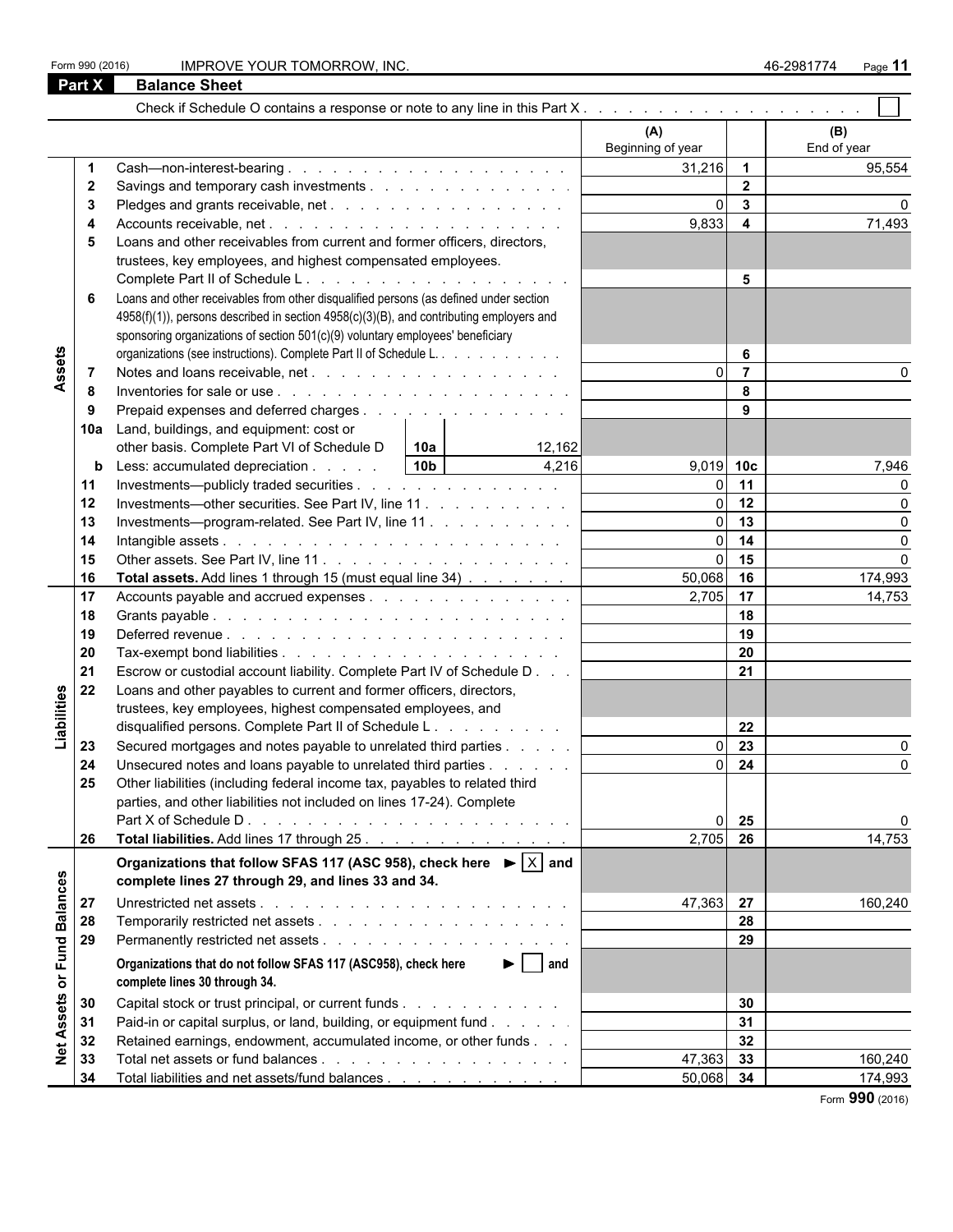|  |  | Form 990 (2016) |
|--|--|-----------------|
|--|--|-----------------|

Form 990 (2016) IMPROVE YOUR TOMORROW, INC. And the set of the set of the set of the set of the set of the set of the set of the set of the set of the set of the set of the set of the set of the set of the set of the set o

| (A)<br>(B)<br>Beginning of year<br>End of year<br>31,216<br>$\overline{1}$<br>95,554<br>$\overline{2}$<br>-2<br>$\Omega$<br>$\mathbf{3}$<br>-3<br>9,833<br>$\overline{\mathbf{4}}$<br>71,493<br>4<br>Loans and other receivables from current and former officers, directors,<br>5<br>trustees, key employees, and highest compensated employees.<br>5<br>Loans and other receivables from other disqualified persons (as defined under section<br>6<br>4958(f)(1)), persons described in section 4958(c)(3)(B), and contributing employers and<br>sponsoring organizations of section 501(c)(9) voluntary employees' beneficiary<br>Assets<br>organizations (see instructions). Complete Part II of Schedule L.<br>6<br>$\overline{7}$<br>-7<br>8<br>Inventories for sale or use $\ldots$ $\ldots$ $\ldots$ $\ldots$ $\ldots$ $\ldots$ $\ldots$ $\ldots$ $\ldots$<br>-8<br>9<br>Prepaid expenses and deferred charges<br>9<br>Land, buildings, and equipment: cost or<br>10a<br>other basis. Complete Part VI of Schedule D<br>10a<br>12,162<br>10 <sub>b</sub><br>4,216<br>9,019 10c<br>Less: accumulated depreciation<br>7,946<br>$\mathbf b$<br>11<br>Investments—publicly traded securities<br>11<br>$\overline{0}$<br>12<br>12<br>Investments—other securities. See Part IV, line 11<br>13<br>$\Omega$<br>13<br>Investments-program-related. See Part IV, line 11<br>14<br>$\Omega$<br>14<br>$\Omega$<br>15<br>15<br>$\Omega$<br>$50,068$ 16<br>16<br>174,993<br>Total assets. Add lines 1 through 15 (must equal line 34)<br>2,705 17<br>17<br>Accounts payable and accrued expenses<br>14,753<br>18<br>18<br>19<br>19<br>20<br>20<br>21<br>21<br>Escrow or custodial account liability. Complete Part IV of Schedule D<br>22<br>Liabilities<br>Loans and other payables to current and former officers, directors,<br>trustees, key employees, highest compensated employees, and<br>disqualified persons. Complete Part II of Schedule L.<br>22<br>23<br>Secured mortgages and notes payable to unrelated third parties<br>$\Omega$<br>23<br>24<br>Unsecured notes and loans payable to unrelated third parties<br>0<br>24<br>O<br>25<br>Other liabilities (including federal income tax, payables to related third<br>parties, and other liabilities not included on lines 17-24). Complete<br>25<br>0<br>2,705<br>26<br>14,753<br>26<br>Organizations that follow SFAS 117 (ASC 958), check here $\blacktriangleright$ $ X $ and<br><b>Balances</b><br>complete lines 27 through 29, and lines 33 and 34.<br>47,363<br>27<br>160,240<br>27<br>28<br>28<br>or Fund<br>29<br>29<br>$\blacktriangleright$     and<br>Organizations that do not follow SFAS 117 (ASC958), check here<br>complete lines 30 through 34.<br>Assets<br>Capital stock or trust principal, or current funds<br>30<br>30<br>Paid-in or capital surplus, or land, building, or equipment fund<br>31<br>31<br>32<br>32<br>Retained earnings, endowment, accumulated income, or other funds<br>Net<br>47,363<br>160,240<br>33<br>33<br>50,068 34<br>34<br>Total liabilities and net assets/fund balances<br>174,993 | Part $\overline{X}$ | <b>Balance Sheet</b> |  |  |
|--------------------------------------------------------------------------------------------------------------------------------------------------------------------------------------------------------------------------------------------------------------------------------------------------------------------------------------------------------------------------------------------------------------------------------------------------------------------------------------------------------------------------------------------------------------------------------------------------------------------------------------------------------------------------------------------------------------------------------------------------------------------------------------------------------------------------------------------------------------------------------------------------------------------------------------------------------------------------------------------------------------------------------------------------------------------------------------------------------------------------------------------------------------------------------------------------------------------------------------------------------------------------------------------------------------------------------------------------------------------------------------------------------------------------------------------------------------------------------------------------------------------------------------------------------------------------------------------------------------------------------------------------------------------------------------------------------------------------------------------------------------------------------------------------------------------------------------------------------------------------------------------------------------------------------------------------------------------------------------------------------------------------------------------------------------------------------------------------------------------------------------------------------------------------------------------------------------------------------------------------------------------------------------------------------------------------------------------------------------------------------------------------------------------------------------------------------------------------------------------------------------------------------------------------------------------------------------------------------------------------------------------------------------------------------------------------------------------------------------------------------------------------------------------------------------------------------------------------------------------------------------------------------------------------------------------------------------------------------------------------------------------------------------------------------------------------------------------------|---------------------|----------------------|--|--|
|                                                                                                                                                                                                                                                                                                                                                                                                                                                                                                                                                                                                                                                                                                                                                                                                                                                                                                                                                                                                                                                                                                                                                                                                                                                                                                                                                                                                                                                                                                                                                                                                                                                                                                                                                                                                                                                                                                                                                                                                                                                                                                                                                                                                                                                                                                                                                                                                                                                                                                                                                                                                                                                                                                                                                                                                                                                                                                                                                                                                                                                                                                  |                     |                      |  |  |
|                                                                                                                                                                                                                                                                                                                                                                                                                                                                                                                                                                                                                                                                                                                                                                                                                                                                                                                                                                                                                                                                                                                                                                                                                                                                                                                                                                                                                                                                                                                                                                                                                                                                                                                                                                                                                                                                                                                                                                                                                                                                                                                                                                                                                                                                                                                                                                                                                                                                                                                                                                                                                                                                                                                                                                                                                                                                                                                                                                                                                                                                                                  |                     |                      |  |  |
|                                                                                                                                                                                                                                                                                                                                                                                                                                                                                                                                                                                                                                                                                                                                                                                                                                                                                                                                                                                                                                                                                                                                                                                                                                                                                                                                                                                                                                                                                                                                                                                                                                                                                                                                                                                                                                                                                                                                                                                                                                                                                                                                                                                                                                                                                                                                                                                                                                                                                                                                                                                                                                                                                                                                                                                                                                                                                                                                                                                                                                                                                                  |                     |                      |  |  |
|                                                                                                                                                                                                                                                                                                                                                                                                                                                                                                                                                                                                                                                                                                                                                                                                                                                                                                                                                                                                                                                                                                                                                                                                                                                                                                                                                                                                                                                                                                                                                                                                                                                                                                                                                                                                                                                                                                                                                                                                                                                                                                                                                                                                                                                                                                                                                                                                                                                                                                                                                                                                                                                                                                                                                                                                                                                                                                                                                                                                                                                                                                  |                     |                      |  |  |
|                                                                                                                                                                                                                                                                                                                                                                                                                                                                                                                                                                                                                                                                                                                                                                                                                                                                                                                                                                                                                                                                                                                                                                                                                                                                                                                                                                                                                                                                                                                                                                                                                                                                                                                                                                                                                                                                                                                                                                                                                                                                                                                                                                                                                                                                                                                                                                                                                                                                                                                                                                                                                                                                                                                                                                                                                                                                                                                                                                                                                                                                                                  |                     |                      |  |  |
|                                                                                                                                                                                                                                                                                                                                                                                                                                                                                                                                                                                                                                                                                                                                                                                                                                                                                                                                                                                                                                                                                                                                                                                                                                                                                                                                                                                                                                                                                                                                                                                                                                                                                                                                                                                                                                                                                                                                                                                                                                                                                                                                                                                                                                                                                                                                                                                                                                                                                                                                                                                                                                                                                                                                                                                                                                                                                                                                                                                                                                                                                                  |                     |                      |  |  |
|                                                                                                                                                                                                                                                                                                                                                                                                                                                                                                                                                                                                                                                                                                                                                                                                                                                                                                                                                                                                                                                                                                                                                                                                                                                                                                                                                                                                                                                                                                                                                                                                                                                                                                                                                                                                                                                                                                                                                                                                                                                                                                                                                                                                                                                                                                                                                                                                                                                                                                                                                                                                                                                                                                                                                                                                                                                                                                                                                                                                                                                                                                  |                     |                      |  |  |
|                                                                                                                                                                                                                                                                                                                                                                                                                                                                                                                                                                                                                                                                                                                                                                                                                                                                                                                                                                                                                                                                                                                                                                                                                                                                                                                                                                                                                                                                                                                                                                                                                                                                                                                                                                                                                                                                                                                                                                                                                                                                                                                                                                                                                                                                                                                                                                                                                                                                                                                                                                                                                                                                                                                                                                                                                                                                                                                                                                                                                                                                                                  |                     |                      |  |  |
|                                                                                                                                                                                                                                                                                                                                                                                                                                                                                                                                                                                                                                                                                                                                                                                                                                                                                                                                                                                                                                                                                                                                                                                                                                                                                                                                                                                                                                                                                                                                                                                                                                                                                                                                                                                                                                                                                                                                                                                                                                                                                                                                                                                                                                                                                                                                                                                                                                                                                                                                                                                                                                                                                                                                                                                                                                                                                                                                                                                                                                                                                                  |                     |                      |  |  |
|                                                                                                                                                                                                                                                                                                                                                                                                                                                                                                                                                                                                                                                                                                                                                                                                                                                                                                                                                                                                                                                                                                                                                                                                                                                                                                                                                                                                                                                                                                                                                                                                                                                                                                                                                                                                                                                                                                                                                                                                                                                                                                                                                                                                                                                                                                                                                                                                                                                                                                                                                                                                                                                                                                                                                                                                                                                                                                                                                                                                                                                                                                  |                     |                      |  |  |
|                                                                                                                                                                                                                                                                                                                                                                                                                                                                                                                                                                                                                                                                                                                                                                                                                                                                                                                                                                                                                                                                                                                                                                                                                                                                                                                                                                                                                                                                                                                                                                                                                                                                                                                                                                                                                                                                                                                                                                                                                                                                                                                                                                                                                                                                                                                                                                                                                                                                                                                                                                                                                                                                                                                                                                                                                                                                                                                                                                                                                                                                                                  |                     |                      |  |  |
|                                                                                                                                                                                                                                                                                                                                                                                                                                                                                                                                                                                                                                                                                                                                                                                                                                                                                                                                                                                                                                                                                                                                                                                                                                                                                                                                                                                                                                                                                                                                                                                                                                                                                                                                                                                                                                                                                                                                                                                                                                                                                                                                                                                                                                                                                                                                                                                                                                                                                                                                                                                                                                                                                                                                                                                                                                                                                                                                                                                                                                                                                                  |                     |                      |  |  |
|                                                                                                                                                                                                                                                                                                                                                                                                                                                                                                                                                                                                                                                                                                                                                                                                                                                                                                                                                                                                                                                                                                                                                                                                                                                                                                                                                                                                                                                                                                                                                                                                                                                                                                                                                                                                                                                                                                                                                                                                                                                                                                                                                                                                                                                                                                                                                                                                                                                                                                                                                                                                                                                                                                                                                                                                                                                                                                                                                                                                                                                                                                  |                     |                      |  |  |
|                                                                                                                                                                                                                                                                                                                                                                                                                                                                                                                                                                                                                                                                                                                                                                                                                                                                                                                                                                                                                                                                                                                                                                                                                                                                                                                                                                                                                                                                                                                                                                                                                                                                                                                                                                                                                                                                                                                                                                                                                                                                                                                                                                                                                                                                                                                                                                                                                                                                                                                                                                                                                                                                                                                                                                                                                                                                                                                                                                                                                                                                                                  |                     |                      |  |  |
|                                                                                                                                                                                                                                                                                                                                                                                                                                                                                                                                                                                                                                                                                                                                                                                                                                                                                                                                                                                                                                                                                                                                                                                                                                                                                                                                                                                                                                                                                                                                                                                                                                                                                                                                                                                                                                                                                                                                                                                                                                                                                                                                                                                                                                                                                                                                                                                                                                                                                                                                                                                                                                                                                                                                                                                                                                                                                                                                                                                                                                                                                                  |                     |                      |  |  |
|                                                                                                                                                                                                                                                                                                                                                                                                                                                                                                                                                                                                                                                                                                                                                                                                                                                                                                                                                                                                                                                                                                                                                                                                                                                                                                                                                                                                                                                                                                                                                                                                                                                                                                                                                                                                                                                                                                                                                                                                                                                                                                                                                                                                                                                                                                                                                                                                                                                                                                                                                                                                                                                                                                                                                                                                                                                                                                                                                                                                                                                                                                  |                     |                      |  |  |
|                                                                                                                                                                                                                                                                                                                                                                                                                                                                                                                                                                                                                                                                                                                                                                                                                                                                                                                                                                                                                                                                                                                                                                                                                                                                                                                                                                                                                                                                                                                                                                                                                                                                                                                                                                                                                                                                                                                                                                                                                                                                                                                                                                                                                                                                                                                                                                                                                                                                                                                                                                                                                                                                                                                                                                                                                                                                                                                                                                                                                                                                                                  |                     |                      |  |  |
|                                                                                                                                                                                                                                                                                                                                                                                                                                                                                                                                                                                                                                                                                                                                                                                                                                                                                                                                                                                                                                                                                                                                                                                                                                                                                                                                                                                                                                                                                                                                                                                                                                                                                                                                                                                                                                                                                                                                                                                                                                                                                                                                                                                                                                                                                                                                                                                                                                                                                                                                                                                                                                                                                                                                                                                                                                                                                                                                                                                                                                                                                                  |                     |                      |  |  |
|                                                                                                                                                                                                                                                                                                                                                                                                                                                                                                                                                                                                                                                                                                                                                                                                                                                                                                                                                                                                                                                                                                                                                                                                                                                                                                                                                                                                                                                                                                                                                                                                                                                                                                                                                                                                                                                                                                                                                                                                                                                                                                                                                                                                                                                                                                                                                                                                                                                                                                                                                                                                                                                                                                                                                                                                                                                                                                                                                                                                                                                                                                  |                     |                      |  |  |
|                                                                                                                                                                                                                                                                                                                                                                                                                                                                                                                                                                                                                                                                                                                                                                                                                                                                                                                                                                                                                                                                                                                                                                                                                                                                                                                                                                                                                                                                                                                                                                                                                                                                                                                                                                                                                                                                                                                                                                                                                                                                                                                                                                                                                                                                                                                                                                                                                                                                                                                                                                                                                                                                                                                                                                                                                                                                                                                                                                                                                                                                                                  |                     |                      |  |  |
|                                                                                                                                                                                                                                                                                                                                                                                                                                                                                                                                                                                                                                                                                                                                                                                                                                                                                                                                                                                                                                                                                                                                                                                                                                                                                                                                                                                                                                                                                                                                                                                                                                                                                                                                                                                                                                                                                                                                                                                                                                                                                                                                                                                                                                                                                                                                                                                                                                                                                                                                                                                                                                                                                                                                                                                                                                                                                                                                                                                                                                                                                                  |                     |                      |  |  |
|                                                                                                                                                                                                                                                                                                                                                                                                                                                                                                                                                                                                                                                                                                                                                                                                                                                                                                                                                                                                                                                                                                                                                                                                                                                                                                                                                                                                                                                                                                                                                                                                                                                                                                                                                                                                                                                                                                                                                                                                                                                                                                                                                                                                                                                                                                                                                                                                                                                                                                                                                                                                                                                                                                                                                                                                                                                                                                                                                                                                                                                                                                  |                     |                      |  |  |
|                                                                                                                                                                                                                                                                                                                                                                                                                                                                                                                                                                                                                                                                                                                                                                                                                                                                                                                                                                                                                                                                                                                                                                                                                                                                                                                                                                                                                                                                                                                                                                                                                                                                                                                                                                                                                                                                                                                                                                                                                                                                                                                                                                                                                                                                                                                                                                                                                                                                                                                                                                                                                                                                                                                                                                                                                                                                                                                                                                                                                                                                                                  |                     |                      |  |  |
|                                                                                                                                                                                                                                                                                                                                                                                                                                                                                                                                                                                                                                                                                                                                                                                                                                                                                                                                                                                                                                                                                                                                                                                                                                                                                                                                                                                                                                                                                                                                                                                                                                                                                                                                                                                                                                                                                                                                                                                                                                                                                                                                                                                                                                                                                                                                                                                                                                                                                                                                                                                                                                                                                                                                                                                                                                                                                                                                                                                                                                                                                                  |                     |                      |  |  |
|                                                                                                                                                                                                                                                                                                                                                                                                                                                                                                                                                                                                                                                                                                                                                                                                                                                                                                                                                                                                                                                                                                                                                                                                                                                                                                                                                                                                                                                                                                                                                                                                                                                                                                                                                                                                                                                                                                                                                                                                                                                                                                                                                                                                                                                                                                                                                                                                                                                                                                                                                                                                                                                                                                                                                                                                                                                                                                                                                                                                                                                                                                  |                     |                      |  |  |
|                                                                                                                                                                                                                                                                                                                                                                                                                                                                                                                                                                                                                                                                                                                                                                                                                                                                                                                                                                                                                                                                                                                                                                                                                                                                                                                                                                                                                                                                                                                                                                                                                                                                                                                                                                                                                                                                                                                                                                                                                                                                                                                                                                                                                                                                                                                                                                                                                                                                                                                                                                                                                                                                                                                                                                                                                                                                                                                                                                                                                                                                                                  |                     |                      |  |  |
|                                                                                                                                                                                                                                                                                                                                                                                                                                                                                                                                                                                                                                                                                                                                                                                                                                                                                                                                                                                                                                                                                                                                                                                                                                                                                                                                                                                                                                                                                                                                                                                                                                                                                                                                                                                                                                                                                                                                                                                                                                                                                                                                                                                                                                                                                                                                                                                                                                                                                                                                                                                                                                                                                                                                                                                                                                                                                                                                                                                                                                                                                                  |                     |                      |  |  |
|                                                                                                                                                                                                                                                                                                                                                                                                                                                                                                                                                                                                                                                                                                                                                                                                                                                                                                                                                                                                                                                                                                                                                                                                                                                                                                                                                                                                                                                                                                                                                                                                                                                                                                                                                                                                                                                                                                                                                                                                                                                                                                                                                                                                                                                                                                                                                                                                                                                                                                                                                                                                                                                                                                                                                                                                                                                                                                                                                                                                                                                                                                  |                     |                      |  |  |
|                                                                                                                                                                                                                                                                                                                                                                                                                                                                                                                                                                                                                                                                                                                                                                                                                                                                                                                                                                                                                                                                                                                                                                                                                                                                                                                                                                                                                                                                                                                                                                                                                                                                                                                                                                                                                                                                                                                                                                                                                                                                                                                                                                                                                                                                                                                                                                                                                                                                                                                                                                                                                                                                                                                                                                                                                                                                                                                                                                                                                                                                                                  |                     |                      |  |  |
|                                                                                                                                                                                                                                                                                                                                                                                                                                                                                                                                                                                                                                                                                                                                                                                                                                                                                                                                                                                                                                                                                                                                                                                                                                                                                                                                                                                                                                                                                                                                                                                                                                                                                                                                                                                                                                                                                                                                                                                                                                                                                                                                                                                                                                                                                                                                                                                                                                                                                                                                                                                                                                                                                                                                                                                                                                                                                                                                                                                                                                                                                                  |                     |                      |  |  |
|                                                                                                                                                                                                                                                                                                                                                                                                                                                                                                                                                                                                                                                                                                                                                                                                                                                                                                                                                                                                                                                                                                                                                                                                                                                                                                                                                                                                                                                                                                                                                                                                                                                                                                                                                                                                                                                                                                                                                                                                                                                                                                                                                                                                                                                                                                                                                                                                                                                                                                                                                                                                                                                                                                                                                                                                                                                                                                                                                                                                                                                                                                  |                     |                      |  |  |
|                                                                                                                                                                                                                                                                                                                                                                                                                                                                                                                                                                                                                                                                                                                                                                                                                                                                                                                                                                                                                                                                                                                                                                                                                                                                                                                                                                                                                                                                                                                                                                                                                                                                                                                                                                                                                                                                                                                                                                                                                                                                                                                                                                                                                                                                                                                                                                                                                                                                                                                                                                                                                                                                                                                                                                                                                                                                                                                                                                                                                                                                                                  |                     |                      |  |  |
|                                                                                                                                                                                                                                                                                                                                                                                                                                                                                                                                                                                                                                                                                                                                                                                                                                                                                                                                                                                                                                                                                                                                                                                                                                                                                                                                                                                                                                                                                                                                                                                                                                                                                                                                                                                                                                                                                                                                                                                                                                                                                                                                                                                                                                                                                                                                                                                                                                                                                                                                                                                                                                                                                                                                                                                                                                                                                                                                                                                                                                                                                                  |                     |                      |  |  |
|                                                                                                                                                                                                                                                                                                                                                                                                                                                                                                                                                                                                                                                                                                                                                                                                                                                                                                                                                                                                                                                                                                                                                                                                                                                                                                                                                                                                                                                                                                                                                                                                                                                                                                                                                                                                                                                                                                                                                                                                                                                                                                                                                                                                                                                                                                                                                                                                                                                                                                                                                                                                                                                                                                                                                                                                                                                                                                                                                                                                                                                                                                  |                     |                      |  |  |
|                                                                                                                                                                                                                                                                                                                                                                                                                                                                                                                                                                                                                                                                                                                                                                                                                                                                                                                                                                                                                                                                                                                                                                                                                                                                                                                                                                                                                                                                                                                                                                                                                                                                                                                                                                                                                                                                                                                                                                                                                                                                                                                                                                                                                                                                                                                                                                                                                                                                                                                                                                                                                                                                                                                                                                                                                                                                                                                                                                                                                                                                                                  |                     |                      |  |  |
|                                                                                                                                                                                                                                                                                                                                                                                                                                                                                                                                                                                                                                                                                                                                                                                                                                                                                                                                                                                                                                                                                                                                                                                                                                                                                                                                                                                                                                                                                                                                                                                                                                                                                                                                                                                                                                                                                                                                                                                                                                                                                                                                                                                                                                                                                                                                                                                                                                                                                                                                                                                                                                                                                                                                                                                                                                                                                                                                                                                                                                                                                                  |                     |                      |  |  |
|                                                                                                                                                                                                                                                                                                                                                                                                                                                                                                                                                                                                                                                                                                                                                                                                                                                                                                                                                                                                                                                                                                                                                                                                                                                                                                                                                                                                                                                                                                                                                                                                                                                                                                                                                                                                                                                                                                                                                                                                                                                                                                                                                                                                                                                                                                                                                                                                                                                                                                                                                                                                                                                                                                                                                                                                                                                                                                                                                                                                                                                                                                  |                     |                      |  |  |
|                                                                                                                                                                                                                                                                                                                                                                                                                                                                                                                                                                                                                                                                                                                                                                                                                                                                                                                                                                                                                                                                                                                                                                                                                                                                                                                                                                                                                                                                                                                                                                                                                                                                                                                                                                                                                                                                                                                                                                                                                                                                                                                                                                                                                                                                                                                                                                                                                                                                                                                                                                                                                                                                                                                                                                                                                                                                                                                                                                                                                                                                                                  |                     |                      |  |  |
|                                                                                                                                                                                                                                                                                                                                                                                                                                                                                                                                                                                                                                                                                                                                                                                                                                                                                                                                                                                                                                                                                                                                                                                                                                                                                                                                                                                                                                                                                                                                                                                                                                                                                                                                                                                                                                                                                                                                                                                                                                                                                                                                                                                                                                                                                                                                                                                                                                                                                                                                                                                                                                                                                                                                                                                                                                                                                                                                                                                                                                                                                                  |                     |                      |  |  |
|                                                                                                                                                                                                                                                                                                                                                                                                                                                                                                                                                                                                                                                                                                                                                                                                                                                                                                                                                                                                                                                                                                                                                                                                                                                                                                                                                                                                                                                                                                                                                                                                                                                                                                                                                                                                                                                                                                                                                                                                                                                                                                                                                                                                                                                                                                                                                                                                                                                                                                                                                                                                                                                                                                                                                                                                                                                                                                                                                                                                                                                                                                  |                     |                      |  |  |
|                                                                                                                                                                                                                                                                                                                                                                                                                                                                                                                                                                                                                                                                                                                                                                                                                                                                                                                                                                                                                                                                                                                                                                                                                                                                                                                                                                                                                                                                                                                                                                                                                                                                                                                                                                                                                                                                                                                                                                                                                                                                                                                                                                                                                                                                                                                                                                                                                                                                                                                                                                                                                                                                                                                                                                                                                                                                                                                                                                                                                                                                                                  |                     |                      |  |  |
|                                                                                                                                                                                                                                                                                                                                                                                                                                                                                                                                                                                                                                                                                                                                                                                                                                                                                                                                                                                                                                                                                                                                                                                                                                                                                                                                                                                                                                                                                                                                                                                                                                                                                                                                                                                                                                                                                                                                                                                                                                                                                                                                                                                                                                                                                                                                                                                                                                                                                                                                                                                                                                                                                                                                                                                                                                                                                                                                                                                                                                                                                                  |                     |                      |  |  |
|                                                                                                                                                                                                                                                                                                                                                                                                                                                                                                                                                                                                                                                                                                                                                                                                                                                                                                                                                                                                                                                                                                                                                                                                                                                                                                                                                                                                                                                                                                                                                                                                                                                                                                                                                                                                                                                                                                                                                                                                                                                                                                                                                                                                                                                                                                                                                                                                                                                                                                                                                                                                                                                                                                                                                                                                                                                                                                                                                                                                                                                                                                  |                     |                      |  |  |
|                                                                                                                                                                                                                                                                                                                                                                                                                                                                                                                                                                                                                                                                                                                                                                                                                                                                                                                                                                                                                                                                                                                                                                                                                                                                                                                                                                                                                                                                                                                                                                                                                                                                                                                                                                                                                                                                                                                                                                                                                                                                                                                                                                                                                                                                                                                                                                                                                                                                                                                                                                                                                                                                                                                                                                                                                                                                                                                                                                                                                                                                                                  |                     |                      |  |  |
|                                                                                                                                                                                                                                                                                                                                                                                                                                                                                                                                                                                                                                                                                                                                                                                                                                                                                                                                                                                                                                                                                                                                                                                                                                                                                                                                                                                                                                                                                                                                                                                                                                                                                                                                                                                                                                                                                                                                                                                                                                                                                                                                                                                                                                                                                                                                                                                                                                                                                                                                                                                                                                                                                                                                                                                                                                                                                                                                                                                                                                                                                                  |                     |                      |  |  |
|                                                                                                                                                                                                                                                                                                                                                                                                                                                                                                                                                                                                                                                                                                                                                                                                                                                                                                                                                                                                                                                                                                                                                                                                                                                                                                                                                                                                                                                                                                                                                                                                                                                                                                                                                                                                                                                                                                                                                                                                                                                                                                                                                                                                                                                                                                                                                                                                                                                                                                                                                                                                                                                                                                                                                                                                                                                                                                                                                                                                                                                                                                  |                     |                      |  |  |
|                                                                                                                                                                                                                                                                                                                                                                                                                                                                                                                                                                                                                                                                                                                                                                                                                                                                                                                                                                                                                                                                                                                                                                                                                                                                                                                                                                                                                                                                                                                                                                                                                                                                                                                                                                                                                                                                                                                                                                                                                                                                                                                                                                                                                                                                                                                                                                                                                                                                                                                                                                                                                                                                                                                                                                                                                                                                                                                                                                                                                                                                                                  |                     |                      |  |  |
|                                                                                                                                                                                                                                                                                                                                                                                                                                                                                                                                                                                                                                                                                                                                                                                                                                                                                                                                                                                                                                                                                                                                                                                                                                                                                                                                                                                                                                                                                                                                                                                                                                                                                                                                                                                                                                                                                                                                                                                                                                                                                                                                                                                                                                                                                                                                                                                                                                                                                                                                                                                                                                                                                                                                                                                                                                                                                                                                                                                                                                                                                                  |                     |                      |  |  |
|                                                                                                                                                                                                                                                                                                                                                                                                                                                                                                                                                                                                                                                                                                                                                                                                                                                                                                                                                                                                                                                                                                                                                                                                                                                                                                                                                                                                                                                                                                                                                                                                                                                                                                                                                                                                                                                                                                                                                                                                                                                                                                                                                                                                                                                                                                                                                                                                                                                                                                                                                                                                                                                                                                                                                                                                                                                                                                                                                                                                                                                                                                  |                     |                      |  |  |
|                                                                                                                                                                                                                                                                                                                                                                                                                                                                                                                                                                                                                                                                                                                                                                                                                                                                                                                                                                                                                                                                                                                                                                                                                                                                                                                                                                                                                                                                                                                                                                                                                                                                                                                                                                                                                                                                                                                                                                                                                                                                                                                                                                                                                                                                                                                                                                                                                                                                                                                                                                                                                                                                                                                                                                                                                                                                                                                                                                                                                                                                                                  |                     |                      |  |  |
|                                                                                                                                                                                                                                                                                                                                                                                                                                                                                                                                                                                                                                                                                                                                                                                                                                                                                                                                                                                                                                                                                                                                                                                                                                                                                                                                                                                                                                                                                                                                                                                                                                                                                                                                                                                                                                                                                                                                                                                                                                                                                                                                                                                                                                                                                                                                                                                                                                                                                                                                                                                                                                                                                                                                                                                                                                                                                                                                                                                                                                                                                                  |                     |                      |  |  |

Form **990** (2016)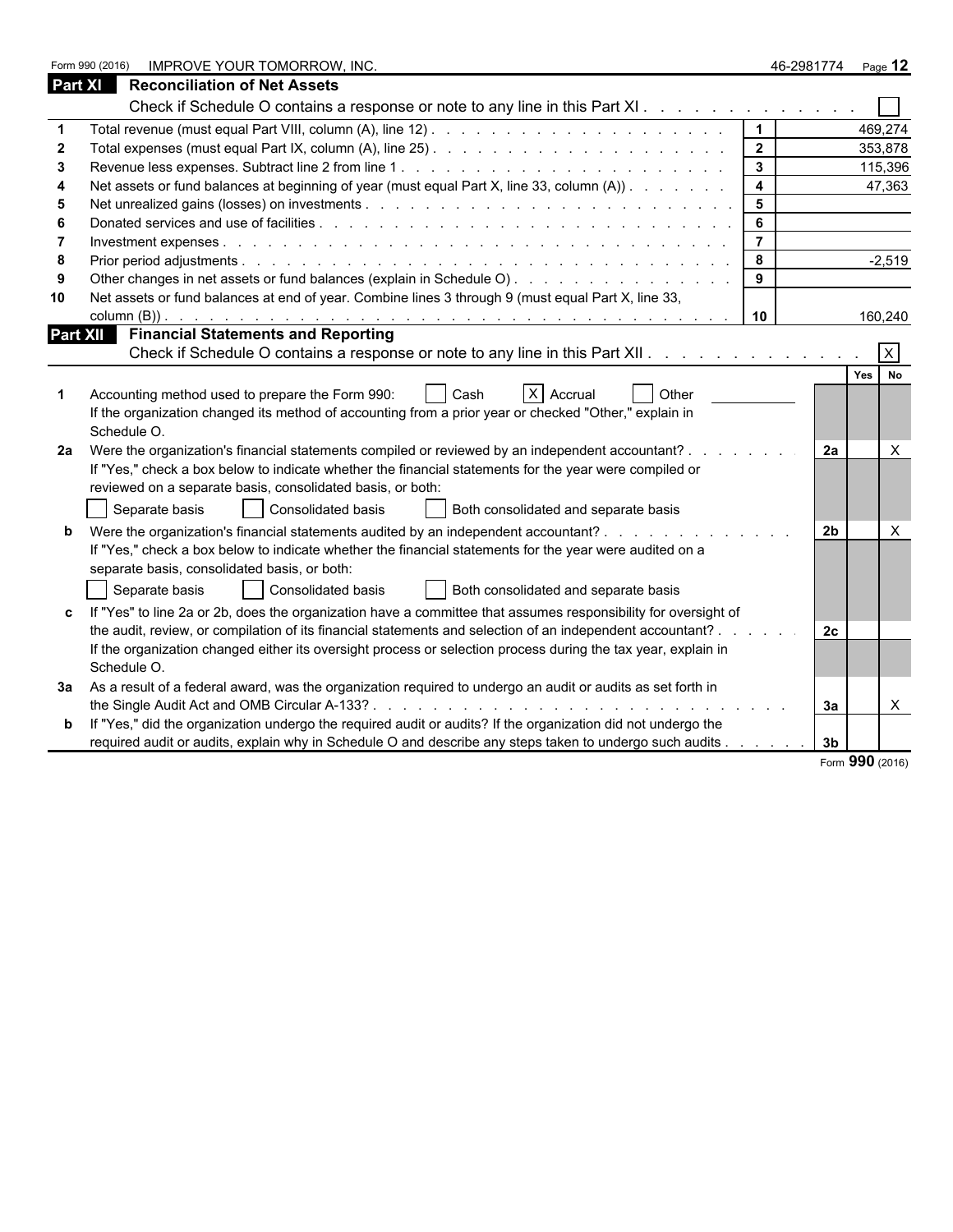|                | Form 990 (2016)<br>IMPROVE YOUR TOMORROW, INC.                                                                                                                                                                                 |                         | 46-2981774     | Page 12            |
|----------------|--------------------------------------------------------------------------------------------------------------------------------------------------------------------------------------------------------------------------------|-------------------------|----------------|--------------------|
| <b>Part XI</b> | <b>Reconciliation of Net Assets</b>                                                                                                                                                                                            |                         |                |                    |
|                | Check if Schedule O contains a response or note to any line in this Part XI                                                                                                                                                    |                         |                |                    |
|                |                                                                                                                                                                                                                                |                         |                | 469,274            |
|                |                                                                                                                                                                                                                                | $\overline{2}$          |                | 353,878            |
|                |                                                                                                                                                                                                                                | $\mathbf{3}$            |                | 115,396            |
|                | Net assets or fund balances at beginning of year (must equal Part X, line 33, column (A))                                                                                                                                      | $\overline{\mathbf{4}}$ |                | 47,363             |
| 5              |                                                                                                                                                                                                                                | $5\phantom{.0}$         |                |                    |
|                | Donated services and use of facilities entering to the entries of the contract of the contract of the contract of the contract of the contract of the contract of the contract of the contract of the contract of the contract | 6                       |                |                    |
|                |                                                                                                                                                                                                                                |                         |                |                    |
| 8              |                                                                                                                                                                                                                                | 8                       |                | $-2,519$           |
|                | Other changes in net assets or fund balances (explain in Schedule O).                                                                                                                                                          | 9                       |                |                    |
| 10             | Net assets or fund balances at end of year. Combine lines 3 through 9 (must equal Part X, line 33,                                                                                                                             |                         |                |                    |
|                |                                                                                                                                                                                                                                | 10                      |                | 160,240            |
|                | <b>Part XII</b> Financial Statements and Reporting                                                                                                                                                                             |                         |                |                    |
|                | Check if Schedule O contains a response or note to any line in this Part XII.                                                                                                                                                  |                         |                | X                  |
|                |                                                                                                                                                                                                                                |                         |                | Yes I<br><b>No</b> |
|                | $X$ Accrual<br>Accounting method used to prepare the Form 990:<br>Cash<br>Other                                                                                                                                                |                         |                |                    |
|                | If the organization changed its method of accounting from a prior year or checked "Other," explain in                                                                                                                          |                         |                |                    |
|                | Schedule O.                                                                                                                                                                                                                    |                         |                |                    |
| 2a             | Were the organization's financial statements compiled or reviewed by an independent accountant?.                                                                                                                               |                         | <b>2a</b>      | X                  |
|                | If "Yes," check a box below to indicate whether the financial statements for the year were compiled or                                                                                                                         |                         |                |                    |
|                | reviewed on a separate basis, consolidated basis, or both:                                                                                                                                                                     |                         |                |                    |
|                | Separate basis<br>Consolidated basis<br>Both consolidated and separate basis                                                                                                                                                   |                         |                |                    |
|                | Were the organization's financial statements audited by an independent accountant?                                                                                                                                             |                         | 2 <sub>b</sub> | $\times$           |
|                | If "Yes," check a box below to indicate whether the financial statements for the year were audited on a                                                                                                                        |                         |                |                    |
|                | separate basis, consolidated basis, or both:                                                                                                                                                                                   |                         |                |                    |
|                | Separate basis<br>Consolidated basis<br>Both consolidated and separate basis                                                                                                                                                   |                         |                |                    |
|                |                                                                                                                                                                                                                                |                         |                |                    |
|                | If "Yes" to line 2a or 2b, does the organization have a committee that assumes responsibility for oversight of                                                                                                                 |                         |                |                    |
|                | the audit, review, or compilation of its financial statements and selection of an independent accountant?.                                                                                                                     |                         | 2c             |                    |
|                | If the organization changed either its oversight process or selection process during the tax year, explain in<br>Schedule O.                                                                                                   |                         |                |                    |
|                |                                                                                                                                                                                                                                |                         |                |                    |
| За             | As a result of a federal award, was the organization required to undergo an audit or audits as set forth in                                                                                                                    |                         |                |                    |
|                |                                                                                                                                                                                                                                |                         | За             | $\mathsf{X}$       |
|                | If "Yes," did the organization undergo the required audit or audits? If the organization did not undergo the                                                                                                                   |                         |                |                    |
|                | required audit or audits, explain why in Schedule O and describe any steps taken to undergo such audits                                                                                                                        |                         | 3 <sub>b</sub> |                    |

|  | Form 990 (2016) |  |
|--|-----------------|--|
|  |                 |  |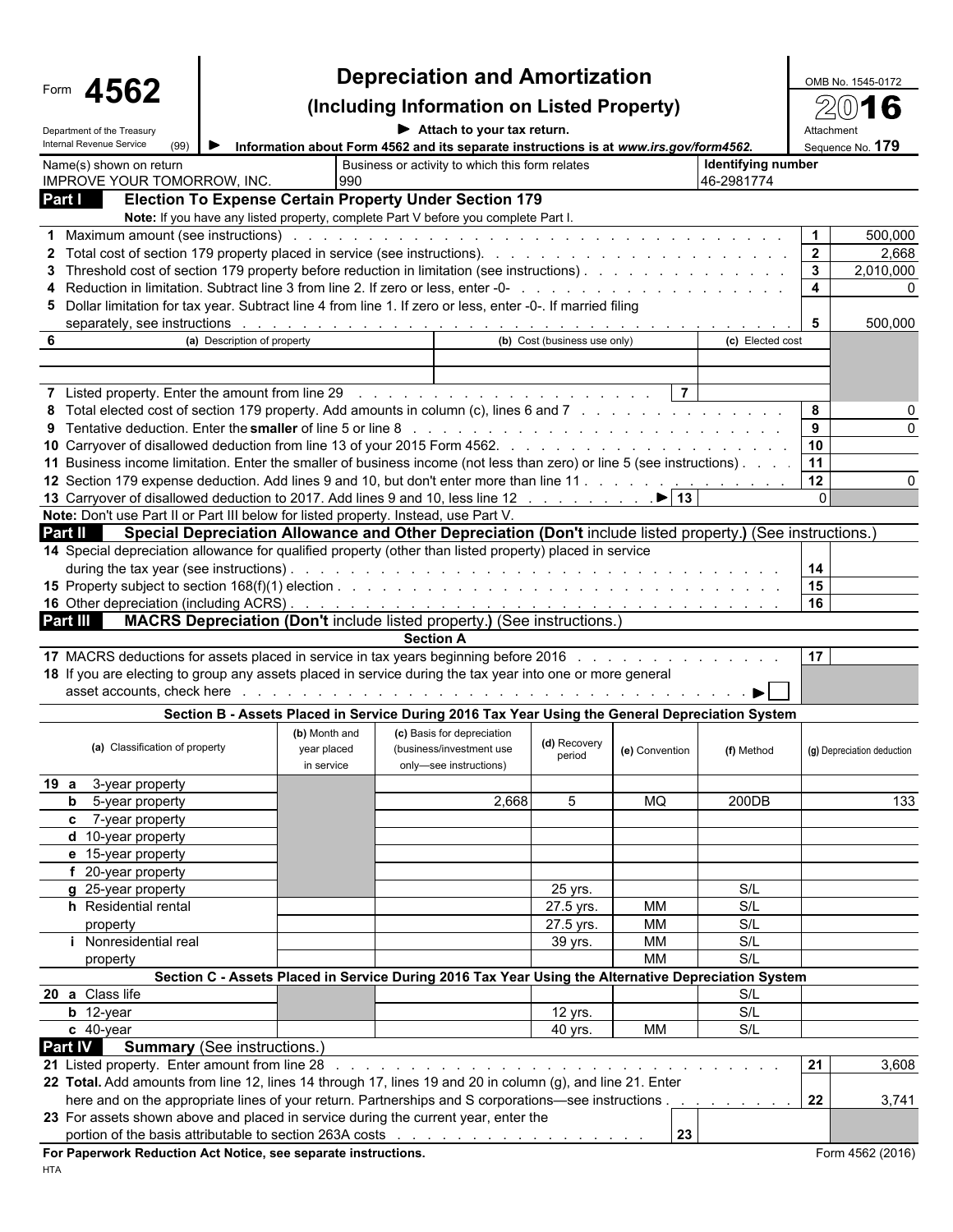|                                                                                                                                                                                                                                                                                                                         |                             |                                            | <b>Depreciation and Amortization</b>                                                                                                                                                                                           |                              |                          |                           |                | OMB No. 1545-0172          |  |  |
|-------------------------------------------------------------------------------------------------------------------------------------------------------------------------------------------------------------------------------------------------------------------------------------------------------------------------|-----------------------------|--------------------------------------------|--------------------------------------------------------------------------------------------------------------------------------------------------------------------------------------------------------------------------------|------------------------------|--------------------------|---------------------------|----------------|----------------------------|--|--|
| 4562<br>Form                                                                                                                                                                                                                                                                                                            |                             | (Including Information on Listed Property) |                                                                                                                                                                                                                                |                              |                          |                           |                |                            |  |  |
| Department of the Treasury                                                                                                                                                                                                                                                                                              |                             |                                            | Attach to your tax return.                                                                                                                                                                                                     |                              |                          |                           | Attachment     |                            |  |  |
| Internal Revenue Service<br>(99)                                                                                                                                                                                                                                                                                        |                             |                                            | Information about Form 4562 and its separate instructions is at www.irs.gov/form4562.                                                                                                                                          |                              |                          |                           |                | Sequence No. 179           |  |  |
| Name(s) shown on return                                                                                                                                                                                                                                                                                                 |                             |                                            | Business or activity to which this form relates                                                                                                                                                                                |                              |                          | <b>Identifying number</b> |                |                            |  |  |
| <b>IMPROVE YOUR TOMORROW, INC.</b><br>Part I                                                                                                                                                                                                                                                                            |                             | 990                                        | <b>Election To Expense Certain Property Under Section 179</b>                                                                                                                                                                  |                              |                          | 46-2981774                |                |                            |  |  |
|                                                                                                                                                                                                                                                                                                                         |                             |                                            | Note: If you have any listed property, complete Part V before you complete Part I.                                                                                                                                             |                              |                          |                           |                |                            |  |  |
| 1 Maximum amount (see instructions).                                                                                                                                                                                                                                                                                    |                             |                                            | and a constitution of the constitution of the constitution of the constitution of the constitution of the constitution of the constitution of the constitution of the constitution of the constitution of the constitution of  |                              |                          |                           | $\overline{1}$ | 500,000                    |  |  |
|                                                                                                                                                                                                                                                                                                                         |                             |                                            |                                                                                                                                                                                                                                |                              |                          |                           | $\overline{2}$ | 2,668                      |  |  |
| 3 Threshold cost of section 179 property before reduction in limitation (see instructions).                                                                                                                                                                                                                             |                             |                                            |                                                                                                                                                                                                                                |                              |                          |                           | 3              | 2,010,000                  |  |  |
| 4<br>5 Dollar limitation for tax year. Subtract line 4 from line 1. If zero or less, enter -0-. If married filing                                                                                                                                                                                                       |                             |                                            |                                                                                                                                                                                                                                |                              |                          |                           | 4              | 0                          |  |  |
|                                                                                                                                                                                                                                                                                                                         |                             |                                            | separately, see instructions enter the content of the content of the content of the content of the content of the content of the content of the content of the content of the content of the content of the content of the con |                              |                          |                           | 5              | 500,000                    |  |  |
| 6                                                                                                                                                                                                                                                                                                                       | (a) Description of property |                                            |                                                                                                                                                                                                                                | (b) Cost (business use only) |                          | (c) Elected cost          |                |                            |  |  |
|                                                                                                                                                                                                                                                                                                                         |                             |                                            |                                                                                                                                                                                                                                |                              |                          |                           |                |                            |  |  |
|                                                                                                                                                                                                                                                                                                                         |                             |                                            |                                                                                                                                                                                                                                |                              | $\overline{7}$           |                           |                |                            |  |  |
| 7 Listed property. Enter the amount from line 29 reading to the content of the content of the content of the content of the content of the content of the content of the content of the content of the content of the content<br>8 Total elected cost of section 179 property. Add amounts in column (c), lines 6 and 7 |                             |                                            |                                                                                                                                                                                                                                |                              |                          |                           | 8              |                            |  |  |
|                                                                                                                                                                                                                                                                                                                         |                             |                                            |                                                                                                                                                                                                                                |                              |                          |                           | 9              |                            |  |  |
|                                                                                                                                                                                                                                                                                                                         |                             |                                            |                                                                                                                                                                                                                                |                              |                          |                           | 10             |                            |  |  |
| 11 Business income limitation. Enter the smaller of business income (not less than zero) or line 5 (see instructions).                                                                                                                                                                                                  |                             |                                            |                                                                                                                                                                                                                                |                              |                          |                           | 11             |                            |  |  |
| 12 Section 179 expense deduction. Add lines 9 and 10, but don't enter more than line 11.                                                                                                                                                                                                                                |                             |                                            |                                                                                                                                                                                                                                |                              |                          |                           | 12             | n                          |  |  |
| 13 Carryover of disallowed deduction to 2017. Add lines 9 and 10, less line 12<br>Note: Don't use Part II or Part III below for listed property. Instead, use Part V.                                                                                                                                                   |                             |                                            |                                                                                                                                                                                                                                |                              | $\blacktriangleright$ 13 |                           | $\overline{0}$ |                            |  |  |
| Part II                                                                                                                                                                                                                                                                                                                 |                             |                                            | Special Depreciation Allowance and Other Depreciation (Don't include listed property.) (See instructions.)                                                                                                                     |                              |                          |                           |                |                            |  |  |
| 14 Special depreciation allowance for qualified property (other than listed property) placed in service                                                                                                                                                                                                                 |                             |                                            |                                                                                                                                                                                                                                |                              |                          |                           |                |                            |  |  |
|                                                                                                                                                                                                                                                                                                                         |                             |                                            |                                                                                                                                                                                                                                |                              |                          |                           | 14             |                            |  |  |
|                                                                                                                                                                                                                                                                                                                         |                             |                                            |                                                                                                                                                                                                                                |                              |                          |                           | 15             |                            |  |  |
|                                                                                                                                                                                                                                                                                                                         |                             |                                            |                                                                                                                                                                                                                                |                              |                          |                           | 16             |                            |  |  |
| Part III                                                                                                                                                                                                                                                                                                                |                             |                                            | MACRS Depreciation (Don't include listed property.) (See instructions.)<br><b>Section A</b>                                                                                                                                    |                              |                          |                           |                |                            |  |  |
|                                                                                                                                                                                                                                                                                                                         |                             |                                            |                                                                                                                                                                                                                                |                              |                          |                           | 17             |                            |  |  |
| 18 If you are electing to group any assets placed in service during the tax year into one or more general                                                                                                                                                                                                               |                             |                                            |                                                                                                                                                                                                                                |                              |                          |                           |                |                            |  |  |
| asset accounts, check here                                                                                                                                                                                                                                                                                              |                             |                                            | the contract of the contract of the contract of the contract of the contract of the contract of the contract of                                                                                                                |                              |                          |                           |                |                            |  |  |
|                                                                                                                                                                                                                                                                                                                         |                             |                                            | Section B - Assets Placed in Service During 2016 Tax Year Using the General Depreciation System                                                                                                                                |                              |                          |                           |                |                            |  |  |
|                                                                                                                                                                                                                                                                                                                         |                             | (b) Month and                              | (c) Basis for depreciation                                                                                                                                                                                                     | (d) Recovery                 |                          |                           |                |                            |  |  |
| (a) Classification of property                                                                                                                                                                                                                                                                                          |                             | year placed                                | (business/investment use                                                                                                                                                                                                       | period                       | (e) Convention           | (f) Method                |                | (g) Depreciation deduction |  |  |
| 19 a 3-year property                                                                                                                                                                                                                                                                                                    |                             | in service                                 | only-see instructions)                                                                                                                                                                                                         |                              |                          |                           |                |                            |  |  |
| <b>b</b> 5-year property                                                                                                                                                                                                                                                                                                |                             |                                            | 2,668                                                                                                                                                                                                                          | 5                            | MQ                       | 200DB                     |                | 133                        |  |  |
| c 7-year property                                                                                                                                                                                                                                                                                                       |                             |                                            |                                                                                                                                                                                                                                |                              |                          |                           |                |                            |  |  |
| d 10-year property                                                                                                                                                                                                                                                                                                      |                             |                                            |                                                                                                                                                                                                                                |                              |                          |                           |                |                            |  |  |
| e 15-year property                                                                                                                                                                                                                                                                                                      |                             |                                            |                                                                                                                                                                                                                                |                              |                          |                           |                |                            |  |  |
| f 20-year property                                                                                                                                                                                                                                                                                                      |                             |                                            |                                                                                                                                                                                                                                |                              |                          |                           |                |                            |  |  |
| g 25-year property                                                                                                                                                                                                                                                                                                      |                             |                                            |                                                                                                                                                                                                                                | 25 yrs.                      |                          | S/L                       |                |                            |  |  |
| h Residential rental<br>property                                                                                                                                                                                                                                                                                        |                             |                                            |                                                                                                                                                                                                                                | 27.5 yrs.<br>27.5 yrs.       | МM<br>МM                 | S/L<br>S/L                |                |                            |  |  |
| Nonresidential real                                                                                                                                                                                                                                                                                                     |                             |                                            |                                                                                                                                                                                                                                | 39 yrs.                      | МM                       | S/L                       |                |                            |  |  |
| property                                                                                                                                                                                                                                                                                                                |                             |                                            |                                                                                                                                                                                                                                |                              | <b>MM</b>                | S/L                       |                |                            |  |  |
|                                                                                                                                                                                                                                                                                                                         |                             |                                            | Section C - Assets Placed in Service During 2016 Tax Year Using the Alternative Depreciation System                                                                                                                            |                              |                          |                           |                |                            |  |  |
| 20 a Class life                                                                                                                                                                                                                                                                                                         |                             |                                            |                                                                                                                                                                                                                                |                              |                          | S/L                       |                |                            |  |  |
| $b$ 12-year                                                                                                                                                                                                                                                                                                             |                             |                                            |                                                                                                                                                                                                                                | 12 yrs.                      |                          | S/L                       |                |                            |  |  |
| c 40-year                                                                                                                                                                                                                                                                                                               |                             |                                            |                                                                                                                                                                                                                                | 40 yrs.                      | МM                       | S/L                       |                |                            |  |  |
| Part IV<br><b>Summary</b> (See instructions.)<br>21 Listed property. Enter amount from line 28                                                                                                                                                                                                                          |                             |                                            |                                                                                                                                                                                                                                |                              |                          |                           | 21             | 3,608                      |  |  |
| 22 Total. Add amounts from line 12, lines 14 through 17, lines 19 and 20 in column (g), and line 21. Enter                                                                                                                                                                                                              |                             |                                            |                                                                                                                                                                                                                                |                              |                          |                           |                |                            |  |  |
|                                                                                                                                                                                                                                                                                                                         |                             |                                            | here and on the appropriate lines of your return. Partnerships and S corporations—see instructions                                                                                                                             |                              |                          |                           | 22             | 3,741                      |  |  |
| 23 For assets shown above and placed in service during the current year, enter the                                                                                                                                                                                                                                      |                             |                                            |                                                                                                                                                                                                                                |                              |                          |                           |                |                            |  |  |
|                                                                                                                                                                                                                                                                                                                         |                             |                                            |                                                                                                                                                                                                                                |                              | 23                       |                           |                |                            |  |  |
| For Paperwork Reduction Act Notice, see separate instructions.                                                                                                                                                                                                                                                          |                             |                                            |                                                                                                                                                                                                                                |                              |                          |                           |                | Form 4562 (2016)           |  |  |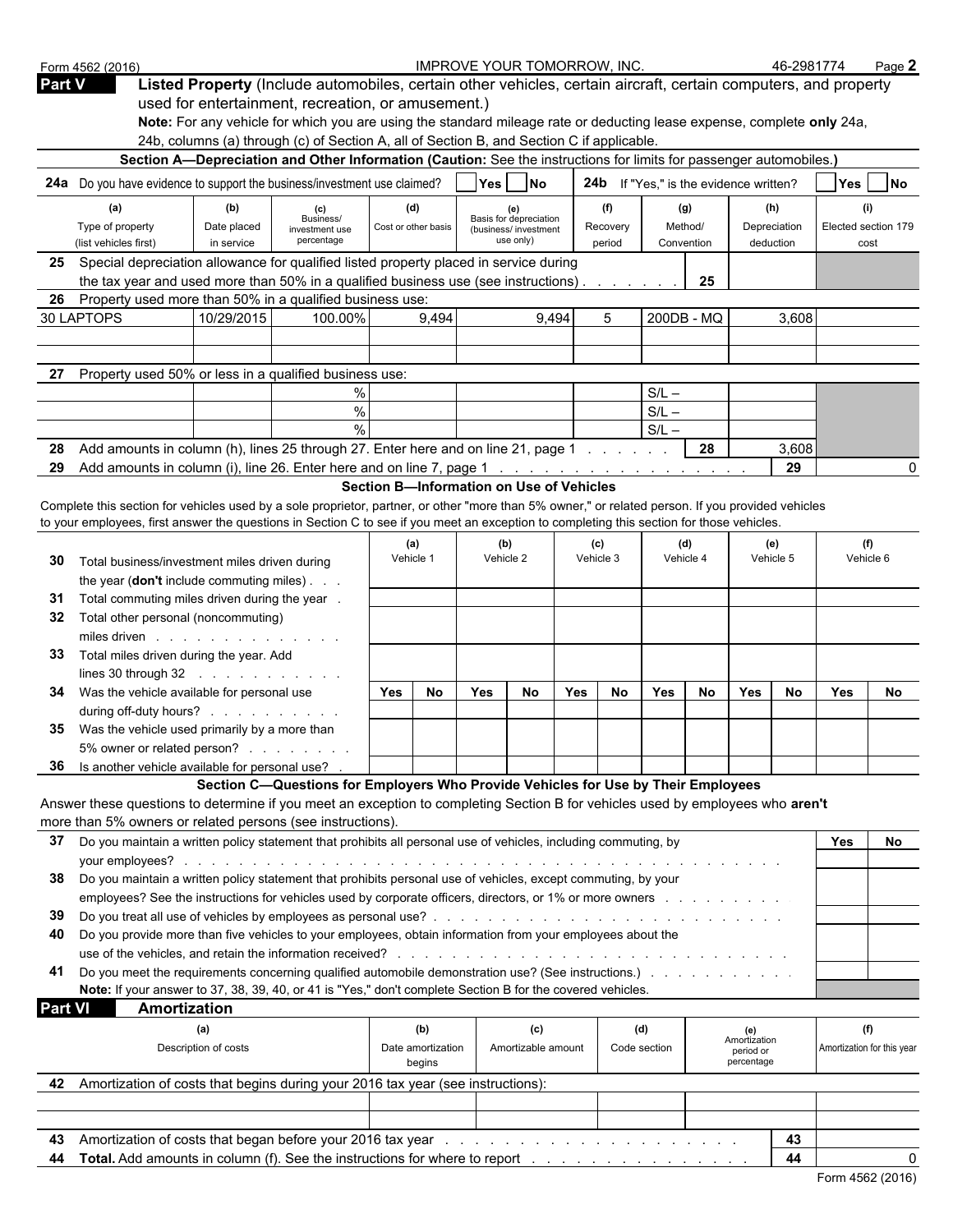| Part V                                              | Form 4562 (2016)                                                                                                                                                                                                  |                             | Listed Property (Include automobiles, certain other vehicles, certain aircraft, certain computers, and property<br>used for entertainment, recreation, or amusement.)                                               |                  |                                    | IMPROVE YOUR TOMORROW, INC.              |                                                |            |                  |                                               |                  |                                                | 46-2981774          |                                   | Page 2           |  |
|-----------------------------------------------------|-------------------------------------------------------------------------------------------------------------------------------------------------------------------------------------------------------------------|-----------------------------|---------------------------------------------------------------------------------------------------------------------------------------------------------------------------------------------------------------------|------------------|------------------------------------|------------------------------------------|------------------------------------------------|------------|------------------|-----------------------------------------------|------------------|------------------------------------------------|---------------------|-----------------------------------|------------------|--|
|                                                     |                                                                                                                                                                                                                   |                             | Note: For any vehicle for which you are using the standard mileage rate or deducting lease expense, complete only 24a,<br>24b, columns (a) through (c) of Section A, all of Section B, and Section C if applicable. |                  |                                    |                                          |                                                |            |                  |                                               |                  |                                                |                     |                                   |                  |  |
|                                                     |                                                                                                                                                                                                                   |                             | Section A-Depreciation and Other Information (Caution: See the instructions for limits for passenger automobiles.)                                                                                                  |                  |                                    |                                          |                                                |            |                  |                                               |                  |                                                |                     |                                   |                  |  |
|                                                     | 24a Do you have evidence to support the business/investment use claimed?                                                                                                                                          |                             |                                                                                                                                                                                                                     |                  |                                    |                                          | Yes No                                         |            |                  | <b>24b</b> If "Yes," is the evidence written? |                  |                                                |                     | Yes                               | N <sub>O</sub>   |  |
|                                                     | (a)<br>Type of property                                                                                                                                                                                           | (b)<br>Date placed          | (c)<br>Business/<br>investment use                                                                                                                                                                                  |                  | (d)<br>Cost or other basis         |                                          | Basis for depreciation<br>(business/investment |            | (f)<br>Recovery  |                                               | (g)<br>Method/   |                                                | (h)<br>Depreciation | (i)<br>Elected section 179        |                  |  |
| 25.                                                 | (list vehicles first)<br>Special depreciation allowance for qualified listed property placed in service during                                                                                                    | in service                  | percentage                                                                                                                                                                                                          |                  |                                    |                                          | use only)                                      |            | period           |                                               | Convention       |                                                | deduction           | cost                              |                  |  |
|                                                     | the tax year and used more than 50% in a qualified business use (see instructions). $\ldots$                                                                                                                      |                             |                                                                                                                                                                                                                     |                  |                                    |                                          |                                                |            |                  |                                               | 25               |                                                |                     |                                   |                  |  |
| 26                                                  | Property used more than 50% in a qualified business use:                                                                                                                                                          |                             |                                                                                                                                                                                                                     |                  |                                    |                                          |                                                |            |                  |                                               |                  |                                                |                     |                                   |                  |  |
|                                                     | 30 LAPTOPS                                                                                                                                                                                                        | 10/29/2015                  | 100.00%                                                                                                                                                                                                             |                  | 9,494                              |                                          |                                                | 9,494      | 5                |                                               | 200DB - MQ       |                                                | 3,608               |                                   |                  |  |
|                                                     |                                                                                                                                                                                                                   |                             |                                                                                                                                                                                                                     |                  |                                    |                                          |                                                |            |                  |                                               |                  |                                                |                     |                                   |                  |  |
| 27                                                  | Property used 50% or less in a qualified business use:                                                                                                                                                            |                             |                                                                                                                                                                                                                     |                  |                                    |                                          |                                                |            |                  |                                               |                  |                                                |                     |                                   |                  |  |
|                                                     |                                                                                                                                                                                                                   |                             |                                                                                                                                                                                                                     |                  |                                    |                                          |                                                |            |                  | $S/L -$                                       |                  |                                                |                     |                                   |                  |  |
|                                                     |                                                                                                                                                                                                                   |                             | $\%$                                                                                                                                                                                                                |                  |                                    |                                          |                                                |            |                  | $S/L -$                                       |                  |                                                |                     |                                   |                  |  |
|                                                     |                                                                                                                                                                                                                   |                             | $\%$                                                                                                                                                                                                                |                  |                                    |                                          |                                                |            |                  | $S/L -$                                       |                  |                                                |                     |                                   |                  |  |
| 28                                                  | Add amounts in column (h), lines 25 through 27. Enter here and on line 21, page 1                                                                                                                                 |                             |                                                                                                                                                                                                                     |                  |                                    |                                          |                                                |            |                  |                                               | 28               |                                                | 3,608               |                                   |                  |  |
| 29                                                  |                                                                                                                                                                                                                   |                             |                                                                                                                                                                                                                     |                  |                                    |                                          |                                                |            |                  |                                               |                  |                                                | 29                  |                                   | 0                |  |
|                                                     |                                                                                                                                                                                                                   |                             |                                                                                                                                                                                                                     |                  |                                    | Section B-Information on Use of Vehicles |                                                |            |                  |                                               |                  |                                                |                     |                                   |                  |  |
|                                                     | Complete this section for vehicles used by a sole proprietor, partner, or other "more than 5% owner," or related person. If you provided vehicles                                                                 |                             |                                                                                                                                                                                                                     |                  |                                    |                                          |                                                |            |                  |                                               |                  |                                                |                     |                                   |                  |  |
|                                                     | to your employees, first answer the questions in Section C to see if you meet an exception to completing this section for those vehicles.                                                                         |                             |                                                                                                                                                                                                                     |                  |                                    |                                          |                                                |            |                  |                                               |                  |                                                |                     |                                   |                  |  |
| 30<br>Total business/investment miles driven during |                                                                                                                                                                                                                   |                             |                                                                                                                                                                                                                     | (a)<br>Vehicle 1 |                                    |                                          | (b)<br>Vehicle 2                               |            | (c)<br>Vehicle 3 |                                               | (d)<br>Vehicle 4 |                                                | (e)<br>Vehicle 5    |                                   | (f)<br>Vehicle 6 |  |
|                                                     | the year (don't include commuting miles)                                                                                                                                                                          |                             |                                                                                                                                                                                                                     |                  |                                    |                                          |                                                |            |                  |                                               |                  |                                                |                     |                                   |                  |  |
| 31                                                  | Total commuting miles driven during the year .                                                                                                                                                                    |                             |                                                                                                                                                                                                                     |                  |                                    |                                          |                                                |            |                  |                                               |                  |                                                |                     |                                   |                  |  |
| 32                                                  | Total other personal (noncommuting)                                                                                                                                                                               |                             |                                                                                                                                                                                                                     |                  |                                    |                                          |                                                |            |                  |                                               |                  |                                                |                     |                                   |                  |  |
|                                                     | miles driven in the set of the set of the set of the set of the set of the set of the set of the set of the se                                                                                                    |                             |                                                                                                                                                                                                                     |                  |                                    |                                          |                                                |            |                  |                                               |                  |                                                |                     |                                   |                  |  |
| 33                                                  | Total miles driven during the year. Add                                                                                                                                                                           |                             |                                                                                                                                                                                                                     |                  |                                    |                                          |                                                |            |                  |                                               |                  |                                                |                     |                                   |                  |  |
| 34                                                  | lines 30 through $32$<br>Was the vehicle available for personal use                                                                                                                                               |                             |                                                                                                                                                                                                                     | Yes              | No                                 | <b>Yes</b>                               | No                                             | <b>Yes</b> | <b>No</b>        | Yes                                           | No               | Yes                                            | No                  | <b>Yes</b>                        | No               |  |
|                                                     | during off-duty hours?                                                                                                                                                                                            |                             |                                                                                                                                                                                                                     |                  |                                    |                                          |                                                |            |                  |                                               |                  |                                                |                     |                                   |                  |  |
| 35                                                  | Was the vehicle used primarily by a more than                                                                                                                                                                     |                             |                                                                                                                                                                                                                     |                  |                                    |                                          |                                                |            |                  |                                               |                  |                                                |                     |                                   |                  |  |
|                                                     | 5% owner or related person?                                                                                                                                                                                       |                             |                                                                                                                                                                                                                     |                  |                                    |                                          |                                                |            |                  |                                               |                  |                                                |                     |                                   |                  |  |
| 36                                                  | Is another vehicle available for personal use? .                                                                                                                                                                  |                             |                                                                                                                                                                                                                     |                  |                                    |                                          |                                                |            |                  |                                               |                  |                                                |                     |                                   |                  |  |
|                                                     |                                                                                                                                                                                                                   |                             | Section C-Questions for Employers Who Provide Vehicles for Use by Their Employees                                                                                                                                   |                  |                                    |                                          |                                                |            |                  |                                               |                  |                                                |                     |                                   |                  |  |
|                                                     | Answer these questions to determine if you meet an exception to completing Section B for vehicles used by employees who aren't                                                                                    |                             |                                                                                                                                                                                                                     |                  |                                    |                                          |                                                |            |                  |                                               |                  |                                                |                     |                                   |                  |  |
|                                                     | more than 5% owners or related persons (see instructions).                                                                                                                                                        |                             |                                                                                                                                                                                                                     |                  |                                    |                                          |                                                |            |                  |                                               |                  |                                                |                     |                                   |                  |  |
| 37                                                  | Do you maintain a written policy statement that prohibits all personal use of vehicles, including commuting, by                                                                                                   |                             |                                                                                                                                                                                                                     |                  |                                    |                                          |                                                |            |                  |                                               |                  |                                                |                     | Yes                               | No               |  |
|                                                     |                                                                                                                                                                                                                   |                             |                                                                                                                                                                                                                     |                  |                                    |                                          |                                                |            |                  |                                               |                  |                                                |                     |                                   |                  |  |
| 38                                                  | Do you maintain a written policy statement that prohibits personal use of vehicles, except commuting, by your                                                                                                     |                             |                                                                                                                                                                                                                     |                  |                                    |                                          |                                                |            |                  |                                               |                  |                                                |                     |                                   |                  |  |
|                                                     | employees? See the instructions for vehicles used by corporate officers, directors, or 1% or more owners                                                                                                          |                             |                                                                                                                                                                                                                     |                  |                                    |                                          |                                                |            |                  |                                               |                  |                                                |                     |                                   |                  |  |
| 39                                                  |                                                                                                                                                                                                                   |                             |                                                                                                                                                                                                                     |                  |                                    |                                          |                                                |            |                  |                                               |                  |                                                |                     |                                   |                  |  |
| 40                                                  | Do you provide more than five vehicles to your employees, obtain information from your employees about the                                                                                                        |                             |                                                                                                                                                                                                                     |                  |                                    |                                          |                                                |            |                  |                                               |                  |                                                |                     |                                   |                  |  |
|                                                     |                                                                                                                                                                                                                   |                             |                                                                                                                                                                                                                     |                  |                                    |                                          |                                                |            |                  |                                               |                  |                                                |                     |                                   |                  |  |
| 41                                                  | Do you meet the requirements concerning qualified automobile demonstration use? (See instructions.)<br>Note: If your answer to 37, 38, 39, 40, or 41 is "Yes," don't complete Section B for the covered vehicles. |                             |                                                                                                                                                                                                                     |                  |                                    |                                          |                                                |            |                  |                                               |                  |                                                |                     |                                   |                  |  |
| <b>Part VI</b>                                      | Amortization                                                                                                                                                                                                      |                             |                                                                                                                                                                                                                     |                  |                                    |                                          |                                                |            |                  |                                               |                  |                                                |                     |                                   |                  |  |
|                                                     |                                                                                                                                                                                                                   |                             |                                                                                                                                                                                                                     |                  |                                    |                                          |                                                |            |                  |                                               |                  |                                                |                     |                                   |                  |  |
|                                                     |                                                                                                                                                                                                                   | (a)<br>Description of costs |                                                                                                                                                                                                                     |                  | (b)<br>Date amortization<br>begins |                                          | (c)<br>Amortizable amount                      |            |                  | (d)<br>Code section                           |                  | (e)<br>Amortization<br>period or<br>percentage |                     | (f)<br>Amortization for this year |                  |  |
|                                                     | 42 Amortization of costs that begins during your 2016 tax year (see instructions):                                                                                                                                |                             |                                                                                                                                                                                                                     |                  |                                    |                                          |                                                |            |                  |                                               |                  |                                                |                     |                                   |                  |  |
|                                                     |                                                                                                                                                                                                                   |                             |                                                                                                                                                                                                                     |                  |                                    |                                          |                                                |            |                  |                                               |                  |                                                |                     |                                   |                  |  |
|                                                     |                                                                                                                                                                                                                   |                             |                                                                                                                                                                                                                     |                  |                                    |                                          |                                                |            |                  |                                               |                  |                                                |                     |                                   |                  |  |
| 43                                                  |                                                                                                                                                                                                                   |                             |                                                                                                                                                                                                                     |                  |                                    |                                          |                                                |            |                  |                                               |                  |                                                | 43                  |                                   |                  |  |
| 44                                                  | Total. Add amounts in column (f). See the instructions for where to report                                                                                                                                        |                             |                                                                                                                                                                                                                     |                  |                                    |                                          |                                                |            |                  |                                               |                  |                                                | 44                  |                                   | 0                |  |
|                                                     |                                                                                                                                                                                                                   |                             |                                                                                                                                                                                                                     |                  |                                    |                                          |                                                |            |                  |                                               |                  |                                                |                     | Eorm 4562 (2016)                  |                  |  |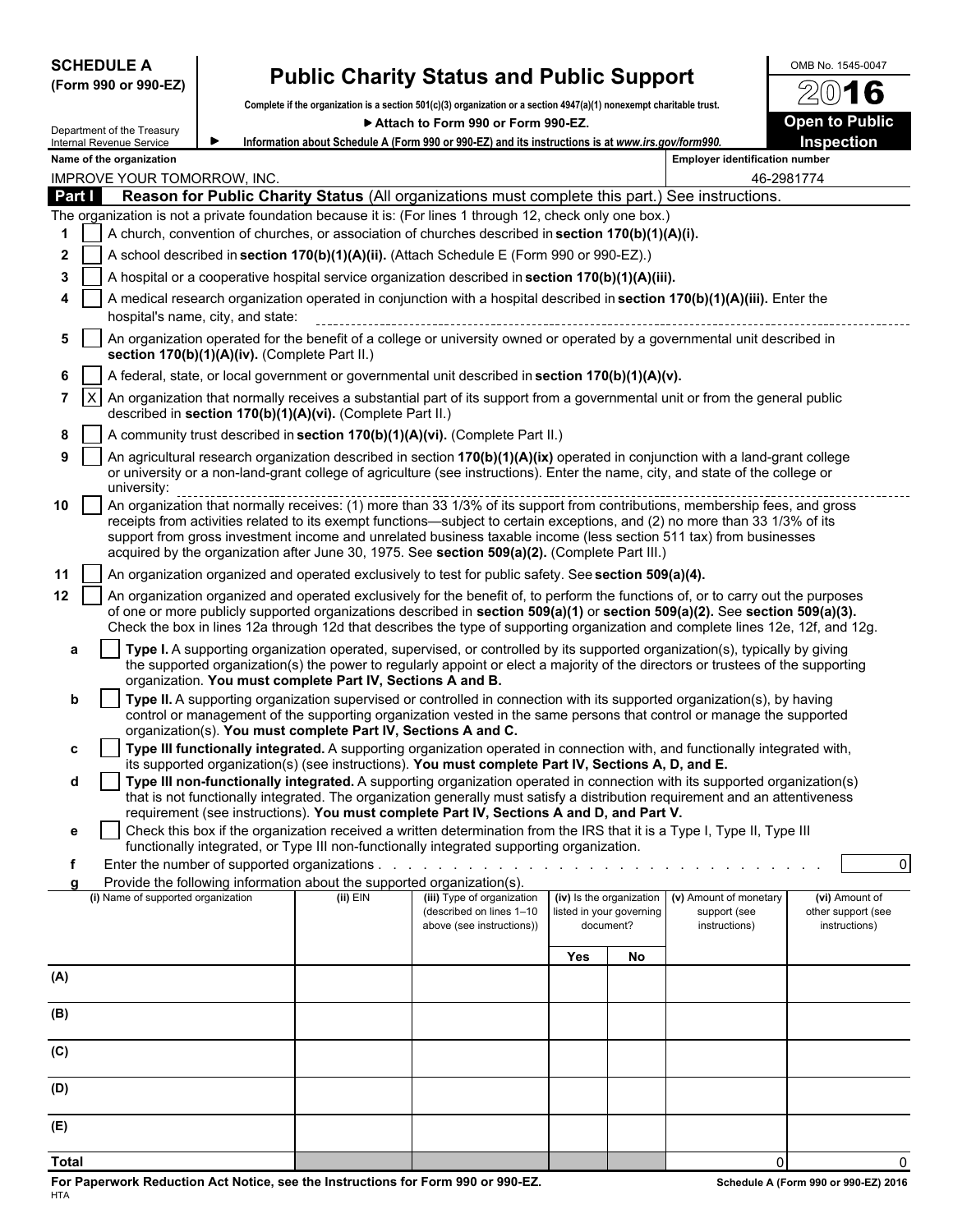| <b>SCHEDULE A</b> |  |
|-------------------|--|
|-------------------|--|

#### **(Form 990 or 990-EZ)**

# **Public Charity Status and Public Support**  $\frac{\text{OMB No. 1545-0047}}{\text{OMB No. 1545-0047}}$

**Complete if the organization is a section 501(c)(3) organization or a section 4947(a)(1) nonexempt charitable trust.**

|              | Department of the Treasury         |                                               |                                                                        | Attach to Form 990 or Form 990-EZ.                                                                                                                                                                                                                                                                                                                                                                                                                                                              |     |                                                                   |                                                         | <b>Open to Public</b>                                 |
|--------------|------------------------------------|-----------------------------------------------|------------------------------------------------------------------------|-------------------------------------------------------------------------------------------------------------------------------------------------------------------------------------------------------------------------------------------------------------------------------------------------------------------------------------------------------------------------------------------------------------------------------------------------------------------------------------------------|-----|-------------------------------------------------------------------|---------------------------------------------------------|-------------------------------------------------------|
|              | Internal Revenue Service           |                                               |                                                                        | Information about Schedule A (Form 990 or 990-EZ) and its instructions is at www.irs.gov/form990.                                                                                                                                                                                                                                                                                                                                                                                               |     |                                                                   |                                                         | <b>Inspection</b>                                     |
|              | Name of the organization           |                                               |                                                                        |                                                                                                                                                                                                                                                                                                                                                                                                                                                                                                 |     |                                                                   | <b>Employer identification number</b>                   |                                                       |
|              | IMPROVE YOUR TOMORROW, INC.        |                                               |                                                                        |                                                                                                                                                                                                                                                                                                                                                                                                                                                                                                 |     |                                                                   |                                                         | 46-2981774                                            |
| Part I       |                                    |                                               |                                                                        | Reason for Public Charity Status (All organizations must complete this part.) See instructions.                                                                                                                                                                                                                                                                                                                                                                                                 |     |                                                                   |                                                         |                                                       |
|              |                                    |                                               |                                                                        | The organization is not a private foundation because it is: (For lines 1 through 12, check only one box.)                                                                                                                                                                                                                                                                                                                                                                                       |     |                                                                   |                                                         |                                                       |
| 1            |                                    |                                               |                                                                        | A church, convention of churches, or association of churches described in section 170(b)(1)(A)(i).                                                                                                                                                                                                                                                                                                                                                                                              |     |                                                                   |                                                         |                                                       |
| 2            |                                    |                                               |                                                                        | A school described in section 170(b)(1)(A)(ii). (Attach Schedule E (Form 990 or 990-EZ).)                                                                                                                                                                                                                                                                                                                                                                                                       |     |                                                                   |                                                         |                                                       |
| 3            |                                    |                                               |                                                                        | A hospital or a cooperative hospital service organization described in section 170(b)(1)(A)(iii).                                                                                                                                                                                                                                                                                                                                                                                               |     |                                                                   |                                                         |                                                       |
| 4            |                                    | hospital's name, city, and state:             |                                                                        | A medical research organization operated in conjunction with a hospital described in section 170(b)(1)(A)(iii). Enter the                                                                                                                                                                                                                                                                                                                                                                       |     |                                                                   |                                                         |                                                       |
| 5            |                                    | section 170(b)(1)(A)(iv). (Complete Part II.) |                                                                        | An organization operated for the benefit of a college or university owned or operated by a governmental unit described in                                                                                                                                                                                                                                                                                                                                                                       |     |                                                                   |                                                         |                                                       |
| 6            |                                    |                                               |                                                                        | A federal, state, or local government or governmental unit described in section 170(b)(1)(A)(v).                                                                                                                                                                                                                                                                                                                                                                                                |     |                                                                   |                                                         |                                                       |
| $\mathbf{7}$ | $\mathsf{X}$                       |                                               | described in section 170(b)(1)(A)(vi). (Complete Part II.)             | An organization that normally receives a substantial part of its support from a governmental unit or from the general public                                                                                                                                                                                                                                                                                                                                                                    |     |                                                                   |                                                         |                                                       |
| 8            |                                    |                                               |                                                                        | A community trust described in section 170(b)(1)(A)(vi). (Complete Part II.)                                                                                                                                                                                                                                                                                                                                                                                                                    |     |                                                                   |                                                         |                                                       |
| 9            | university:                        |                                               |                                                                        | An agricultural research organization described in section 170(b)(1)(A)(ix) operated in conjunction with a land-grant college<br>or university or a non-land-grant college of agriculture (see instructions). Enter the name, city, and state of the college or                                                                                                                                                                                                                                 |     |                                                                   |                                                         |                                                       |
| 10           |                                    |                                               |                                                                        | dinversity.<br>An organization that normally receives: (1) more than 33 1/3% of its support from contributions, membership fees, and gross<br>receipts from activities related to its exempt functions—subject to certain exceptions, and (2) no more than 33 1/3% of its<br>support from gross investment income and unrelated business taxable income (less section 511 tax) from businesses<br>acquired by the organization after June 30, 1975. See section 509(a)(2). (Complete Part III.) |     |                                                                   |                                                         |                                                       |
| 11           |                                    |                                               |                                                                        | An organization organized and operated exclusively to test for public safety. See section 509(a)(4).                                                                                                                                                                                                                                                                                                                                                                                            |     |                                                                   |                                                         |                                                       |
| 12           |                                    |                                               |                                                                        | An organization organized and operated exclusively for the benefit of, to perform the functions of, or to carry out the purposes<br>of one or more publicly supported organizations described in section 509(a)(1) or section 509(a)(2). See section 509(a)(3).<br>Check the box in lines 12a through 12d that describes the type of supporting organization and complete lines 12e, 12f, and 12g.                                                                                              |     |                                                                   |                                                         |                                                       |
| a            |                                    |                                               | organization. You must complete Part IV, Sections A and B.             | Type I. A supporting organization operated, supervised, or controlled by its supported organization(s), typically by giving<br>the supported organization(s) the power to regularly appoint or elect a majority of the directors or trustees of the supporting                                                                                                                                                                                                                                  |     |                                                                   |                                                         |                                                       |
| b            |                                    |                                               |                                                                        | Type II. A supporting organization supervised or controlled in connection with its supported organization(s), by having<br>control or management of the supporting organization vested in the same persons that control or manage the supported                                                                                                                                                                                                                                                 |     |                                                                   |                                                         |                                                       |
|              |                                    |                                               | organization(s). You must complete Part IV, Sections A and C.          | Type III functionally integrated. A supporting organization operated in connection with, and functionally integrated with,                                                                                                                                                                                                                                                                                                                                                                      |     |                                                                   |                                                         |                                                       |
| c            |                                    |                                               |                                                                        | its supported organization(s) (see instructions). You must complete Part IV, Sections A, D, and E.                                                                                                                                                                                                                                                                                                                                                                                              |     |                                                                   |                                                         |                                                       |
| d            |                                    |                                               |                                                                        | Type III non-functionally integrated. A supporting organization operated in connection with its supported organization(s)<br>that is not functionally integrated. The organization generally must satisfy a distribution requirement and an attentiveness                                                                                                                                                                                                                                       |     |                                                                   |                                                         |                                                       |
| e            |                                    |                                               |                                                                        | requirement (see instructions). You must complete Part IV, Sections A and D, and Part V.<br>Check this box if the organization received a written determination from the IRS that it is a Type I, Type II, Type III<br>functionally integrated, or Type III non-functionally integrated supporting organization.                                                                                                                                                                                |     |                                                                   |                                                         |                                                       |
| f            |                                    |                                               |                                                                        | Enter the number of supported organizations                                                                                                                                                                                                                                                                                                                                                                                                                                                     |     |                                                                   |                                                         | $\overline{0}$                                        |
| a            |                                    |                                               | Provide the following information about the supported organization(s). |                                                                                                                                                                                                                                                                                                                                                                                                                                                                                                 |     |                                                                   |                                                         |                                                       |
|              | (i) Name of supported organization |                                               | $(ii)$ EIN                                                             | (iii) Type of organization<br>(described on lines 1-10<br>above (see instructions))                                                                                                                                                                                                                                                                                                                                                                                                             |     | (iv) Is the organization<br>listed in your governing<br>document? | (v) Amount of monetary<br>support (see<br>instructions) | (vi) Amount of<br>other support (see<br>instructions) |
|              |                                    |                                               |                                                                        |                                                                                                                                                                                                                                                                                                                                                                                                                                                                                                 | Yes | No                                                                |                                                         |                                                       |
| (A)          |                                    |                                               |                                                                        |                                                                                                                                                                                                                                                                                                                                                                                                                                                                                                 |     |                                                                   |                                                         |                                                       |
| (B)          |                                    |                                               |                                                                        |                                                                                                                                                                                                                                                                                                                                                                                                                                                                                                 |     |                                                                   |                                                         |                                                       |
| (C)          |                                    |                                               |                                                                        |                                                                                                                                                                                                                                                                                                                                                                                                                                                                                                 |     |                                                                   |                                                         |                                                       |
| (D)          |                                    |                                               |                                                                        |                                                                                                                                                                                                                                                                                                                                                                                                                                                                                                 |     |                                                                   |                                                         |                                                       |
| (E)          |                                    |                                               |                                                                        |                                                                                                                                                                                                                                                                                                                                                                                                                                                                                                 |     |                                                                   |                                                         |                                                       |

**Total** 0 0

For Paperwork Reduction Act Notice, see the Instructions for Form 990 or 990-EZ. Schedule A (Form 990 or 990-EZ) 2016 HTA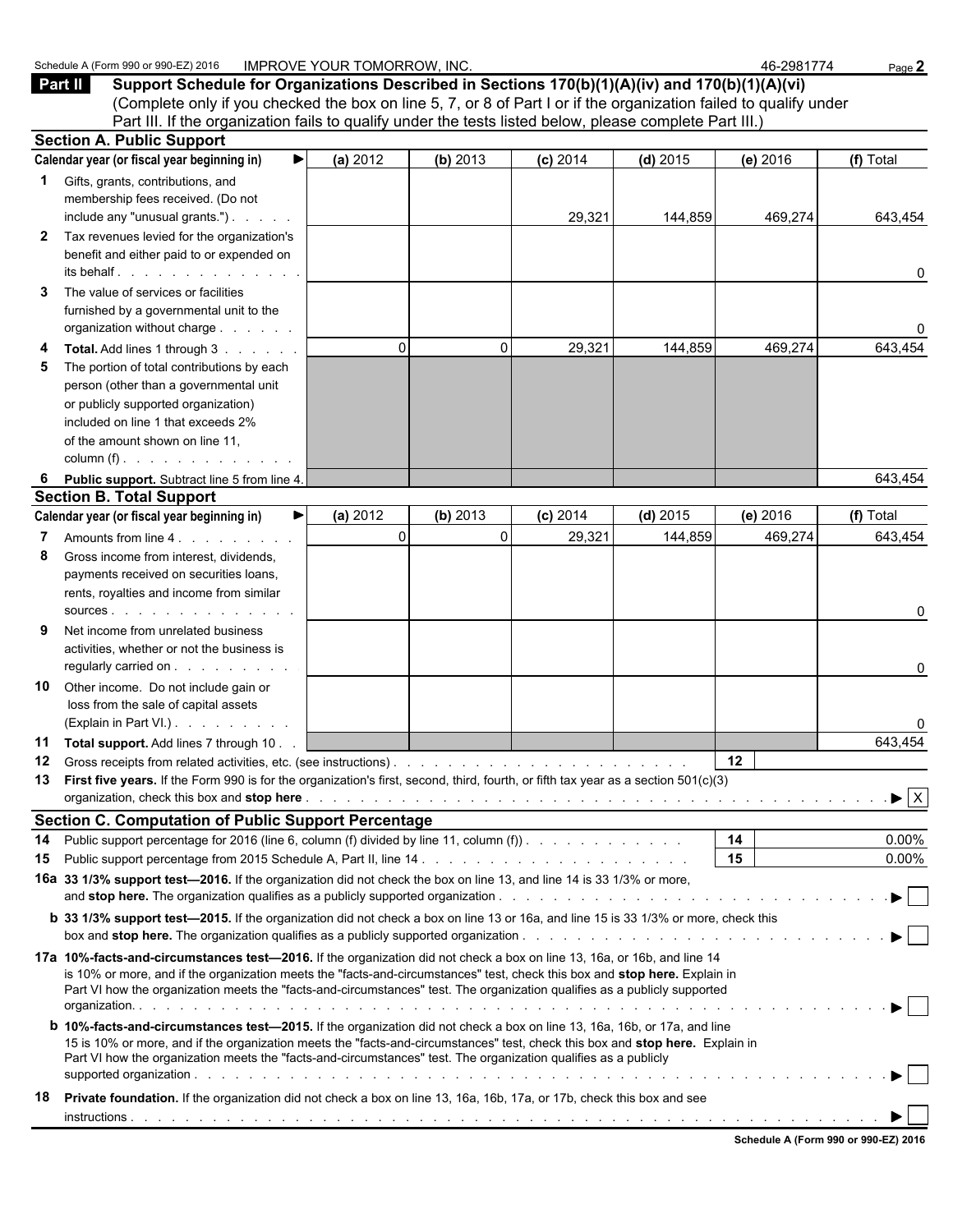|              | Schedule A (Form 990 or 990-EZ) 2016                                                                                                                                                                                                                                                                                                                                                                                | <b>IMPROVE YOUR TOMORROW, INC.</b> |          |            |            | 46-2981774       | Page 2                               |  |  |
|--------------|---------------------------------------------------------------------------------------------------------------------------------------------------------------------------------------------------------------------------------------------------------------------------------------------------------------------------------------------------------------------------------------------------------------------|------------------------------------|----------|------------|------------|------------------|--------------------------------------|--|--|
|              | Support Schedule for Organizations Described in Sections 170(b)(1)(A)(iv) and 170(b)(1)(A)(vi)<br>Part II<br>(Complete only if you checked the box on line 5, 7, or 8 of Part I or if the organization failed to qualify under<br>Part III. If the organization fails to qualify under the tests listed below, please complete Part III.)                                                                           |                                    |          |            |            |                  |                                      |  |  |
|              | <b>Section A. Public Support</b>                                                                                                                                                                                                                                                                                                                                                                                    |                                    |          |            |            |                  |                                      |  |  |
|              | Calendar year (or fiscal year beginning in)<br>▶                                                                                                                                                                                                                                                                                                                                                                    | (a) 2012                           | (b) 2013 | $(c)$ 2014 | $(d)$ 2015 | (e) 2016         | (f) Total                            |  |  |
| 1.           | Gifts, grants, contributions, and<br>membership fees received. (Do not<br>include any "unusual grants.")                                                                                                                                                                                                                                                                                                            |                                    |          |            |            |                  |                                      |  |  |
| $\mathbf{2}$ | Tax revenues levied for the organization's<br>benefit and either paid to or expended on<br>its behalf $\cdots$ $\cdots$ $\cdots$ $\cdots$                                                                                                                                                                                                                                                                           |                                    |          | 29,321     | 144,859    | 469,274          | 643,454<br>0                         |  |  |
| 3            | The value of services or facilities<br>furnished by a governmental unit to the<br>organization without charge                                                                                                                                                                                                                                                                                                       |                                    |          |            |            |                  |                                      |  |  |
| 4<br>5       | Total. Add lines 1 through 3<br>The portion of total contributions by each<br>person (other than a governmental unit<br>or publicly supported organization)<br>included on line 1 that exceeds 2%<br>of the amount shown on line 11,<br>column (f) $\ldots$ $\ldots$ $\ldots$ $\ldots$ $\ldots$                                                                                                                     | $\mathbf{0}$                       | 0        | 29,321     | 144,859    | 469,274          | 643,454                              |  |  |
| 6            | Public support. Subtract line 5 from line 4.                                                                                                                                                                                                                                                                                                                                                                        |                                    |          |            |            |                  | 643,454                              |  |  |
|              | <b>Section B. Total Support</b>                                                                                                                                                                                                                                                                                                                                                                                     |                                    |          |            |            |                  |                                      |  |  |
|              | Calendar year (or fiscal year beginning in)<br>▶                                                                                                                                                                                                                                                                                                                                                                    | (a) 2012                           | (b) 2013 | $(c)$ 2014 | $(d)$ 2015 | (e) 2016         | (f) Total                            |  |  |
| 7<br>8       | Amounts from line 4.<br>Gross income from interest, dividends,<br>payments received on securities loans,<br>rents, royalties and income from similar                                                                                                                                                                                                                                                                | 0                                  | $\Omega$ | 29,321     | 144,859    | 469,274          | 643,454                              |  |  |
| 9<br>10      | Net income from unrelated business<br>activities, whether or not the business is<br>regularly carried on<br>Other income. Do not include gain or                                                                                                                                                                                                                                                                    |                                    |          |            |            |                  | 0<br>0                               |  |  |
|              | loss from the sale of capital assets<br>(Explain in Part VI.)                                                                                                                                                                                                                                                                                                                                                       |                                    |          |            |            |                  |                                      |  |  |
| 12           | 11 Total support. Add lines 7 through 10<br>13 First five years. If the Form 990 is for the organization's first, second, third, fourth, or fifth tax year as a section 501(c)(3)<br>organization, check this box and stop here enterpresent and the state of the state of the state of the state of the state of the state of the state of the state of the state of the state of the state of the state of the st |                                    |          |            |            | 12 <sup>12</sup> | 643,454<br>$\mathbf{F}$ $\mathbf{X}$ |  |  |
|              | <b>Section C. Computation of Public Support Percentage</b>                                                                                                                                                                                                                                                                                                                                                          |                                    |          |            |            |                  |                                      |  |  |
| 14           | Public support percentage for 2016 (line 6, column (f) divided by line 11, column (f)).                                                                                                                                                                                                                                                                                                                             |                                    |          |            |            | 14               | $0.00\%$                             |  |  |
| 15           |                                                                                                                                                                                                                                                                                                                                                                                                                     |                                    |          |            |            | 15               | $0.00\%$                             |  |  |
|              | 16a 33 1/3% support test-2016. If the organization did not check the box on line 13, and line 14 is 33 1/3% or more,                                                                                                                                                                                                                                                                                                |                                    |          |            |            |                  |                                      |  |  |
|              | b 33 1/3% support test-2015. If the organization did not check a box on line 13 or 16a, and line 15 is 33 1/3% or more, check this                                                                                                                                                                                                                                                                                  |                                    |          |            |            |                  |                                      |  |  |
|              | 17a 10%-facts-and-circumstances test-2016. If the organization did not check a box on line 13, 16a, or 16b, and line 14<br>is 10% or more, and if the organization meets the "facts-and-circumstances" test, check this box and stop here. Explain in<br>Part VI how the organization meets the "facts-and-circumstances" test. The organization qualifies as a publicly supported                                  |                                    |          |            |            |                  |                                      |  |  |
|              | <b>b</b> 10%-facts-and-circumstances test-2015. If the organization did not check a box on line 13, 16a, 16b, or 17a, and line<br>15 is 10% or more, and if the organization meets the "facts-and-circumstances" test, check this box and stop here. Explain in<br>Part VI how the organization meets the "facts-and-circumstances" test. The organization qualifies as a publicly                                  |                                    |          |            |            |                  |                                      |  |  |
| 18           | Private foundation. If the organization did not check a box on line 13, 16a, 16b, 17a, or 17b, check this box and see                                                                                                                                                                                                                                                                                               |                                    |          |            |            |                  |                                      |  |  |
|              |                                                                                                                                                                                                                                                                                                                                                                                                                     |                                    |          |            |            |                  |                                      |  |  |

| Schedule A (Form 990 or 990-EZ) 2016 |  |  |
|--------------------------------------|--|--|
|                                      |  |  |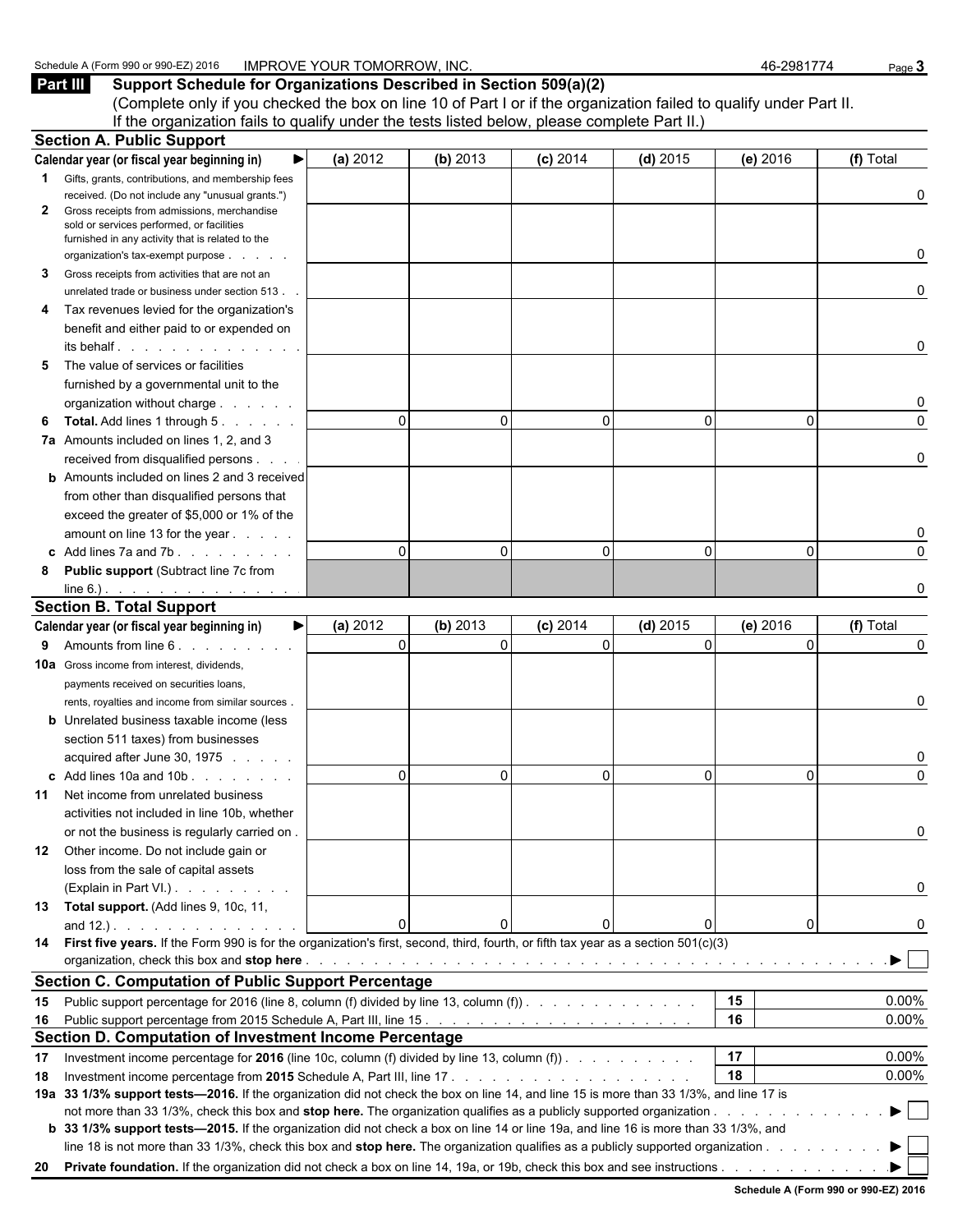**Part III Support Schedule for Organizations Described in Section 509(a)(2)** (Complete only if you checked the box on line 10 of Part I or if the organization failed to qualify under Part II. If the organization fails to qualify under the tests listed below, please complete Part II.)

|    | <b>Section A. Public Support</b>                                                                                                       |             |          |            |            |          |           |
|----|----------------------------------------------------------------------------------------------------------------------------------------|-------------|----------|------------|------------|----------|-----------|
|    | Calendar year (or fiscal year beginning in)                                                                                            | (a) 2012    | (b) 2013 | $(c)$ 2014 | $(d)$ 2015 | (e) 2016 | (f) Total |
|    | <b>1</b> Gifts, grants, contributions, and membership fees                                                                             |             |          |            |            |          |           |
|    | received. (Do not include any "unusual grants.")                                                                                       |             |          |            |            |          | 0         |
| 2  | Gross receipts from admissions, merchandise                                                                                            |             |          |            |            |          |           |
|    | sold or services performed, or facilities                                                                                              |             |          |            |            |          |           |
|    | furnished in any activity that is related to the<br>organization's tax-exempt purpose                                                  |             |          |            |            |          | 0         |
| 3  | Gross receipts from activities that are not an                                                                                         |             |          |            |            |          |           |
|    | unrelated trade or business under section 513.                                                                                         |             |          |            |            |          | 0         |
| 4  | Tax revenues levied for the organization's                                                                                             |             |          |            |            |          |           |
|    | benefit and either paid to or expended on                                                                                              |             |          |            |            |          |           |
|    | its behalf.                                                                                                                            |             |          |            |            |          | 0         |
| 5  | The value of services or facilities                                                                                                    |             |          |            |            |          |           |
|    | furnished by a governmental unit to the                                                                                                |             |          |            |            |          |           |
|    | organization without charge                                                                                                            |             |          |            |            |          | 0         |
| 6  | <b>Total.</b> Add lines 1 through 5.                                                                                                   | $\Omega$    | $\Omega$ | $\Omega$   | $\Omega$   | 0        | $\Omega$  |
|    | 7a Amounts included on lines 1, 2, and 3                                                                                               |             |          |            |            |          |           |
|    | received from disqualified persons                                                                                                     |             |          |            |            |          | 0         |
|    | <b>b</b> Amounts included on lines 2 and 3 received                                                                                    |             |          |            |            |          |           |
|    | from other than disqualified persons that                                                                                              |             |          |            |            |          |           |
|    | exceed the greater of \$5,000 or 1% of the                                                                                             |             |          |            |            |          |           |
|    | amount on line 13 for the year                                                                                                         |             |          |            |            |          | 0         |
|    | c Add lines 7a and 7b. $\ldots$                                                                                                        | $\Omega$    | $\Omega$ | $\Omega$   | $\Omega$   | 0        | $\Omega$  |
| 8  | <b>Public support (Subtract line 7c from</b>                                                                                           |             |          |            |            |          |           |
|    | $line 6$ .).                                                                                                                           |             |          |            |            |          | O         |
|    | <b>Section B. Total Support</b>                                                                                                        |             |          |            |            |          |           |
|    | Calendar year (or fiscal year beginning in)<br>▶                                                                                       | (a) 2012    | (b) 2013 | $(c)$ 2014 | $(d)$ 2015 | (e) 2016 | (f) Total |
|    | 9 Amounts from line 6.                                                                                                                 | $\mathbf 0$ | $\Omega$ | $\Omega$   | $\Omega$   | $\Omega$ | 0         |
|    | <b>10a</b> Gross income from interest, dividends,                                                                                      |             |          |            |            |          |           |
|    | payments received on securities loans,                                                                                                 |             |          |            |            |          |           |
|    | rents, royalties and income from similar sources.                                                                                      |             |          |            |            |          | 0         |
|    | <b>b</b> Unrelated business taxable income (less                                                                                       |             |          |            |            |          |           |
|    | section 511 taxes) from businesses                                                                                                     |             |          |            |            |          |           |
|    | acquired after June 30, 1975                                                                                                           |             |          |            |            |          | 0         |
|    | c Add lines 10a and 10b                                                                                                                | $\Omega$    | $\Omega$ | $\Omega$   | $\Omega$   | 0        | $\Omega$  |
|    | 11 Net income from unrelated business                                                                                                  |             |          |            |            |          |           |
|    | activities not included in line 10b, whether                                                                                           |             |          |            |            |          |           |
|    | or not the business is regularly carried on.                                                                                           |             |          |            |            |          |           |
|    | 12 Other income. Do not include gain or                                                                                                |             |          |            |            |          |           |
|    | loss from the sale of capital assets                                                                                                   |             |          |            |            |          |           |
|    | (Explain in Part VI.).                                                                                                                 |             |          |            |            |          | 0         |
|    | 13 Total support. (Add lines 9, 10c, 11,                                                                                               |             |          |            |            |          |           |
|    | and $12.$ ). $\ldots$ $\ldots$ $\ldots$ $\ldots$                                                                                       | $\Omega$    | $\Omega$ |            | 0          | 0        | 0         |
|    | 14 First five years. If the Form 990 is for the organization's first, second, third, fourth, or fifth tax year as a section 501(c)(3)  |             |          |            |            |          |           |
|    |                                                                                                                                        |             |          |            |            |          |           |
|    | <b>Section C. Computation of Public Support Percentage</b>                                                                             |             |          |            |            |          |           |
|    | 15 Public support percentage for 2016 (line 8, column (f) divided by line 13, column (f)).                                             |             |          |            |            | 15       | $0.00\%$  |
|    |                                                                                                                                        |             |          |            |            | 16       | 0.00%     |
|    | Section D. Computation of Investment Income Percentage                                                                                 |             |          |            |            |          |           |
| 17 | Investment income percentage for 2016 (line 10c, column (f) divided by line 13, column (f)                                             |             |          |            |            | 17       | $0.00\%$  |
| 18 |                                                                                                                                        |             |          |            |            | 18       | $0.00\%$  |
|    | 19a 33 1/3% support tests-2016. If the organization did not check the box on line 14, and line 15 is more than 33 1/3%, and line 17 is |             |          |            |            |          |           |
|    |                                                                                                                                        |             |          |            |            |          |           |
|    | b 33 1/3% support tests—2015. If the organization did not check a box on line 14 or line 19a, and line 16 is more than 33 1/3%, and    |             |          |            |            |          |           |
|    | line 18 is not more than 33 1/3%, check this box and stop here. The organization qualifies as a publicly supported organization        |             |          |            |            |          |           |
|    |                                                                                                                                        |             |          |            |            |          |           |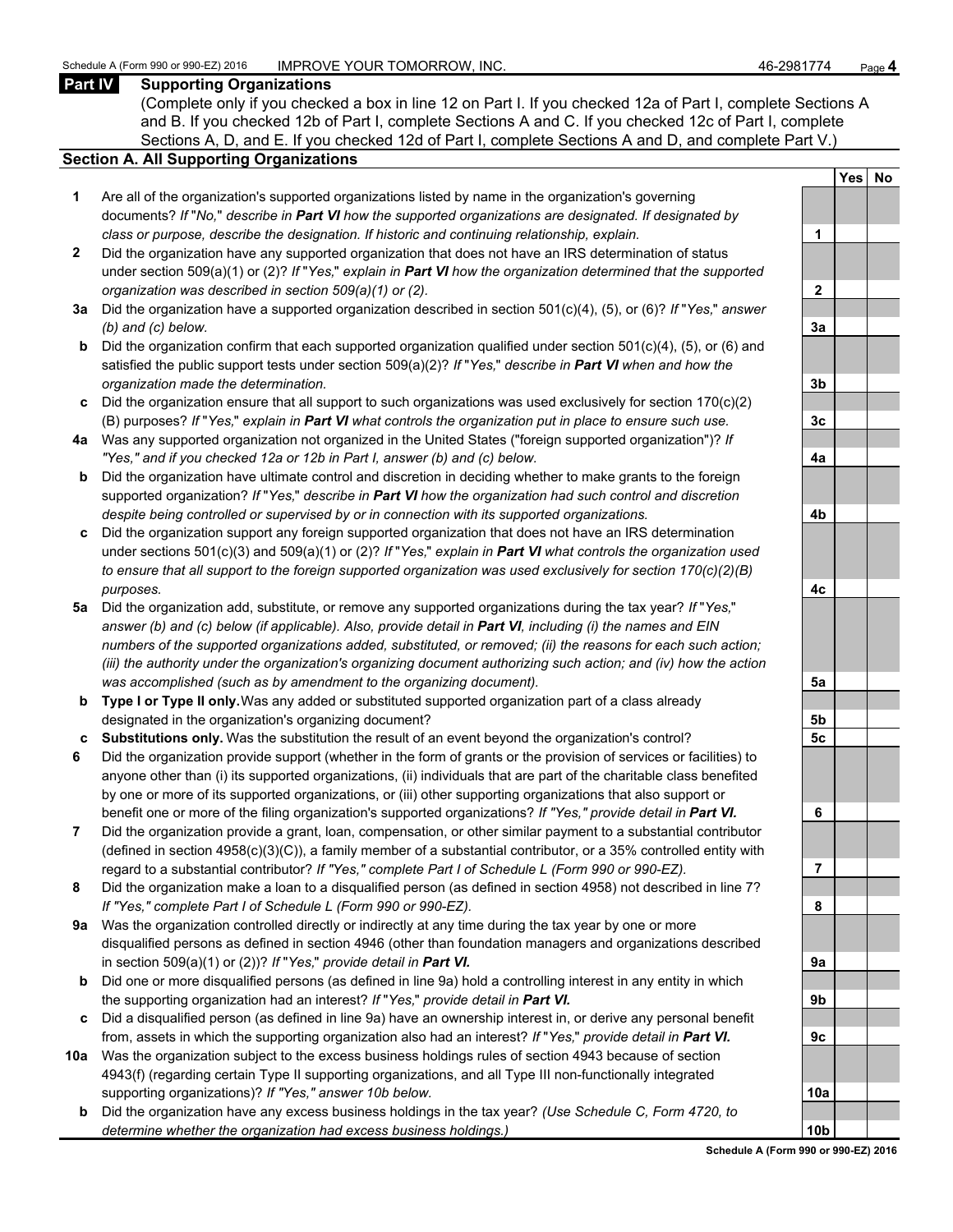#### **Part IV Supporting Organizations**

(Complete only if you checked a box in line 12 on Part I. If you checked 12a of Part I, complete Sections A and B. If you checked 12b of Part I, complete Sections A and C. If you checked 12c of Part I, complete Sections A, D, and E. If you checked 12d of Part I, complete Sections A and D, and complete Part V.)

#### **Section A. All Supporting Organizations**

- **1** Are all of the organization's supported organizations listed by name in the organization's governing documents? *If* "*No,*" *describe in Part VI how the supported organizations are designated. If designated by class or purpose, describe the designation. If historic and continuing relationship, explain.* **1**
- **2** Did the organization have any supported organization that does not have an IRS determination of status under section 509(a)(1) or (2)? *If* "*Yes,*" *explain in Part VI how the organization determined that the supported organization was described in section 509(a)(1) or (2).*
- **3a** Did the organization have a supported organization described in section 501(c)(4), (5), or (6)? *If* "*Yes,*" *answer (b) and (c) below.* **3a**
- **b** Did the organization confirm that each supported organization qualified under section 501(c)(4), (5), or (6) and satisfied the public support tests under section 509(a)(2)? *If* "*Yes,*" *describe in Part VI when and how the organization made the determination.* **3b**
- **c** Did the organization ensure that all support to such organizations was used exclusively for section 170(c)(2) (B) purposes? *If* "*Yes,*" *explain in Part VI what controls the organization put in place to ensure such use.* **3c**
- **4a** Was any supported organization not organized in the United States ("foreign supported organization")? *If "Yes," and if you checked 12a or 12b in Part I, answer (b) and (c) below.* **4a**
- **b** Did the organization have ultimate control and discretion in deciding whether to make grants to the foreign supported organization? *If* "*Yes,*" *describe in Part VI how the organization had such control and discretion despite being controlled or supervised by or in connection with its supported organizations.* **4b**
- **c** Did the organization support any foreign supported organization that does not have an IRS determination under sections 501(c)(3) and 509(a)(1) or (2)? *If* "*Yes,*" *explain in Part VI what controls the organization used to ensure that all support to the foreign supported organization was used exclusively for section 170(c)(2)(B) purposes.* **4c**
- **5a** Did the organization add, substitute, or remove any supported organizations during the tax year? *If* "*Yes,*" *answer (b) and (c) below (if applicable). Also, provide detail in Part VI, including (i) the names and EIN numbers of the supported organizations added, substituted, or removed; (ii) the reasons for each such action; (iii) the authority under the organization's organizing document authorizing such action; and (iv) how the action was accomplished (such as by amendment to the organizing document).* **5a**
- **b Type I or Type II only.** Was any added or substituted supported organization part of a class already designated in the organization's organizing document? **5b**
- **c Substitutions only.** Was the substitution the result of an event beyond the organization's control? **5c**
- **6** Did the organization provide support (whether in the form of grants or the provision of services or facilities) to anyone other than (i) its supported organizations, (ii) individuals that are part of the charitable class benefited by one or more of its supported organizations, or (iii) other supporting organizations that also support or benefit one or more of the filing organization's supported organizations? *If "Yes," provide detail in Part VI.* **6**
- **7** Did the organization provide a grant, loan, compensation, or other similar payment to a substantial contributor (defined in section 4958(c)(3)(C)), a family member of a substantial contributor, or a 35% controlled entity with regard to a substantial contributor? *If "Yes," complete Part I of Schedule L (Form 990 or 990-EZ).* **7**
- **8** Did the organization make a loan to a disqualified person (as defined in section 4958) not described in line 7? *If "Yes," complete Part I of Schedule L (Form 990 or 990-EZ).* **8**
- **9a** Was the organization controlled directly or indirectly at any time during the tax year by one or more disqualified persons as defined in section 4946 (other than foundation managers and organizations described in section 509(a)(1) or (2))? *If* "*Yes*," *provide detail in Part VI.*
- **b** Did one or more disqualified persons (as defined in line 9a) hold a controlling interest in any entity in which the supporting organization had an interest? *If* "*Yes,*" *provide detail in Part VI.* **9b**
- **c** Did a disqualified person (as defined in line 9a) have an ownership interest in, or derive any personal benefit from, assets in which the supporting organization also had an interest? *If* "*Yes,*" *provide detail in Part VI.* **9c**
- **10a** Was the organization subject to the excess business holdings rules of section 4943 because of section 4943(f) (regarding certain Type II supporting organizations, and all Type III non-functionally integrated supporting organizations)? If "Yes," answer 10b below.
	- **b** Did the organization have any excess business holdings in the tax year? *(Use Schedule C, Form 4720, to determine whether the organization had excess business holdings.)*

|                 | <b>Yes</b> | $No$ |
|-----------------|------------|------|
|                 |            |      |
| 1               |            |      |
|                 |            |      |
| $\overline{2}$  |            |      |
|                 |            |      |
| <u>3a</u>       |            |      |
|                 |            |      |
| <u>3b</u>       |            |      |
|                 |            |      |
| <u>3c</u>       |            |      |
| <u>4a</u>       |            |      |
|                 |            |      |
| 4 <sub>b</sub>  |            |      |
|                 |            |      |
| <u>4c</u>       |            |      |
|                 |            |      |
| <u>5a</u>       |            |      |
|                 |            |      |
| <u>5b</u><br>5c |            |      |
|                 |            |      |
| 6               |            |      |
|                 |            |      |
| 7               |            |      |
|                 |            |      |
| 8               |            |      |
| 9а              |            |      |
|                 |            |      |
| 9b              |            |      |
|                 |            |      |
| 9с              |            |      |
| 10a             |            |      |
| 0b              |            |      |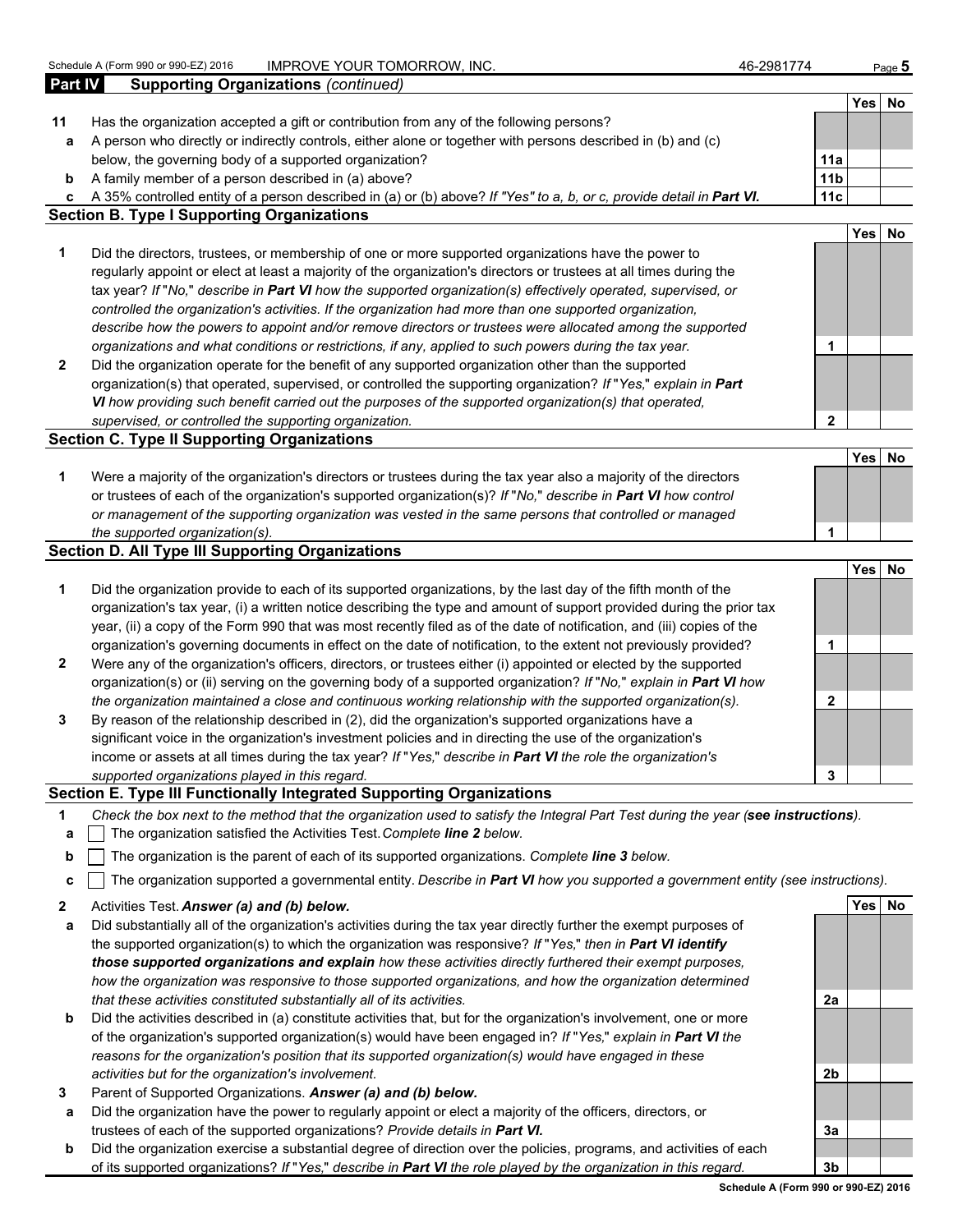| 46-2981774 |
|------------|
|------------|

| Part IV           | <b>Supporting Organizations (continued)</b>                                                                                                                                                                                                                                                                                                                                                                                                                                                                                                                                                               |                 |            |           |
|-------------------|-----------------------------------------------------------------------------------------------------------------------------------------------------------------------------------------------------------------------------------------------------------------------------------------------------------------------------------------------------------------------------------------------------------------------------------------------------------------------------------------------------------------------------------------------------------------------------------------------------------|-----------------|------------|-----------|
|                   |                                                                                                                                                                                                                                                                                                                                                                                                                                                                                                                                                                                                           |                 | Yes        | <b>No</b> |
| 11                | Has the organization accepted a gift or contribution from any of the following persons?                                                                                                                                                                                                                                                                                                                                                                                                                                                                                                                   |                 |            |           |
| a                 | A person who directly or indirectly controls, either alone or together with persons described in (b) and (c)                                                                                                                                                                                                                                                                                                                                                                                                                                                                                              |                 |            |           |
|                   | below, the governing body of a supported organization?                                                                                                                                                                                                                                                                                                                                                                                                                                                                                                                                                    | 11a             |            |           |
| b                 | A family member of a person described in (a) above?                                                                                                                                                                                                                                                                                                                                                                                                                                                                                                                                                       | 11 <sub>b</sub> |            |           |
| c                 | A 35% controlled entity of a person described in (a) or (b) above? If "Yes" to a, b, or c, provide detail in Part VI.                                                                                                                                                                                                                                                                                                                                                                                                                                                                                     | 11c             |            |           |
|                   | <b>Section B. Type I Supporting Organizations</b>                                                                                                                                                                                                                                                                                                                                                                                                                                                                                                                                                         |                 |            |           |
|                   |                                                                                                                                                                                                                                                                                                                                                                                                                                                                                                                                                                                                           |                 | Yes        | <b>No</b> |
| 1                 | Did the directors, trustees, or membership of one or more supported organizations have the power to<br>regularly appoint or elect at least a majority of the organization's directors or trustees at all times during the<br>tax year? If "No," describe in Part VI how the supported organization(s) effectively operated, supervised, or<br>controlled the organization's activities. If the organization had more than one supported organization,<br>describe how the powers to appoint and/or remove directors or trustees were allocated among the supported                                        |                 |            |           |
|                   | organizations and what conditions or restrictions, if any, applied to such powers during the tax year.                                                                                                                                                                                                                                                                                                                                                                                                                                                                                                    | 1               |            |           |
| $\overline{2}$    | Did the organization operate for the benefit of any supported organization other than the supported<br>organization(s) that operated, supervised, or controlled the supporting organization? If "Yes," explain in Part<br>VI how providing such benefit carried out the purposes of the supported organization(s) that operated,                                                                                                                                                                                                                                                                          |                 |            |           |
|                   | supervised, or controlled the supporting organization.                                                                                                                                                                                                                                                                                                                                                                                                                                                                                                                                                    | $\mathbf{2}$    |            |           |
|                   | <b>Section C. Type II Supporting Organizations</b>                                                                                                                                                                                                                                                                                                                                                                                                                                                                                                                                                        |                 |            |           |
| 1                 | Were a majority of the organization's directors or trustees during the tax year also a majority of the directors<br>or trustees of each of the organization's supported organization(s)? If "No," describe in Part VI how control<br>or management of the supporting organization was vested in the same persons that controlled or managed<br>the supported organization(s).                                                                                                                                                                                                                             | 1               | <b>Yes</b> | <b>No</b> |
|                   | <b>Section D. All Type III Supporting Organizations</b>                                                                                                                                                                                                                                                                                                                                                                                                                                                                                                                                                   |                 |            |           |
|                   |                                                                                                                                                                                                                                                                                                                                                                                                                                                                                                                                                                                                           |                 | Yes        | <b>No</b> |
| 1<br>$\mathbf{2}$ | Did the organization provide to each of its supported organizations, by the last day of the fifth month of the<br>organization's tax year, (i) a written notice describing the type and amount of support provided during the prior tax<br>year, (ii) a copy of the Form 990 that was most recently filed as of the date of notification, and (iii) copies of the<br>organization's governing documents in effect on the date of notification, to the extent not previously provided?<br>Were any of the organization's officers, directors, or trustees either (i) appointed or elected by the supported | 1               |            |           |
|                   | $\mathcal{L} = \mathcal{L} \cup \{ \mathcal{L} \}$ , and $\mathcal{L} \cup \{ \mathcal{L} \}$ , and $\mathcal{L} \cup \{ \mathcal{L} \}$ , and $\mathcal{L} \cup \{ \mathcal{L} \}$ , and $\mathcal{L} \cup \{ \mathcal{L} \}$ , and $\mathcal{L} \cup \{ \mathcal{L} \}$ , and $\mathcal{L} \cup \{ \mathcal{L} \}$                                                                                                                                                                                                                                                                                      |                 |            |           |

- organization(s) or (ii) serving on the governing body of a supported organization? *If* "*No,*" *explain in Part VI how the organization maintained a close and continuous working relationship with the supported organization(s).* **2 3** By reason of the relationship described in (2), did the organization's supported organizations have a significant voice in the organization's investment policies and in directing the use of the organization's
- income or assets at all times during the tax year? *If* "*Yes,*" *describe in Part VI the role the organization's supported organizations played in this regard.* **3**

#### **Section E. Type III Functionally Integrated Supporting Organizations**

- **1** *Check the box next to the method that the organization used to satisfy the Integral Part Test during the year (see instructions).*
- **a** The organization satisfied the Activities Test. *Complete line 2 below.*
- **b** The organization is the parent of each of its supported organizations. *Complete line 3 below.*
- **c** The organization supported a governmental entity. *Describe in Part VI how you supported a government entity (see instructions).*
- **2** Activities Test. *Answer (a) and (b) below.* **Yes No**
- **a** Did substantially all of the organization's activities during the tax year directly further the exempt purposes of the supported organization(s) to which the organization was responsive? *If* "*Yes,*" *then in Part VI identify those supported organizations and explain how these activities directly furthered their exempt purposes, how the organization was responsive to those supported organizations, and how the organization determined that these activities constituted substantially all of its activities.* **2a**
- **b** Did the activities described in (a) constitute activities that, but for the organization's involvement, one or more of the organization's supported organization(s) would have been engaged in? *If* "*Yes,*" *explain in Part VI the reasons for the organization's position that its supported organization(s) would have engaged in these activities but for the organization's involvement.* **2b**
- **3** Parent of Supported Organizations. *Answer (a) and (b) below.*
- **a** Did the organization have the power to regularly appoint or elect a majority of the officers, directors, or trustees of each of the supported organizations? *Provide details in Part VI.* **3a**
- **b** Did the organization exercise a substantial degree of direction over the policies, programs, and activities of each of its supported organizations? *If* "*Yes,*" *describe in Part VI the role played by the organization in this regard.* **3b**

**Schedule A (Form 990 or 990-EZ) 2016**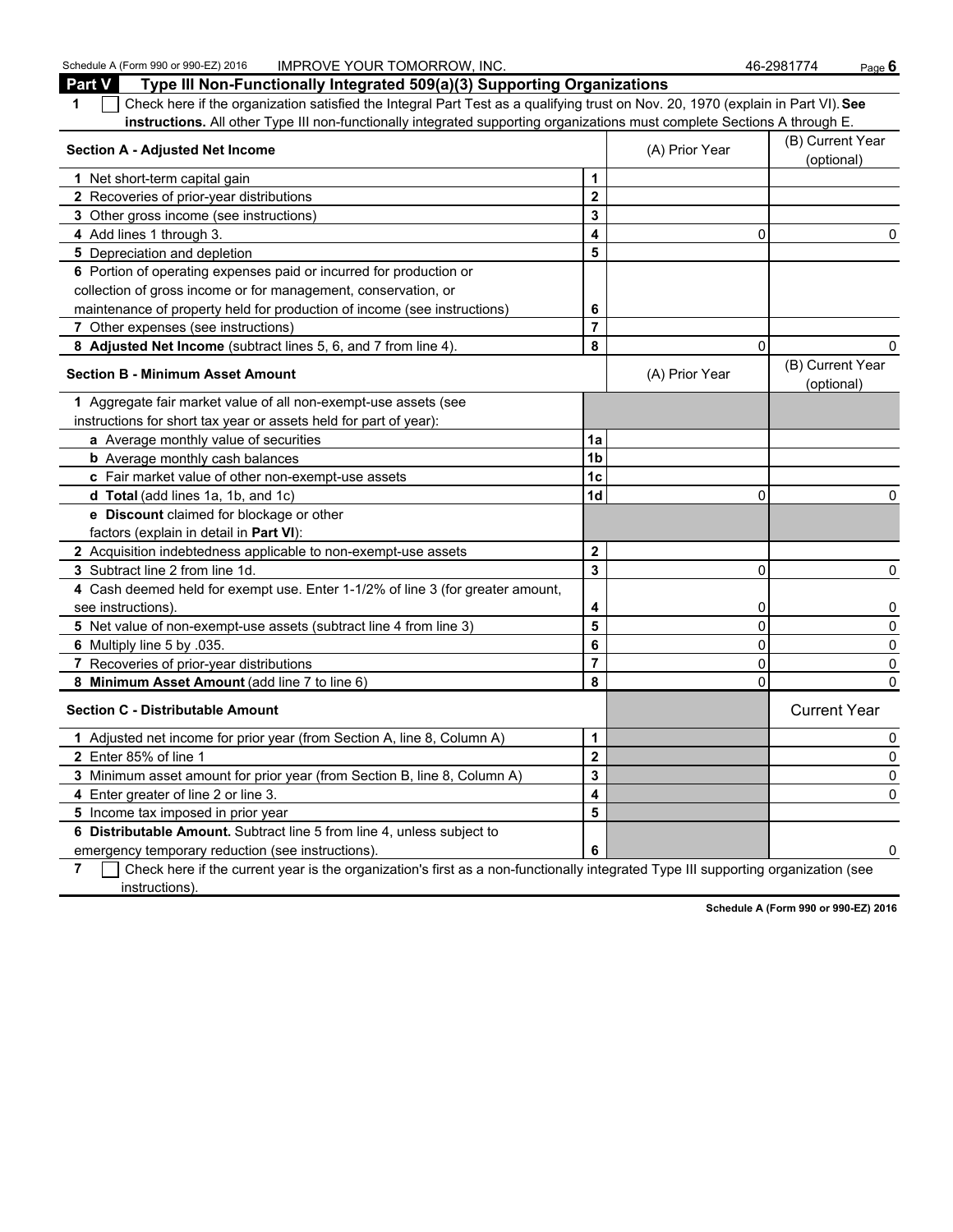Schedule A (Form 990 or 990-EZ) 2016 **IMPROVE YOUR TOMORROW, INC.** 46-2981774 Page 6

| <b>Part V</b><br>Type III Non-Functionally Integrated 509(a)(3) Supporting Organizations                                              |                         |                |                                |
|---------------------------------------------------------------------------------------------------------------------------------------|-------------------------|----------------|--------------------------------|
| Check here if the organization satisfied the Integral Part Test as a qualifying trust on Nov. 20, 1970 (explain in Part VI). See<br>1 |                         |                |                                |
| instructions. All other Type III non-functionally integrated supporting organizations must complete Sections A through E.             |                         |                |                                |
| <b>Section A - Adjusted Net Income</b>                                                                                                |                         | (A) Prior Year | (B) Current Year<br>(optional) |
| 1 Net short-term capital gain                                                                                                         | 1                       |                |                                |
| 2 Recoveries of prior-year distributions                                                                                              | $\mathbf 2$             |                |                                |
| 3 Other gross income (see instructions)                                                                                               | 3                       |                |                                |
| 4 Add lines 1 through 3.                                                                                                              | $\overline{\mathbf{4}}$ | $\mathbf 0$    | 0                              |
| 5 Depreciation and depletion                                                                                                          | 5                       |                |                                |
| 6 Portion of operating expenses paid or incurred for production or                                                                    |                         |                |                                |
| collection of gross income or for management, conservation, or                                                                        |                         |                |                                |
| maintenance of property held for production of income (see instructions)                                                              | 6                       |                |                                |
| 7 Other expenses (see instructions)                                                                                                   | $\overline{7}$          |                |                                |
| 8 Adjusted Net Income (subtract lines 5, 6, and 7 from line 4).                                                                       | 8                       | $\Omega$       | 0                              |
| <b>Section B - Minimum Asset Amount</b>                                                                                               |                         | (A) Prior Year | (B) Current Year<br>(optional) |
| 1 Aggregate fair market value of all non-exempt-use assets (see                                                                       |                         |                |                                |
| instructions for short tax year or assets held for part of year):                                                                     |                         |                |                                |
| a Average monthly value of securities                                                                                                 | 1a                      |                |                                |
| <b>b</b> Average monthly cash balances                                                                                                | 1b                      |                |                                |
| c Fair market value of other non-exempt-use assets                                                                                    | 1 <sub>c</sub>          |                |                                |
| d Total (add lines 1a, 1b, and 1c)                                                                                                    | 1d                      | $\mathbf 0$    | 0                              |
| e Discount claimed for blockage or other                                                                                              |                         |                |                                |
| factors (explain in detail in Part VI):                                                                                               |                         |                |                                |
| 2 Acquisition indebtedness applicable to non-exempt-use assets                                                                        | $\overline{2}$          |                |                                |
| 3 Subtract line 2 from line 1d.                                                                                                       | $\overline{\mathbf{3}}$ | $\mathbf 0$    | 0                              |
| 4 Cash deemed held for exempt use. Enter 1-1/2% of line 3 (for greater amount,                                                        |                         |                |                                |
| see instructions).                                                                                                                    | 4                       | 0              | 0                              |
| 5 Net value of non-exempt-use assets (subtract line 4 from line 3)                                                                    | 5                       | $\pmb{0}$      | 0                              |
| 6 Multiply line 5 by .035.                                                                                                            | 6                       | 0              | 0                              |
| 7 Recoveries of prior-year distributions                                                                                              | $\overline{7}$          | 0              | 0                              |
| 8 Minimum Asset Amount (add line 7 to line 6)                                                                                         | 8                       | 0              | $\Omega$                       |
| <b>Section C - Distributable Amount</b>                                                                                               |                         |                | <b>Current Year</b>            |
| 1 Adjusted net income for prior year (from Section A, line 8, Column A)                                                               | 1                       |                | 0                              |
| 2 Enter 85% of line 1                                                                                                                 | $\overline{2}$          |                | 0                              |
| 3 Minimum asset amount for prior year (from Section B, line 8, Column A)                                                              | 3                       |                | 0                              |
| 4 Enter greater of line 2 or line 3.                                                                                                  | 4                       |                | 0                              |
| 5 Income tax imposed in prior year                                                                                                    | 5                       |                |                                |
| 6 Distributable Amount. Subtract line 5 from line 4, unless subject to                                                                |                         |                |                                |
| emergency temporary reduction (see instructions).                                                                                     | 6                       |                | 0                              |
|                                                                                                                                       |                         |                |                                |

**7** Check here if the current year is the organization's first as a non-functionally integrated Type III supporting organization (see instructions).

**Schedule A (Form 990 or 990-EZ) 2016**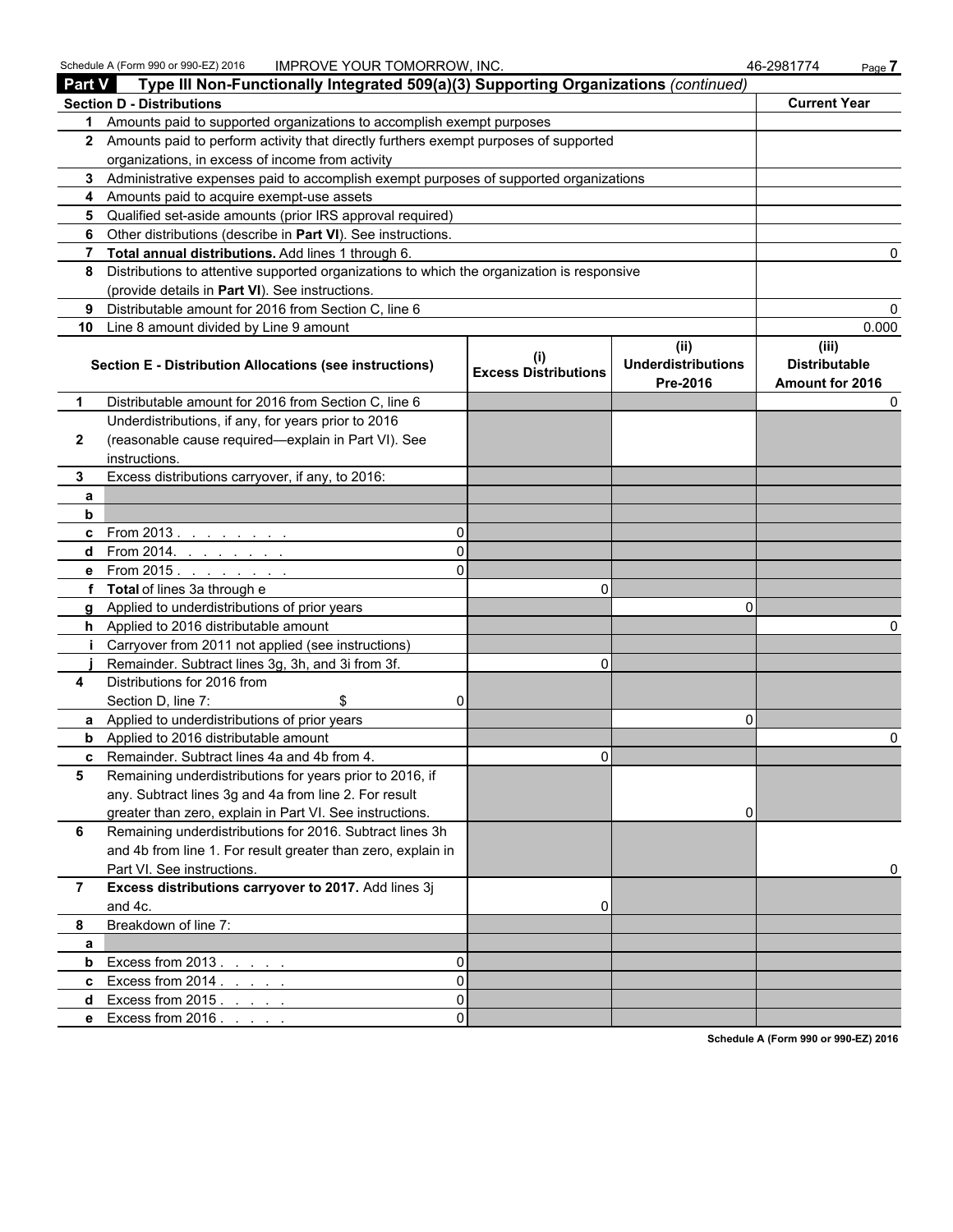Schedule A (Form 990 or 990-EZ) 2016 IMPROVE YOUR TOMORROW, INC. 46-2981774 Page **7** 

|              | <b>Part V</b><br>Type III Non-Functionally Integrated 509(a)(3) Supporting Organizations (continued) |                                          |                                       |                                         |  |  |  |  |
|--------------|------------------------------------------------------------------------------------------------------|------------------------------------------|---------------------------------------|-----------------------------------------|--|--|--|--|
|              | <b>Section D - Distributions</b>                                                                     |                                          |                                       | <b>Current Year</b>                     |  |  |  |  |
|              | 1 Amounts paid to supported organizations to accomplish exempt purposes                              |                                          |                                       |                                         |  |  |  |  |
|              | 2 Amounts paid to perform activity that directly furthers exempt purposes of supported               |                                          |                                       |                                         |  |  |  |  |
|              | organizations, in excess of income from activity                                                     |                                          |                                       |                                         |  |  |  |  |
|              | 3 Administrative expenses paid to accomplish exempt purposes of supported organizations              |                                          |                                       |                                         |  |  |  |  |
|              | 4 Amounts paid to acquire exempt-use assets                                                          |                                          |                                       |                                         |  |  |  |  |
|              | 5 Qualified set-aside amounts (prior IRS approval required)                                          |                                          |                                       |                                         |  |  |  |  |
|              | 6 Other distributions (describe in Part VI). See instructions.                                       |                                          |                                       |                                         |  |  |  |  |
|              | 7 Total annual distributions. Add lines 1 through 6.                                                 |                                          |                                       |                                         |  |  |  |  |
|              | 8 Distributions to attentive supported organizations to which the organization is responsive         |                                          |                                       |                                         |  |  |  |  |
|              | (provide details in Part VI). See instructions.                                                      |                                          |                                       |                                         |  |  |  |  |
|              | 9 Distributable amount for 2016 from Section C, line 6                                               |                                          |                                       |                                         |  |  |  |  |
|              | 10 Line 8 amount divided by Line 9 amount                                                            |                                          |                                       | 0.000                                   |  |  |  |  |
|              |                                                                                                      |                                          | (ii)                                  | (iii)                                   |  |  |  |  |
|              | Section E - Distribution Allocations (see instructions)                                              | $\sf (i)$<br><b>Excess Distributions</b> | <b>Underdistributions</b><br>Pre-2016 | <b>Distributable</b><br>Amount for 2016 |  |  |  |  |
| 1            | Distributable amount for 2016 from Section C, line 6                                                 |                                          |                                       |                                         |  |  |  |  |
|              | Underdistributions, if any, for years prior to 2016                                                  |                                          |                                       |                                         |  |  |  |  |
| $\mathbf{2}$ | (reasonable cause required-explain in Part VI). See                                                  |                                          |                                       |                                         |  |  |  |  |
|              | instructions.                                                                                        |                                          |                                       |                                         |  |  |  |  |
| 3            | Excess distributions carryover, if any, to 2016:                                                     |                                          |                                       |                                         |  |  |  |  |
| a            |                                                                                                      |                                          |                                       |                                         |  |  |  |  |
| b            |                                                                                                      |                                          |                                       |                                         |  |  |  |  |
|              | <b>c</b> From 2013.                                                                                  |                                          |                                       |                                         |  |  |  |  |
|              | d From 2014.                                                                                         |                                          |                                       |                                         |  |  |  |  |
|              | e From 2015.<br>and a state of the state of                                                          |                                          |                                       |                                         |  |  |  |  |
|              | f Total of lines 3a through e                                                                        | 0                                        |                                       |                                         |  |  |  |  |
| q            | Applied to underdistributions of prior years                                                         |                                          | U                                     |                                         |  |  |  |  |
|              | h Applied to 2016 distributable amount                                                               |                                          |                                       |                                         |  |  |  |  |
| j.           | Carryover from 2011 not applied (see instructions)                                                   |                                          |                                       |                                         |  |  |  |  |
|              | Remainder. Subtract lines 3g, 3h, and 3i from 3f.                                                    | 0                                        |                                       |                                         |  |  |  |  |
| 4            | Distributions for 2016 from                                                                          |                                          |                                       |                                         |  |  |  |  |
|              | Section D, line 7:<br>\$                                                                             |                                          |                                       |                                         |  |  |  |  |
|              | a Applied to underdistributions of prior years                                                       |                                          | 0                                     |                                         |  |  |  |  |
| b            | Applied to 2016 distributable amount                                                                 |                                          |                                       |                                         |  |  |  |  |
|              | c Remainder. Subtract lines 4a and 4b from 4.                                                        | 0                                        |                                       |                                         |  |  |  |  |
| 5            | Remaining underdistributions for years prior to 2016, if                                             |                                          |                                       |                                         |  |  |  |  |
|              | any. Subtract lines 3g and 4a from line 2. For result                                                |                                          |                                       |                                         |  |  |  |  |
|              | greater than zero, explain in Part VI. See instructions.                                             |                                          | 0                                     |                                         |  |  |  |  |
| 6            | Remaining underdistributions for 2016. Subtract lines 3h                                             |                                          |                                       |                                         |  |  |  |  |
|              | and 4b from line 1. For result greater than zero, explain in                                         |                                          |                                       |                                         |  |  |  |  |
|              | Part VI. See instructions.                                                                           |                                          |                                       | O.                                      |  |  |  |  |
| $\mathbf{7}$ | Excess distributions carryover to 2017. Add lines 3j<br>and 4c.                                      | 0                                        |                                       |                                         |  |  |  |  |
| 8            | Breakdown of line 7:                                                                                 |                                          |                                       |                                         |  |  |  |  |
| a            |                                                                                                      |                                          |                                       |                                         |  |  |  |  |
| b            | Excess from 2013.<br>0                                                                               |                                          |                                       |                                         |  |  |  |  |
|              | <b>c</b> Excess from $2014$ .<br>0                                                                   |                                          |                                       |                                         |  |  |  |  |
| d            | Excess from 2015.<br>0                                                                               |                                          |                                       |                                         |  |  |  |  |
|              | e Excess from 2016.<br>$\Omega$                                                                      |                                          |                                       |                                         |  |  |  |  |
|              |                                                                                                      |                                          |                                       |                                         |  |  |  |  |

**Schedule A (Form 990 or 990-EZ) 2016**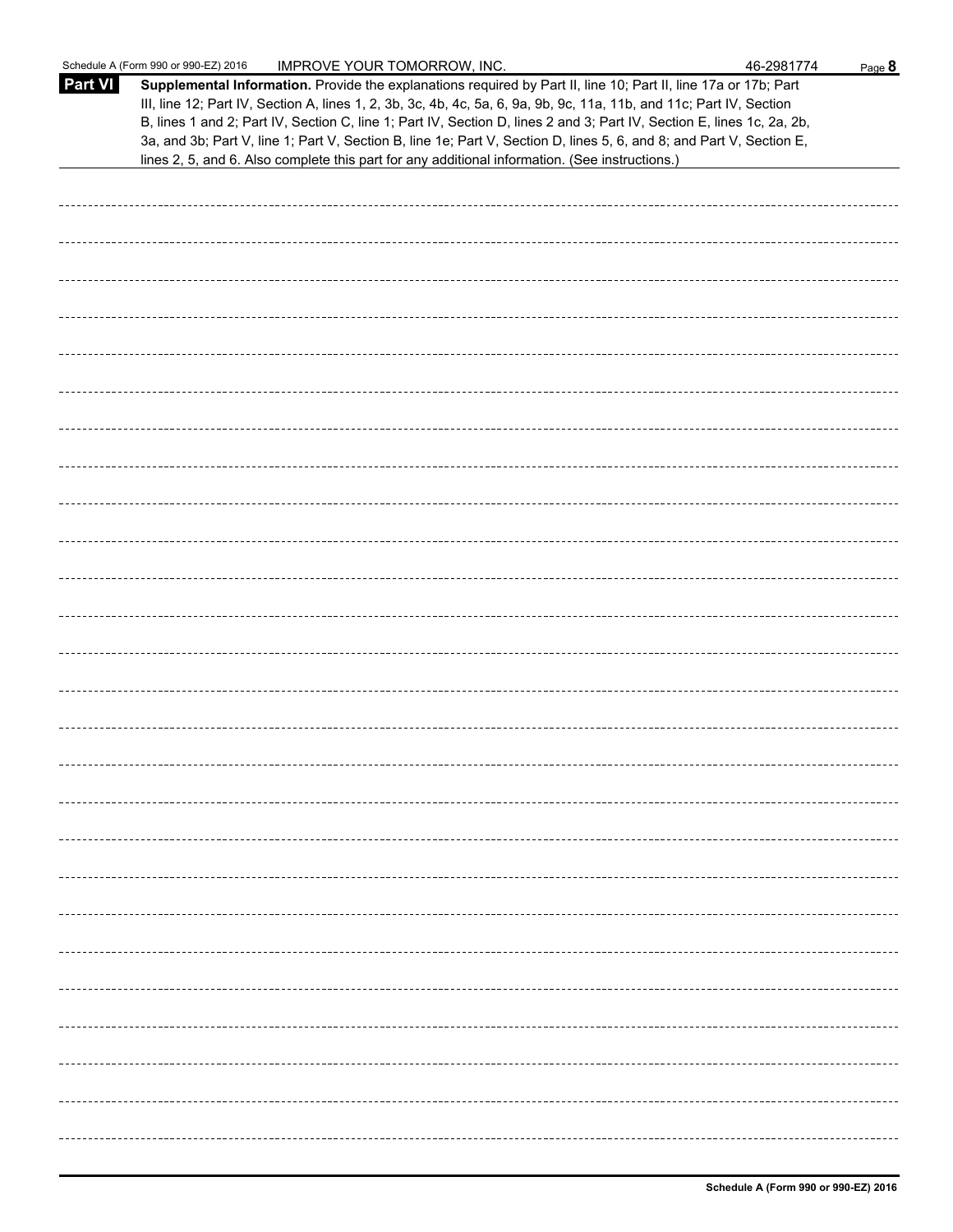|                | Schedule A (Form 990 or 990-EZ) 2016<br><b>IMPROVE YOUR TOMORROW, INC.</b>                                                                                                                                                                                                                                                                                                                                                                                                                                                                                                                  | 46-2981774 | Page 8 |
|----------------|---------------------------------------------------------------------------------------------------------------------------------------------------------------------------------------------------------------------------------------------------------------------------------------------------------------------------------------------------------------------------------------------------------------------------------------------------------------------------------------------------------------------------------------------------------------------------------------------|------------|--------|
| <b>Part VI</b> | Supplemental Information. Provide the explanations required by Part II, line 10; Part II, line 17a or 17b; Part<br>III, line 12; Part IV, Section A, lines 1, 2, 3b, 3c, 4b, 4c, 5a, 6, 9a, 9b, 9c, 11a, 11b, and 11c; Part IV, Section<br>B, lines 1 and 2; Part IV, Section C, line 1; Part IV, Section D, lines 2 and 3; Part IV, Section E, lines 1c, 2a, 2b,<br>3a, and 3b; Part V, line 1; Part V, Section B, line 1e; Part V, Section D, lines 5, 6, and 8; and Part V, Section E,<br>lines 2, 5, and 6. Also complete this part for any additional information. (See instructions.) |            |        |
|                |                                                                                                                                                                                                                                                                                                                                                                                                                                                                                                                                                                                             |            |        |
|                |                                                                                                                                                                                                                                                                                                                                                                                                                                                                                                                                                                                             |            |        |
|                |                                                                                                                                                                                                                                                                                                                                                                                                                                                                                                                                                                                             |            |        |
|                |                                                                                                                                                                                                                                                                                                                                                                                                                                                                                                                                                                                             |            |        |
|                |                                                                                                                                                                                                                                                                                                                                                                                                                                                                                                                                                                                             |            |        |
|                |                                                                                                                                                                                                                                                                                                                                                                                                                                                                                                                                                                                             |            |        |
|                |                                                                                                                                                                                                                                                                                                                                                                                                                                                                                                                                                                                             |            |        |
|                |                                                                                                                                                                                                                                                                                                                                                                                                                                                                                                                                                                                             |            |        |
|                |                                                                                                                                                                                                                                                                                                                                                                                                                                                                                                                                                                                             |            |        |
|                |                                                                                                                                                                                                                                                                                                                                                                                                                                                                                                                                                                                             |            |        |
|                |                                                                                                                                                                                                                                                                                                                                                                                                                                                                                                                                                                                             |            |        |
|                |                                                                                                                                                                                                                                                                                                                                                                                                                                                                                                                                                                                             |            |        |
|                |                                                                                                                                                                                                                                                                                                                                                                                                                                                                                                                                                                                             |            |        |
|                |                                                                                                                                                                                                                                                                                                                                                                                                                                                                                                                                                                                             |            |        |
|                |                                                                                                                                                                                                                                                                                                                                                                                                                                                                                                                                                                                             |            |        |
|                |                                                                                                                                                                                                                                                                                                                                                                                                                                                                                                                                                                                             |            |        |
|                |                                                                                                                                                                                                                                                                                                                                                                                                                                                                                                                                                                                             |            |        |
|                |                                                                                                                                                                                                                                                                                                                                                                                                                                                                                                                                                                                             |            |        |
|                |                                                                                                                                                                                                                                                                                                                                                                                                                                                                                                                                                                                             |            |        |
|                |                                                                                                                                                                                                                                                                                                                                                                                                                                                                                                                                                                                             |            |        |
|                |                                                                                                                                                                                                                                                                                                                                                                                                                                                                                                                                                                                             |            |        |
|                |                                                                                                                                                                                                                                                                                                                                                                                                                                                                                                                                                                                             |            |        |
|                |                                                                                                                                                                                                                                                                                                                                                                                                                                                                                                                                                                                             |            |        |
|                |                                                                                                                                                                                                                                                                                                                                                                                                                                                                                                                                                                                             |            |        |
|                |                                                                                                                                                                                                                                                                                                                                                                                                                                                                                                                                                                                             |            |        |
|                |                                                                                                                                                                                                                                                                                                                                                                                                                                                                                                                                                                                             |            |        |
|                |                                                                                                                                                                                                                                                                                                                                                                                                                                                                                                                                                                                             |            |        |
|                |                                                                                                                                                                                                                                                                                                                                                                                                                                                                                                                                                                                             |            |        |
|                |                                                                                                                                                                                                                                                                                                                                                                                                                                                                                                                                                                                             |            |        |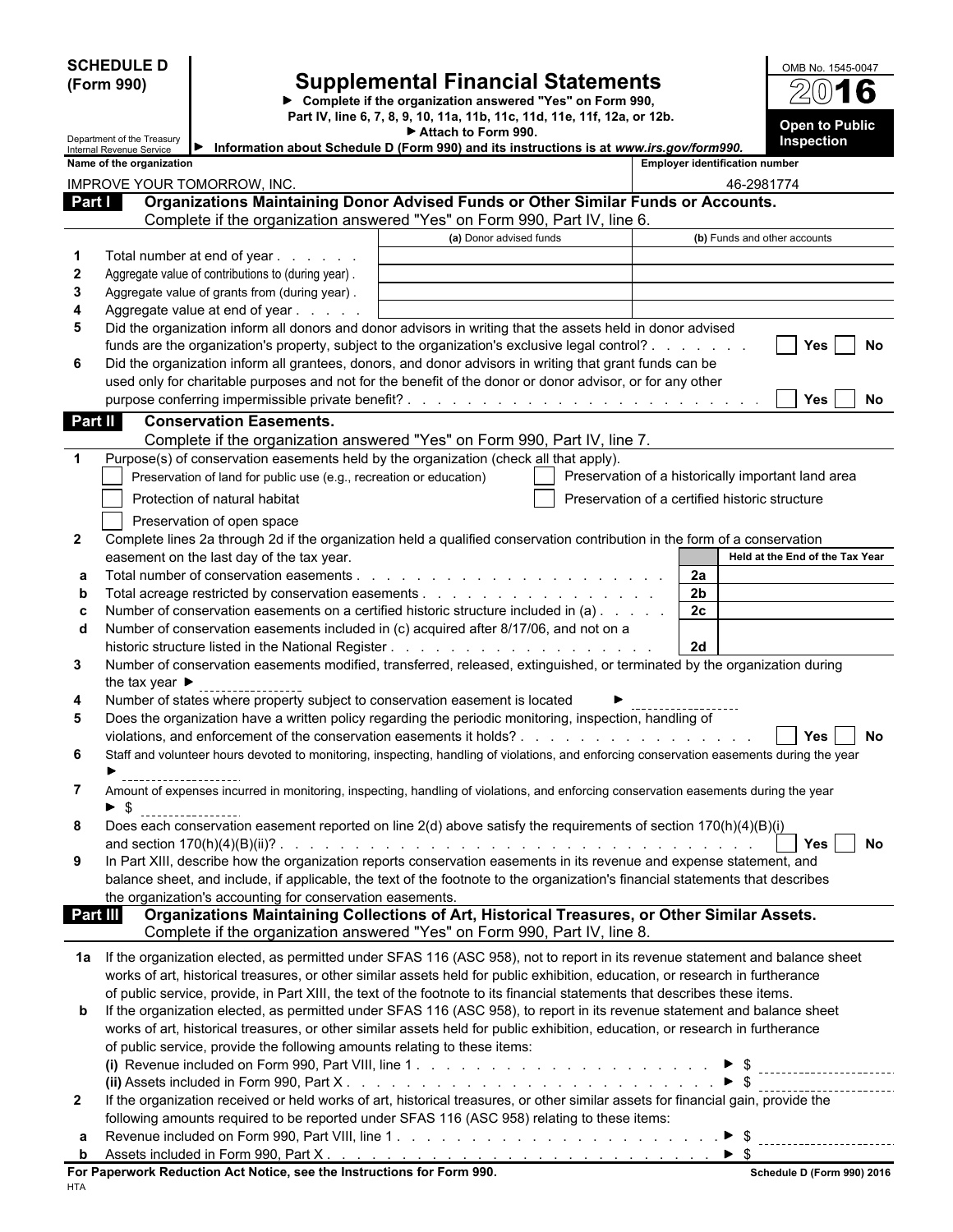**SCHEDULE D (Form 990)**

### **Supplemental Financial Statements**

**Complete if the organization answered "Yes" on Form 990, Part IV, line 6, 7, 8, 9, 10, 11a, 11b, 11c, 11d, 11e, 11f, 12a, or 12b. Open to Public Attach to Form 990.**



|                  | Department of the Treasury<br>Information about Schedule D (Form 990) and its instructions is at www.irs.gov/form990.<br>Internal Revenue Service |                         |                                                    |                                       | <b>Inspection</b>               |    |
|------------------|---------------------------------------------------------------------------------------------------------------------------------------------------|-------------------------|----------------------------------------------------|---------------------------------------|---------------------------------|----|
|                  | Name of the organization                                                                                                                          |                         |                                                    | <b>Employer identification number</b> |                                 |    |
|                  | IMPROVE YOUR TOMORROW, INC.                                                                                                                       |                         |                                                    | 46-2981774                            |                                 |    |
| Part I           | Organizations Maintaining Donor Advised Funds or Other Similar Funds or Accounts.                                                                 |                         |                                                    |                                       |                                 |    |
|                  | Complete if the organization answered "Yes" on Form 990, Part IV, line 6.                                                                         |                         |                                                    |                                       |                                 |    |
|                  |                                                                                                                                                   | (a) Donor advised funds |                                                    | (b) Funds and other accounts          |                                 |    |
| $\mathbf 1$      | Total number at end of year                                                                                                                       |                         |                                                    |                                       |                                 |    |
| $\boldsymbol{2}$ | Aggregate value of contributions to (during year).                                                                                                |                         |                                                    |                                       |                                 |    |
| 3                | Aggregate value of grants from (during year).                                                                                                     |                         |                                                    |                                       |                                 |    |
| 4<br>5           | Aggregate value at end of year<br>Did the organization inform all donors and donor advisors in writing that the assets held in donor advised      |                         |                                                    |                                       |                                 |    |
|                  | funds are the organization's property, subject to the organization's exclusive legal control?                                                     |                         |                                                    |                                       | Yes                             | No |
| 6                | Did the organization inform all grantees, donors, and donor advisors in writing that grant funds can be                                           |                         |                                                    |                                       |                                 |    |
|                  | used only for charitable purposes and not for the benefit of the donor or donor advisor, or for any other                                         |                         |                                                    |                                       |                                 |    |
|                  |                                                                                                                                                   |                         |                                                    |                                       | Yes                             | No |
| Part II          | <b>Conservation Easements.</b>                                                                                                                    |                         |                                                    |                                       |                                 |    |
|                  | Complete if the organization answered "Yes" on Form 990, Part IV, line 7.                                                                         |                         |                                                    |                                       |                                 |    |
| 1                | Purpose(s) of conservation easements held by the organization (check all that apply).                                                             |                         |                                                    |                                       |                                 |    |
|                  | Preservation of land for public use (e.g., recreation or education)                                                                               |                         | Preservation of a historically important land area |                                       |                                 |    |
|                  | Protection of natural habitat                                                                                                                     |                         | Preservation of a certified historic structure     |                                       |                                 |    |
|                  | Preservation of open space                                                                                                                        |                         |                                                    |                                       |                                 |    |
| $\mathbf{2}$     | Complete lines 2a through 2d if the organization held a qualified conservation contribution in the form of a conservation                         |                         |                                                    |                                       |                                 |    |
|                  | easement on the last day of the tax year.                                                                                                         |                         |                                                    |                                       | Held at the End of the Tax Year |    |
| а                |                                                                                                                                                   |                         |                                                    | 2a                                    |                                 |    |
| b                |                                                                                                                                                   |                         |                                                    | 2 <sub>b</sub>                        |                                 |    |
| с                | Number of conservation easements on a certified historic structure included in (a)                                                                |                         |                                                    | 2c                                    |                                 |    |
| d                | Number of conservation easements included in (c) acquired after 8/17/06, and not on a                                                             |                         |                                                    |                                       |                                 |    |
|                  |                                                                                                                                                   |                         |                                                    | 2d                                    |                                 |    |
| 3                | Number of conservation easements modified, transferred, released, extinguished, or terminated by the organization during                          |                         |                                                    |                                       |                                 |    |
|                  | the tax year $\blacktriangleright$                                                                                                                |                         |                                                    |                                       |                                 |    |
| 4                | Number of states where property subject to conservation easement is located                                                                       |                         |                                                    |                                       |                                 |    |
| 5                | Does the organization have a written policy regarding the periodic monitoring, inspection, handling of                                            |                         |                                                    |                                       |                                 |    |
| 6                |                                                                                                                                                   |                         |                                                    |                                       | Yes                             | No |
|                  | Staff and volunteer hours devoted to monitoring, inspecting, handling of violations, and enforcing conservation easements during the year         |                         |                                                    |                                       |                                 |    |
| 7                | Amount of expenses incurred in monitoring, inspecting, handling of violations, and enforcing conservation easements during the year               |                         |                                                    |                                       |                                 |    |
|                  | \$                                                                                                                                                |                         |                                                    |                                       |                                 |    |
| 8                | Does each conservation easement reported on line 2(d) above satisfy the requirements of section 170(h)(4)(B)(i)                                   |                         |                                                    |                                       |                                 |    |
|                  |                                                                                                                                                   |                         |                                                    |                                       | <b>Yes</b>                      | No |
| 9                | In Part XIII, describe how the organization reports conservation easements in its revenue and expense statement, and                              |                         |                                                    |                                       |                                 |    |
|                  | balance sheet, and include, if applicable, the text of the footnote to the organization's financial statements that describes                     |                         |                                                    |                                       |                                 |    |
|                  | the organization's accounting for conservation easements.                                                                                         |                         |                                                    |                                       |                                 |    |
|                  | Organizations Maintaining Collections of Art, Historical Treasures, or Other Similar Assets.<br>Part III                                          |                         |                                                    |                                       |                                 |    |
|                  | Complete if the organization answered "Yes" on Form 990, Part IV, line 8.                                                                         |                         |                                                    |                                       |                                 |    |
|                  | 1a If the organization elected, as permitted under SFAS 116 (ASC 958), not to report in its revenue statement and balance sheet                   |                         |                                                    |                                       |                                 |    |
|                  | works of art, historical treasures, or other similar assets held for public exhibition, education, or research in furtherance                     |                         |                                                    |                                       |                                 |    |
|                  | of public service, provide, in Part XIII, the text of the footnote to its financial statements that describes these items.                        |                         |                                                    |                                       |                                 |    |
| b                | If the organization elected, as permitted under SFAS 116 (ASC 958), to report in its revenue statement and balance sheet                          |                         |                                                    |                                       |                                 |    |
|                  | works of art, historical treasures, or other similar assets held for public exhibition, education, or research in furtherance                     |                         |                                                    |                                       |                                 |    |
|                  | of public service, provide the following amounts relating to these items:                                                                         |                         |                                                    |                                       |                                 |    |
|                  |                                                                                                                                                   |                         |                                                    |                                       |                                 |    |
|                  |                                                                                                                                                   |                         |                                                    |                                       |                                 |    |
| $\mathbf{2}$     | If the organization received or held works of art, historical treasures, or other similar assets for financial gain, provide the                  |                         |                                                    |                                       |                                 |    |
|                  | following amounts required to be reported under SFAS 116 (ASC 958) relating to these items:                                                       |                         |                                                    |                                       |                                 |    |
| a                |                                                                                                                                                   |                         |                                                    |                                       |                                 |    |
| b                |                                                                                                                                                   |                         |                                                    |                                       |                                 |    |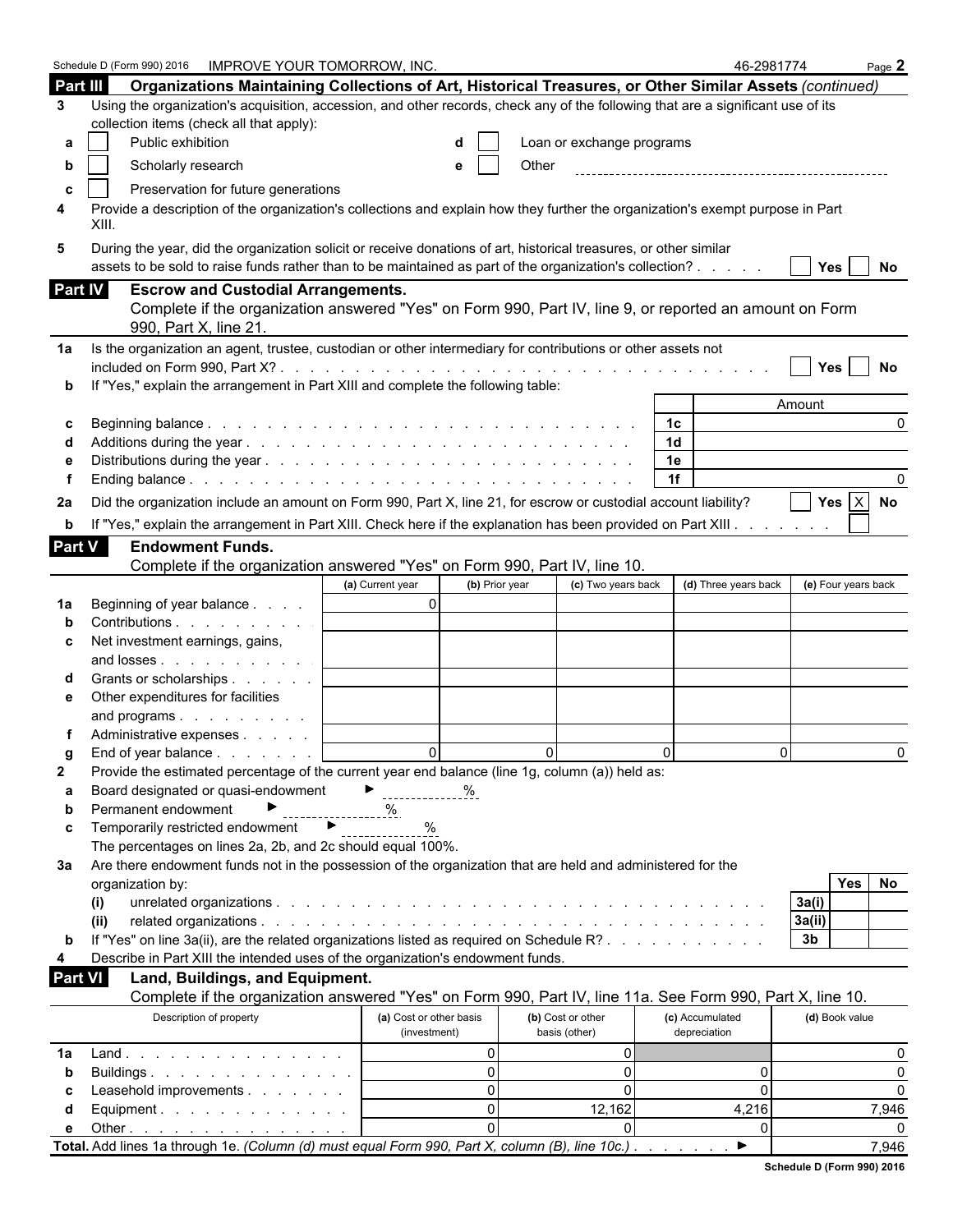|                |                                                                                                                                                                                                                              |                                    |                           | 46-2981774           | Page 2                   |
|----------------|------------------------------------------------------------------------------------------------------------------------------------------------------------------------------------------------------------------------------|------------------------------------|---------------------------|----------------------|--------------------------|
| Part III       | Organizations Maintaining Collections of Art, Historical Treasures, or Other Similar Assets (continued)                                                                                                                      |                                    |                           |                      |                          |
| 3              | Using the organization's acquisition, accession, and other records, check any of the following that are a significant use of its                                                                                             |                                    |                           |                      |                          |
|                | collection items (check all that apply):                                                                                                                                                                                     |                                    |                           |                      |                          |
| а              | Public exhibition                                                                                                                                                                                                            |                                    | Loan or exchange programs |                      |                          |
| b              | Scholarly research                                                                                                                                                                                                           | e                                  | Other                     |                      |                          |
|                |                                                                                                                                                                                                                              |                                    |                           |                      |                          |
| c              | Preservation for future generations                                                                                                                                                                                          |                                    |                           |                      |                          |
| 4              | Provide a description of the organization's collections and explain how they further the organization's exempt purpose in Part<br>XIII.                                                                                      |                                    |                           |                      |                          |
| 5              | During the year, did the organization solicit or receive donations of art, historical treasures, or other similar<br>assets to be sold to raise funds rather than to be maintained as part of the organization's collection? |                                    |                           |                      | <b>Yes</b><br>No         |
| Part IV        | <b>Escrow and Custodial Arrangements.</b>                                                                                                                                                                                    |                                    |                           |                      |                          |
|                | Complete if the organization answered "Yes" on Form 990, Part IV, line 9, or reported an amount on Form                                                                                                                      |                                    |                           |                      |                          |
|                | 990, Part X, line 21.                                                                                                                                                                                                        |                                    |                           |                      |                          |
| 1a             | Is the organization an agent, trustee, custodian or other intermediary for contributions or other assets not                                                                                                                 |                                    |                           |                      |                          |
|                |                                                                                                                                                                                                                              |                                    |                           |                      | <b>Yes</b><br>No         |
|                | If "Yes," explain the arrangement in Part XIII and complete the following table:                                                                                                                                             |                                    |                           |                      |                          |
|                |                                                                                                                                                                                                                              |                                    |                           |                      | Amount                   |
| c              |                                                                                                                                                                                                                              |                                    |                           | 1 <sub>c</sub>       | <sup>0</sup>             |
|                |                                                                                                                                                                                                                              |                                    |                           | 1 <sub>d</sub>       |                          |
|                |                                                                                                                                                                                                                              |                                    |                           | 1e                   |                          |
|                |                                                                                                                                                                                                                              |                                    |                           | 1f                   |                          |
| 2a             | Did the organization include an amount on Form 990, Part X, line 21, for escrow or custodial account liability?                                                                                                              |                                    |                           |                      | Yes $ X $<br>No          |
| b              | If "Yes," explain the arrangement in Part XIII. Check here if the explanation has been provided on Part XIII.                                                                                                                |                                    |                           |                      |                          |
| Part V         | <b>Endowment Funds.</b>                                                                                                                                                                                                      |                                    |                           |                      |                          |
|                | Complete if the organization answered "Yes" on Form 990, Part IV, line 10.                                                                                                                                                   |                                    |                           |                      |                          |
|                |                                                                                                                                                                                                                              | (b) Prior year<br>(a) Current year | (c) Two years back        | (d) Three years back | (e) Four years back      |
| 1a             | Beginning of year balance                                                                                                                                                                                                    | $\overline{0}$                     |                           |                      |                          |
|                | Contributions                                                                                                                                                                                                                |                                    |                           |                      |                          |
| c              | Net investment earnings, gains,                                                                                                                                                                                              |                                    |                           |                      |                          |
|                | and losses                                                                                                                                                                                                                   |                                    |                           |                      |                          |
|                | Grants or scholarships                                                                                                                                                                                                       |                                    |                           |                      |                          |
| е              | Other expenditures for facilities                                                                                                                                                                                            |                                    |                           |                      |                          |
|                | and programs                                                                                                                                                                                                                 |                                    |                           |                      |                          |
|                | Administrative expenses                                                                                                                                                                                                      |                                    |                           |                      |                          |
|                | End of year balance                                                                                                                                                                                                          | $\Omega$                           | $\Omega$                  | $\Omega$             | $\Omega$<br><sup>0</sup> |
| $\mathbf{2}$   | Provide the estimated percentage of the current year end balance (line 1g, column (a)) held as:                                                                                                                              |                                    |                           |                      |                          |
| а              | Board designated or quasi-endowment                                                                                                                                                                                          | ▶<br>$\frac{9}{1}$                 |                           |                      |                          |
| b              | Permanent endowment                                                                                                                                                                                                          | ℅                                  |                           |                      |                          |
| C              | Temporarily restricted endowment ▶                                                                                                                                                                                           | $\%$                               |                           |                      |                          |
|                | The percentages on lines 2a, 2b, and 2c should equal 100%.                                                                                                                                                                   |                                    |                           |                      |                          |
| За             | Are there endowment funds not in the possession of the organization that are held and administered for the                                                                                                                   |                                    |                           |                      |                          |
|                | organization by:                                                                                                                                                                                                             |                                    |                           |                      | Yes<br>No                |
|                | (i)                                                                                                                                                                                                                          |                                    |                           |                      | 3a(i)                    |
|                | (ii)                                                                                                                                                                                                                         |                                    |                           |                      | 3a(ii)                   |
| $\mathbf b$    | If "Yes" on line 3a(ii), are the related organizations listed as required on Schedule R?                                                                                                                                     |                                    |                           |                      | 3 <sub>b</sub>           |
| 4              | Describe in Part XIII the intended uses of the organization's endowment funds.                                                                                                                                               |                                    |                           |                      |                          |
| <b>Part VI</b> | Land, Buildings, and Equipment.                                                                                                                                                                                              |                                    |                           |                      |                          |
|                | Complete if the organization answered "Yes" on Form 990, Part IV, line 11a. See Form 990, Part X, line 10.                                                                                                                   |                                    |                           |                      |                          |
|                | Description of property                                                                                                                                                                                                      | (a) Cost or other basis            | (b) Cost or other         | (c) Accumulated      | (d) Book value           |
|                |                                                                                                                                                                                                                              | (investment)                       | basis (other)             | depreciation         |                          |
| 1a             | $Land.$                                                                                                                                                                                                                      | $\mathbf{0}$                       | $\overline{0}$            |                      | 0                        |
| b              | Buildings                                                                                                                                                                                                                    | $\mathbf{0}$                       | 0                         | 0                    | $\mathbf{0}$             |
| с              | Leasehold improvements                                                                                                                                                                                                       | $\Omega$                           | $\Omega$                  | 0                    | $\Omega$                 |
| d              | Equipment.                                                                                                                                                                                                                   | $\Omega$<br>$\Omega$               | 12,162                    | 4,216                | 7,946                    |
| е              | Other $\ldots$ $\ldots$ $\ldots$ $\ldots$ $\ldots$ $\ldots$                                                                                                                                                                  |                                    |                           | 0<br>▶               |                          |
|                | Total. Add lines 1a through 1e. (Column (d) must equal Form 990, Part X, column (B), line 10c.).                                                                                                                             |                                    |                           |                      | 7,946                    |

| Schedule D (Form 990) 2016 |  |
|----------------------------|--|
|                            |  |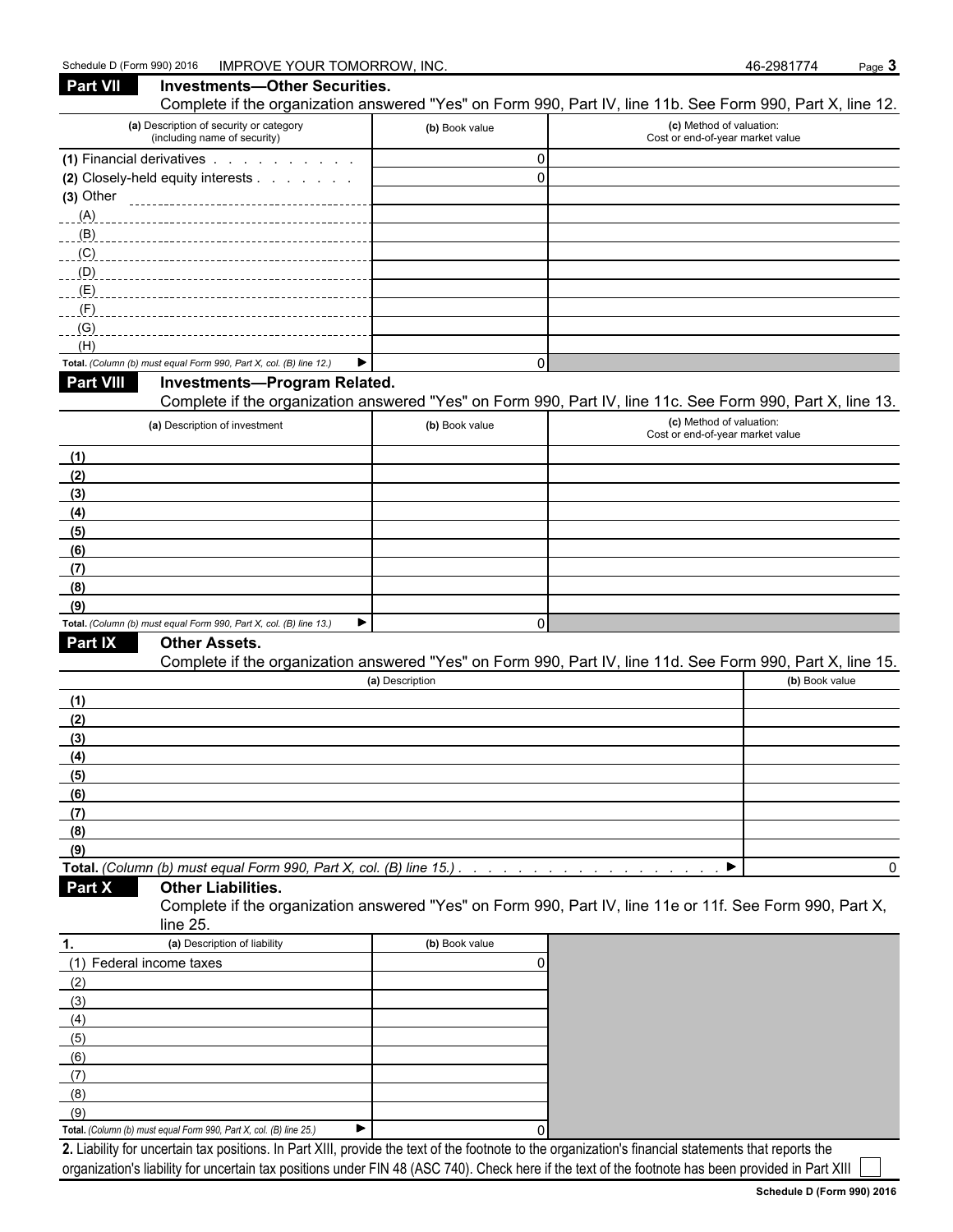|             | (a) Description of security or category<br>(including name of security) | (b) Book value                                                     | Complete if the organization answered "Yes" on Form 990, Part IV, line 11b. See Form 990, Part X, line 12.<br>(c) Method of valuation:<br>Cost or end-of-year market value |
|-------------|-------------------------------------------------------------------------|--------------------------------------------------------------------|----------------------------------------------------------------------------------------------------------------------------------------------------------------------------|
|             | (1) Financial derivatives                                               | $\mathbf{0}$                                                       |                                                                                                                                                                            |
|             | (2) Closely-held equity interests                                       | $\mathbf{0}$                                                       |                                                                                                                                                                            |
| $(3)$ Other |                                                                         |                                                                    |                                                                                                                                                                            |
| (A)         |                                                                         |                                                                    |                                                                                                                                                                            |
| (B)         |                                                                         |                                                                    |                                                                                                                                                                            |
| (C)         |                                                                         |                                                                    |                                                                                                                                                                            |
| (D)         |                                                                         |                                                                    |                                                                                                                                                                            |
| (E)         |                                                                         |                                                                    |                                                                                                                                                                            |
| (F)         |                                                                         |                                                                    |                                                                                                                                                                            |
| (G)         |                                                                         |                                                                    |                                                                                                                                                                            |
| (H)         |                                                                         |                                                                    |                                                                                                                                                                            |
|             | Total. (Column (b) must equal Form 990, Part X, col. (B) line 12.)      | $\mathbf{0}$<br>▶                                                  |                                                                                                                                                                            |
| Part VIII   | Investments-Program Related.                                            |                                                                    | Complete if the organization answered "Yes" on Form 990, Part IV, line 11c. See Form 990, Part X, line 13.                                                                 |
|             | (a) Description of investment                                           | (b) Book value                                                     | (c) Method of valuation:<br>Cost or end-of-year market value                                                                                                               |
| (1)         |                                                                         |                                                                    |                                                                                                                                                                            |
| (2)         |                                                                         |                                                                    |                                                                                                                                                                            |
| (3)         |                                                                         |                                                                    |                                                                                                                                                                            |
| (4)         |                                                                         |                                                                    |                                                                                                                                                                            |
| (5)         |                                                                         |                                                                    |                                                                                                                                                                            |
| (6)<br>(7)  |                                                                         |                                                                    |                                                                                                                                                                            |
| (8)         |                                                                         |                                                                    |                                                                                                                                                                            |
| (9)         |                                                                         |                                                                    |                                                                                                                                                                            |
|             | Total. (Column (b) must equal Form 990, Part X, col. (B) line 13.)      | ▶<br>$\mathbf{0}$                                                  |                                                                                                                                                                            |
| Part IX     | <b>Other Assets.</b>                                                    |                                                                    |                                                                                                                                                                            |
|             |                                                                         |                                                                    | Complete if the organization answered "Yes" on Form 990, Part IV, line 11d. See Form 990, Part X, line 15.                                                                 |
|             |                                                                         |                                                                    |                                                                                                                                                                            |
|             |                                                                         | (a) Description                                                    | (b) Book value                                                                                                                                                             |
| (1)         |                                                                         |                                                                    |                                                                                                                                                                            |
| (2)         |                                                                         |                                                                    |                                                                                                                                                                            |
| (3)         |                                                                         |                                                                    |                                                                                                                                                                            |
| (4)         |                                                                         |                                                                    |                                                                                                                                                                            |
| (5)         |                                                                         |                                                                    |                                                                                                                                                                            |
| (6)         |                                                                         |                                                                    |                                                                                                                                                                            |
| (7)         |                                                                         |                                                                    |                                                                                                                                                                            |
| (8)         |                                                                         |                                                                    |                                                                                                                                                                            |
| (9)         |                                                                         |                                                                    |                                                                                                                                                                            |
|             |                                                                         | Total. (Column (b) must equal Form 990, Part X, col. (B) line 15.) | 0                                                                                                                                                                          |
| Part X      | <b>Other Liabilities.</b>                                               |                                                                    |                                                                                                                                                                            |
|             | line 25.                                                                |                                                                    | Complete if the organization answered "Yes" on Form 990, Part IV, line 11e or 11f. See Form 990, Part X,                                                                   |
|             | (a) Description of liability                                            | (b) Book value                                                     |                                                                                                                                                                            |
|             | (1) Federal income taxes                                                | O                                                                  |                                                                                                                                                                            |
| (2)         |                                                                         |                                                                    |                                                                                                                                                                            |
| 1.<br>(3)   |                                                                         |                                                                    |                                                                                                                                                                            |
| (4)         |                                                                         |                                                                    |                                                                                                                                                                            |
| (5)         |                                                                         |                                                                    |                                                                                                                                                                            |
| (6)         |                                                                         |                                                                    |                                                                                                                                                                            |
| (7)         |                                                                         |                                                                    |                                                                                                                                                                            |
| (8)         |                                                                         |                                                                    |                                                                                                                                                                            |
| (9)         | Total. (Column (b) must equal Form 990, Part X, col. (B) line 25.)      | ▶                                                                  |                                                                                                                                                                            |

**2.** Liability for uncertain tax positions. In Part XIII, provide the text of the footnote to the organization's financial statements that reports the organization's liability for uncertain tax positions under FIN 48 (ASC 740). Check here if the text of the footnote has been provided in Part XIII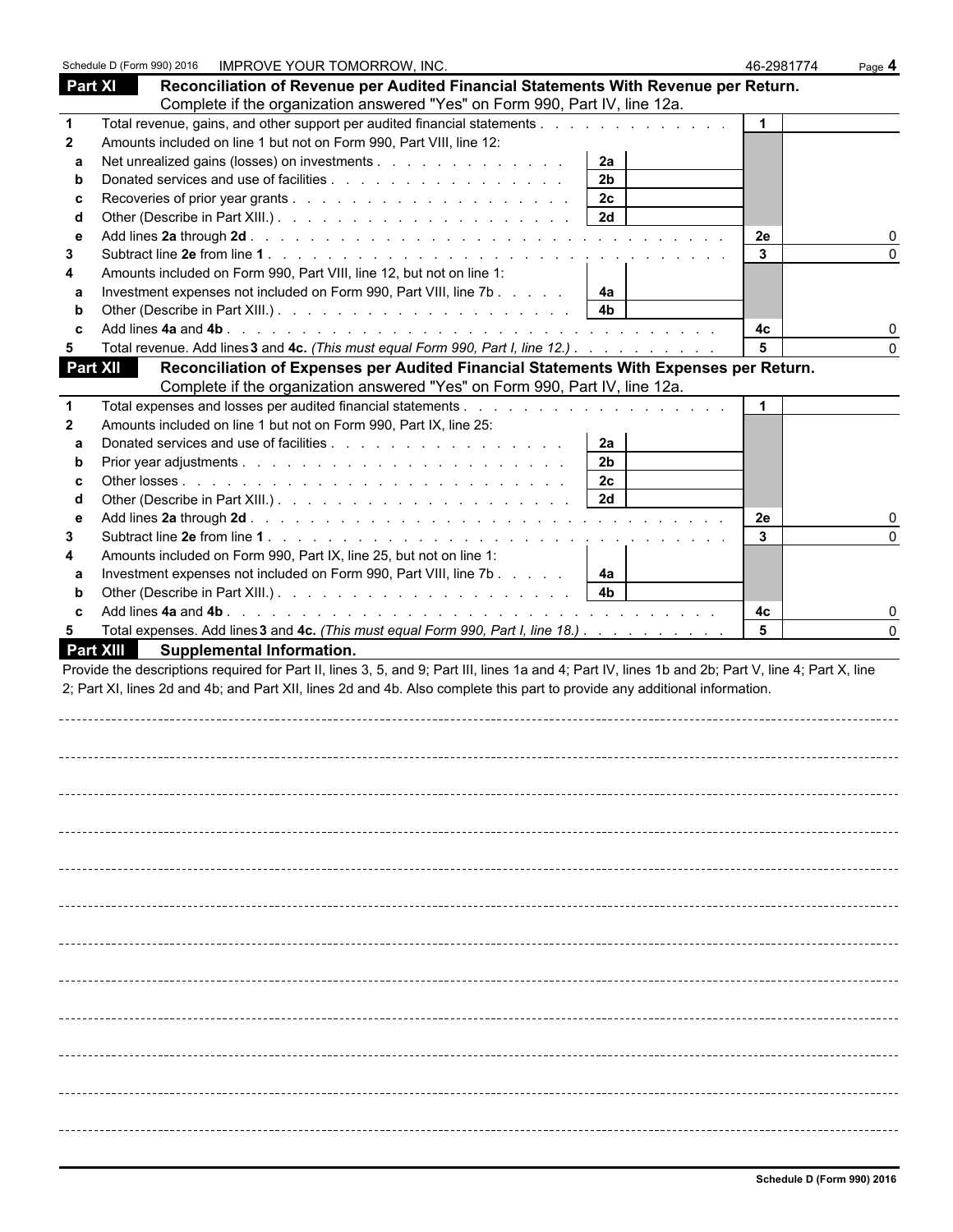|                 |                                                                                                                                                    | 46-2981774 | Page 4 |
|-----------------|----------------------------------------------------------------------------------------------------------------------------------------------------|------------|--------|
| Part XI         | Reconciliation of Revenue per Audited Financial Statements With Revenue per Return.                                                                |            |        |
|                 | Complete if the organization answered "Yes" on Form 990, Part IV, line 12a.                                                                        |            |        |
| $\mathbf{1}$    | Total revenue, gains, and other support per audited financial statements                                                                           |            |        |
| $\mathbf{2}$    | Amounts included on line 1 but not on Form 990, Part VIII, line 12:<br>Net unrealized gains (losses) on investments                                |            |        |
| a<br>b          | 2a<br>2 <sub>b</sub>                                                                                                                               |            |        |
| c               | 2c                                                                                                                                                 |            |        |
| d               | 2d                                                                                                                                                 |            |        |
| е               |                                                                                                                                                    | 2e         |        |
| 3               |                                                                                                                                                    | 3          |        |
| 4               | Amounts included on Form 990, Part VIII, line 12, but not on line 1:                                                                               |            |        |
| a               | Investment expenses not included on Form 990, Part VIII, line 7b<br>4a                                                                             |            |        |
| b               | 4 <sub>b</sub>                                                                                                                                     |            |        |
| C               |                                                                                                                                                    | 4с         |        |
| 5               | Total revenue. Add lines 3 and 4c. (This must equal Form 990, Part I, line 12.)                                                                    |            |        |
| <b>Part XII</b> | Reconciliation of Expenses per Audited Financial Statements With Expenses per Return.                                                              |            |        |
|                 | Complete if the organization answered "Yes" on Form 990, Part IV, line 12a.                                                                        |            |        |
| $\mathbf{1}$    |                                                                                                                                                    |            |        |
| $\mathbf{2}$    | Amounts included on line 1 but not on Form 990, Part IX, line 25:                                                                                  |            |        |
| a               | 2a                                                                                                                                                 |            |        |
| b               | 2 <sub>b</sub>                                                                                                                                     |            |        |
| C               | 2c<br>2d                                                                                                                                           |            |        |
| d<br>е          |                                                                                                                                                    | 2e         |        |
| 3               |                                                                                                                                                    | 3          |        |
| 4               | Amounts included on Form 990, Part IX, line 25, but not on line 1:                                                                                 |            |        |
| a               | Investment expenses not included on Form 990, Part VIII, line 7b<br>4a                                                                             |            |        |
| b               | 4 <sub>b</sub>                                                                                                                                     |            |        |
| C               |                                                                                                                                                    | 4с         |        |
| 5               | Total expenses. Add lines 3 and 4c. (This must equal Form 990, Part I, line 18.)                                                                   | 5          |        |
|                 | <b>Part XIII</b><br><b>Supplemental Information.</b>                                                                                               |            |        |
|                 | Provide the descriptions required for Part II, lines 3, 5, and 9; Part III, lines 1a and 4; Part IV, lines 1b and 2b; Part V, line 4; Part X, line |            |        |
|                 | 2; Part XI, lines 2d and 4b; and Part XII, lines 2d and 4b. Also complete this part to provide any additional information.                         |            |        |
|                 |                                                                                                                                                    |            |        |
|                 |                                                                                                                                                    |            |        |
|                 |                                                                                                                                                    |            |        |
|                 |                                                                                                                                                    |            |        |
|                 |                                                                                                                                                    |            |        |
|                 |                                                                                                                                                    |            |        |
|                 |                                                                                                                                                    |            |        |
|                 |                                                                                                                                                    |            |        |
|                 |                                                                                                                                                    |            |        |
|                 |                                                                                                                                                    |            |        |
|                 |                                                                                                                                                    |            |        |
|                 |                                                                                                                                                    |            |        |
|                 |                                                                                                                                                    |            |        |
|                 |                                                                                                                                                    |            |        |
|                 |                                                                                                                                                    |            |        |
|                 |                                                                                                                                                    |            |        |
|                 |                                                                                                                                                    |            |        |
|                 |                                                                                                                                                    |            |        |
|                 |                                                                                                                                                    |            |        |
|                 |                                                                                                                                                    |            |        |
|                 |                                                                                                                                                    |            |        |
|                 |                                                                                                                                                    |            |        |
|                 |                                                                                                                                                    |            |        |
|                 |                                                                                                                                                    |            |        |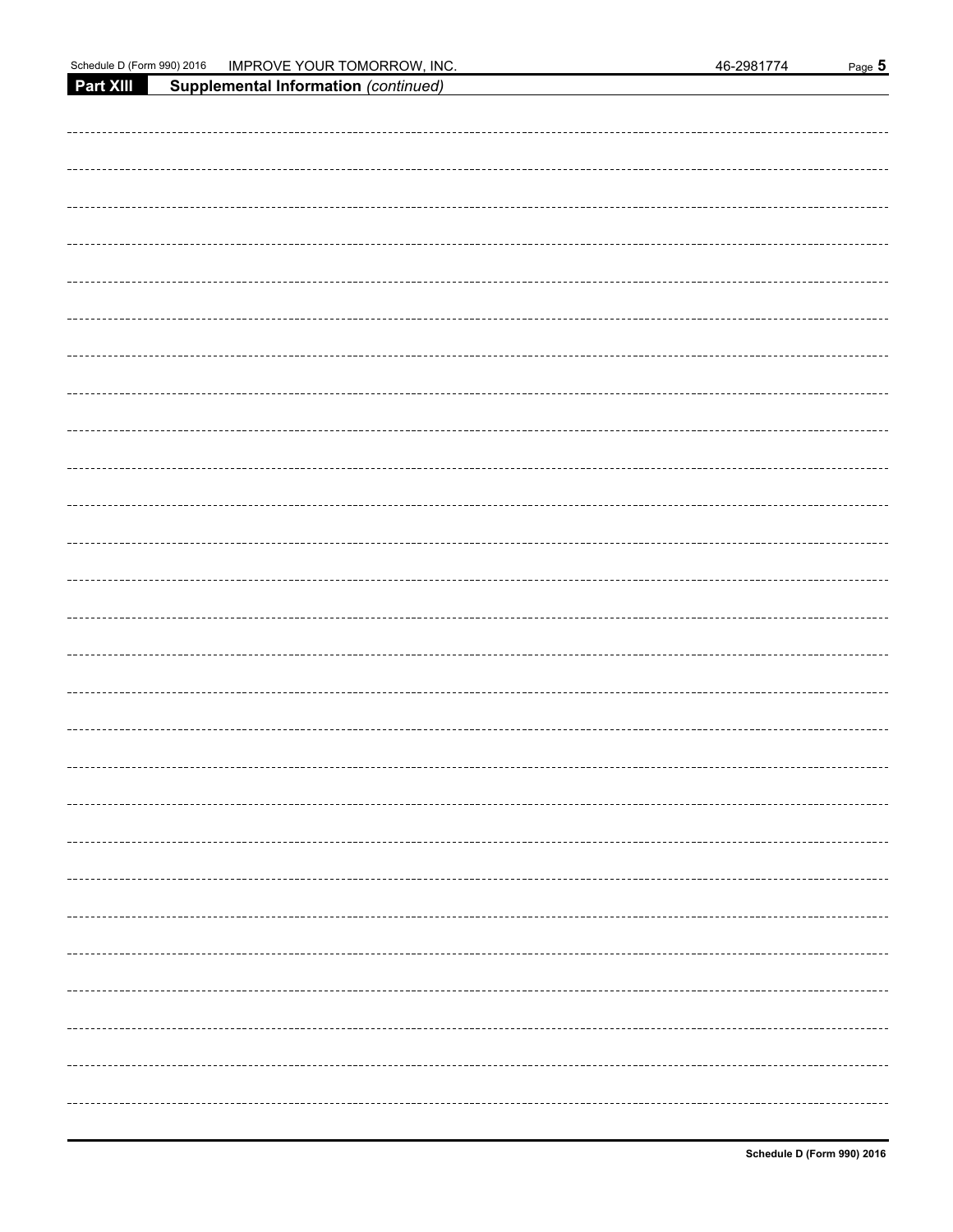| 16-2981774 | Page |
|------------|------|
|            |      |

| Schedule D (Form 990) 2016 | <b>OMORROW</b><br>INC.<br><b>IMPROVE</b><br>ว∪R | 46-298177<br>74 | Page 5 |
|----------------------------|-------------------------------------------------|-----------------|--------|
| <b>Part XIII</b>           | <b>Supplemental Information (continued)</b>     |                 |        |

| $\overline{\phantom{a}}$ |                                       |
|--------------------------|---------------------------------------|
|                          |                                       |
|                          |                                       |
|                          |                                       |
|                          |                                       |
|                          |                                       |
|                          |                                       |
|                          |                                       |
|                          |                                       |
|                          |                                       |
|                          |                                       |
|                          |                                       |
|                          |                                       |
|                          |                                       |
|                          |                                       |
|                          |                                       |
|                          |                                       |
|                          |                                       |
|                          |                                       |
|                          |                                       |
|                          |                                       |
|                          |                                       |
|                          |                                       |
|                          |                                       |
|                          |                                       |
|                          |                                       |
|                          |                                       |
|                          |                                       |
|                          |                                       |
|                          |                                       |
|                          |                                       |
|                          |                                       |
|                          |                                       |
|                          |                                       |
|                          |                                       |
|                          |                                       |
|                          |                                       |
|                          |                                       |
|                          |                                       |
|                          |                                       |
|                          |                                       |
|                          |                                       |
|                          |                                       |
|                          |                                       |
|                          |                                       |
|                          |                                       |
|                          |                                       |
|                          |                                       |
|                          |                                       |
|                          |                                       |
|                          |                                       |
|                          |                                       |
|                          |                                       |
|                          |                                       |
|                          |                                       |
|                          |                                       |
|                          |                                       |
|                          |                                       |
|                          |                                       |
|                          |                                       |
|                          |                                       |
|                          |                                       |
|                          |                                       |
|                          |                                       |
|                          |                                       |
|                          |                                       |
|                          |                                       |
|                          |                                       |
|                          |                                       |
|                          |                                       |
|                          |                                       |
|                          |                                       |
|                          |                                       |
|                          |                                       |
|                          |                                       |
|                          |                                       |
|                          |                                       |
|                          |                                       |
|                          |                                       |
|                          |                                       |
|                          |                                       |
|                          |                                       |
|                          |                                       |
|                          |                                       |
|                          |                                       |
|                          |                                       |
|                          |                                       |
|                          |                                       |
|                          |                                       |
|                          |                                       |
|                          |                                       |
|                          |                                       |
|                          |                                       |
|                          |                                       |
|                          | ------------------------------------- |
|                          |                                       |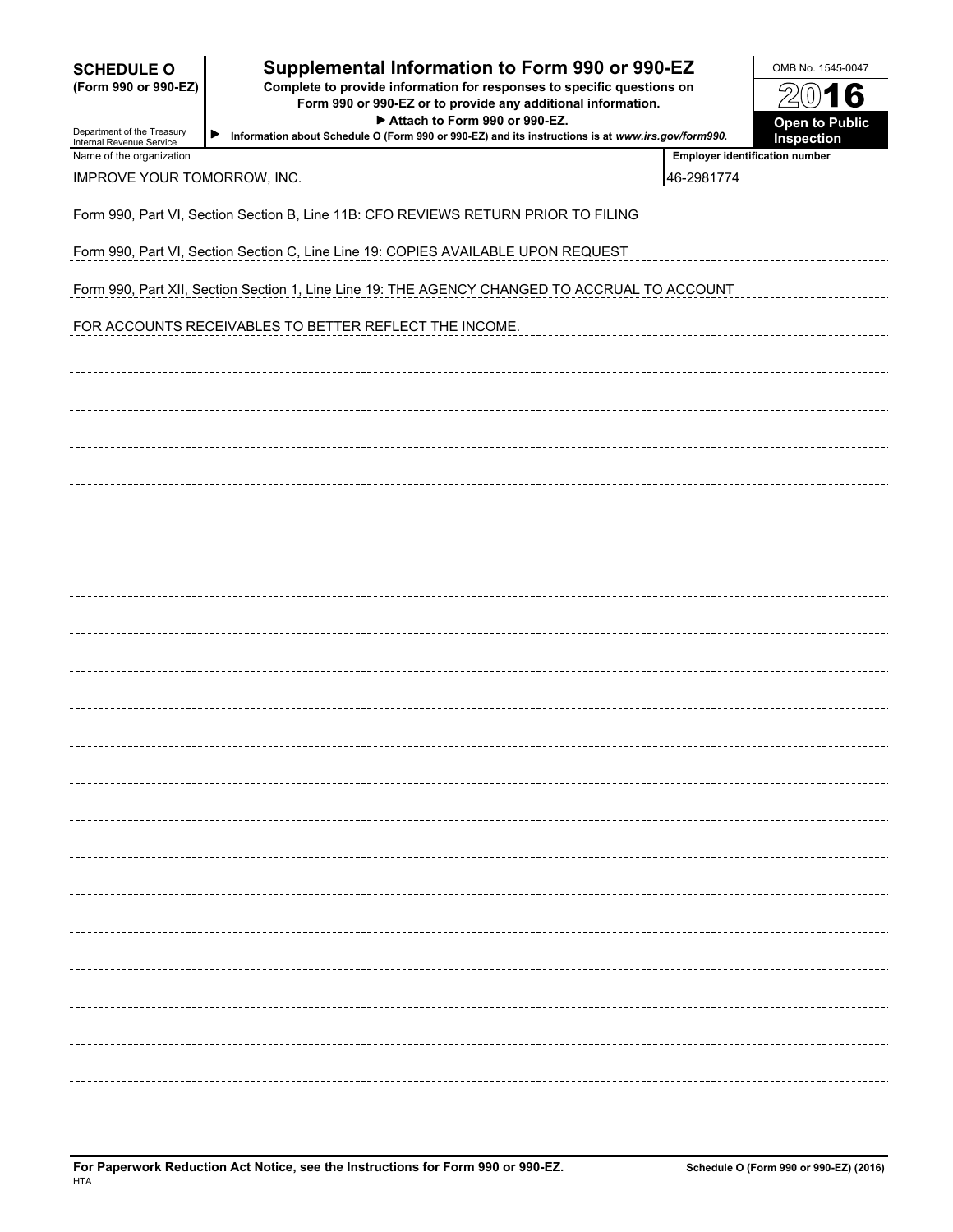| <b>SCHEDULE O</b><br>(Form 990 or 990-EZ)<br>Department of the Treasury<br>Internal Revenue Service | Supplemental Information to Form 990 or 990-EZ<br>Complete to provide information for responses to specific questions on<br>Form 990 or 990-EZ or to provide any additional information.<br>Attach to Form 990 or 990-EZ.<br>▶<br>Information about Schedule O (Form 990 or 990-EZ) and its instructions is at www.irs.gov/form990. |                                       | OMB No. 1545-0047<br>2016<br><b>Open to Public</b><br>Inspection |
|-----------------------------------------------------------------------------------------------------|-------------------------------------------------------------------------------------------------------------------------------------------------------------------------------------------------------------------------------------------------------------------------------------------------------------------------------------|---------------------------------------|------------------------------------------------------------------|
| Name of the organization                                                                            |                                                                                                                                                                                                                                                                                                                                     | <b>Employer identification number</b> |                                                                  |
| IMPROVE YOUR TOMORROW, INC.                                                                         |                                                                                                                                                                                                                                                                                                                                     | 46-2981774                            |                                                                  |
|                                                                                                     | Form 990, Part VI, Section Section B, Line 11B: CFO REVIEWS RETURN PRIOR TO FILING                                                                                                                                                                                                                                                  |                                       |                                                                  |
|                                                                                                     | Form 990, Part VI, Section Section C, Line Line 19: COPIES AVAILABLE UPON REQUEST                                                                                                                                                                                                                                                   |                                       |                                                                  |
|                                                                                                     | Form 990, Part XII, Section Section 1, Line Line 19: THE AGENCY CHANGED TO ACCRUAL TO ACCOUNT                                                                                                                                                                                                                                       |                                       |                                                                  |
|                                                                                                     | FOR ACCOUNTS RECEIVABLES TO BETTER REFLECT THE INCOME.                                                                                                                                                                                                                                                                              |                                       |                                                                  |
|                                                                                                     |                                                                                                                                                                                                                                                                                                                                     |                                       |                                                                  |
|                                                                                                     |                                                                                                                                                                                                                                                                                                                                     |                                       |                                                                  |
|                                                                                                     |                                                                                                                                                                                                                                                                                                                                     |                                       |                                                                  |
|                                                                                                     |                                                                                                                                                                                                                                                                                                                                     |                                       |                                                                  |
|                                                                                                     |                                                                                                                                                                                                                                                                                                                                     |                                       |                                                                  |
|                                                                                                     |                                                                                                                                                                                                                                                                                                                                     |                                       |                                                                  |
|                                                                                                     |                                                                                                                                                                                                                                                                                                                                     |                                       |                                                                  |
|                                                                                                     |                                                                                                                                                                                                                                                                                                                                     |                                       |                                                                  |
|                                                                                                     |                                                                                                                                                                                                                                                                                                                                     |                                       |                                                                  |
|                                                                                                     |                                                                                                                                                                                                                                                                                                                                     |                                       |                                                                  |
|                                                                                                     |                                                                                                                                                                                                                                                                                                                                     |                                       |                                                                  |
|                                                                                                     |                                                                                                                                                                                                                                                                                                                                     |                                       |                                                                  |
|                                                                                                     |                                                                                                                                                                                                                                                                                                                                     |                                       |                                                                  |
|                                                                                                     |                                                                                                                                                                                                                                                                                                                                     |                                       |                                                                  |
|                                                                                                     |                                                                                                                                                                                                                                                                                                                                     |                                       |                                                                  |
|                                                                                                     |                                                                                                                                                                                                                                                                                                                                     |                                       |                                                                  |
|                                                                                                     |                                                                                                                                                                                                                                                                                                                                     |                                       |                                                                  |
|                                                                                                     |                                                                                                                                                                                                                                                                                                                                     |                                       |                                                                  |
|                                                                                                     |                                                                                                                                                                                                                                                                                                                                     |                                       |                                                                  |
|                                                                                                     |                                                                                                                                                                                                                                                                                                                                     |                                       |                                                                  |
|                                                                                                     |                                                                                                                                                                                                                                                                                                                                     |                                       |                                                                  |
|                                                                                                     |                                                                                                                                                                                                                                                                                                                                     |                                       |                                                                  |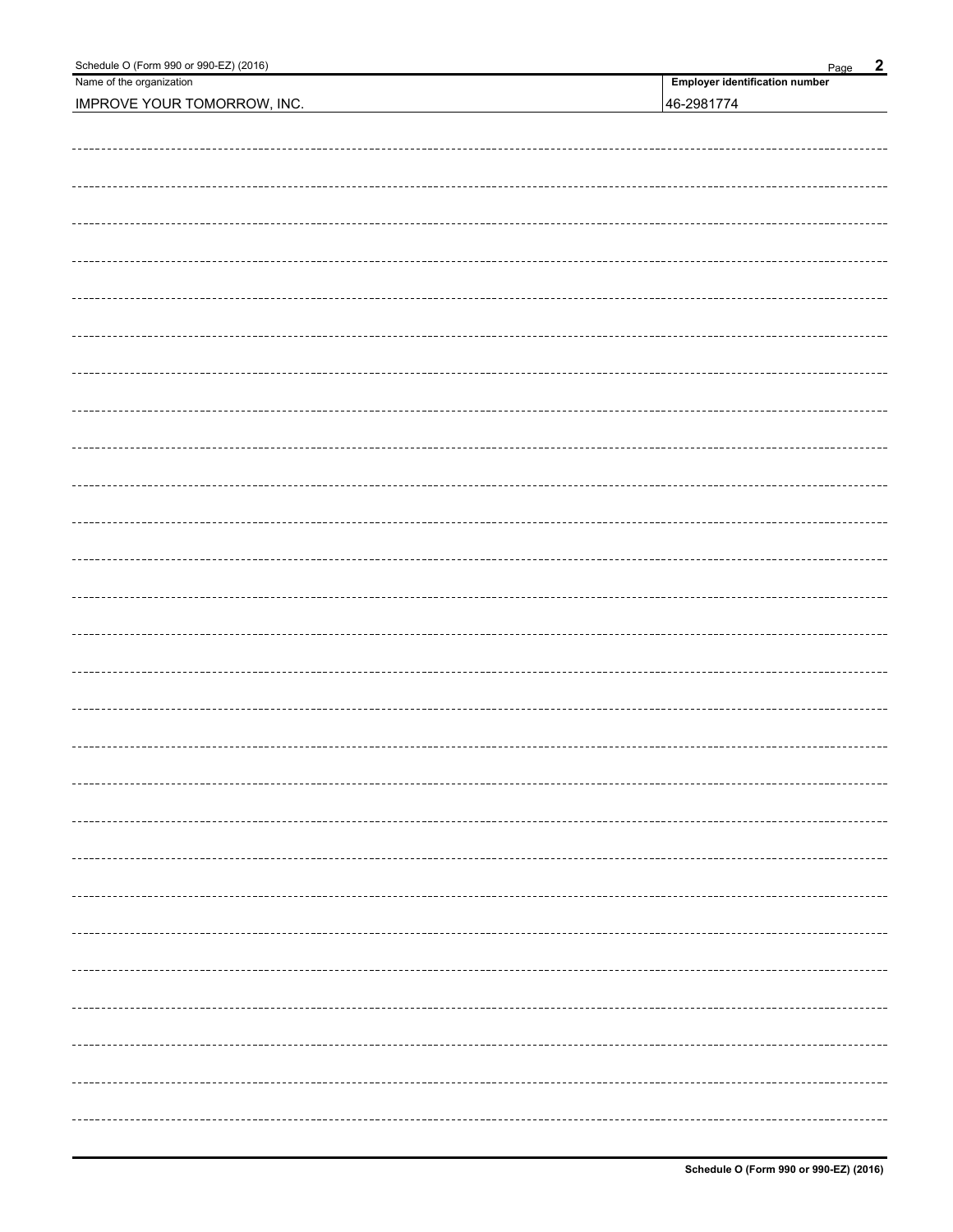| Schedule O (Form 990 or 990-EZ) (2016) | $\overline{2}$<br>Page                |  |  |  |  |  |  |
|----------------------------------------|---------------------------------------|--|--|--|--|--|--|
| Name of the organization               | <b>Employer identification number</b> |  |  |  |  |  |  |
| <b>IMPROVE YOUR TOMORROW, INC.</b>     | 46-2981774                            |  |  |  |  |  |  |
|                                        |                                       |  |  |  |  |  |  |
|                                        |                                       |  |  |  |  |  |  |
|                                        |                                       |  |  |  |  |  |  |
|                                        |                                       |  |  |  |  |  |  |
|                                        |                                       |  |  |  |  |  |  |
|                                        |                                       |  |  |  |  |  |  |
|                                        |                                       |  |  |  |  |  |  |
|                                        |                                       |  |  |  |  |  |  |
|                                        |                                       |  |  |  |  |  |  |
|                                        |                                       |  |  |  |  |  |  |
|                                        |                                       |  |  |  |  |  |  |
|                                        |                                       |  |  |  |  |  |  |
|                                        |                                       |  |  |  |  |  |  |
|                                        |                                       |  |  |  |  |  |  |
|                                        |                                       |  |  |  |  |  |  |
|                                        |                                       |  |  |  |  |  |  |
|                                        |                                       |  |  |  |  |  |  |
|                                        |                                       |  |  |  |  |  |  |
|                                        |                                       |  |  |  |  |  |  |
|                                        |                                       |  |  |  |  |  |  |
|                                        |                                       |  |  |  |  |  |  |
|                                        |                                       |  |  |  |  |  |  |
|                                        |                                       |  |  |  |  |  |  |
|                                        |                                       |  |  |  |  |  |  |
|                                        |                                       |  |  |  |  |  |  |
|                                        |                                       |  |  |  |  |  |  |
|                                        |                                       |  |  |  |  |  |  |
|                                        |                                       |  |  |  |  |  |  |
|                                        |                                       |  |  |  |  |  |  |
|                                        |                                       |  |  |  |  |  |  |
|                                        |                                       |  |  |  |  |  |  |
|                                        |                                       |  |  |  |  |  |  |
|                                        |                                       |  |  |  |  |  |  |
|                                        |                                       |  |  |  |  |  |  |
|                                        |                                       |  |  |  |  |  |  |
|                                        |                                       |  |  |  |  |  |  |
|                                        |                                       |  |  |  |  |  |  |
|                                        |                                       |  |  |  |  |  |  |
|                                        |                                       |  |  |  |  |  |  |
|                                        |                                       |  |  |  |  |  |  |
|                                        |                                       |  |  |  |  |  |  |
|                                        |                                       |  |  |  |  |  |  |
|                                        |                                       |  |  |  |  |  |  |
|                                        |                                       |  |  |  |  |  |  |
|                                        |                                       |  |  |  |  |  |  |
|                                        |                                       |  |  |  |  |  |  |
|                                        |                                       |  |  |  |  |  |  |
|                                        |                                       |  |  |  |  |  |  |
|                                        |                                       |  |  |  |  |  |  |
|                                        |                                       |  |  |  |  |  |  |
|                                        |                                       |  |  |  |  |  |  |
|                                        |                                       |  |  |  |  |  |  |
|                                        |                                       |  |  |  |  |  |  |
|                                        |                                       |  |  |  |  |  |  |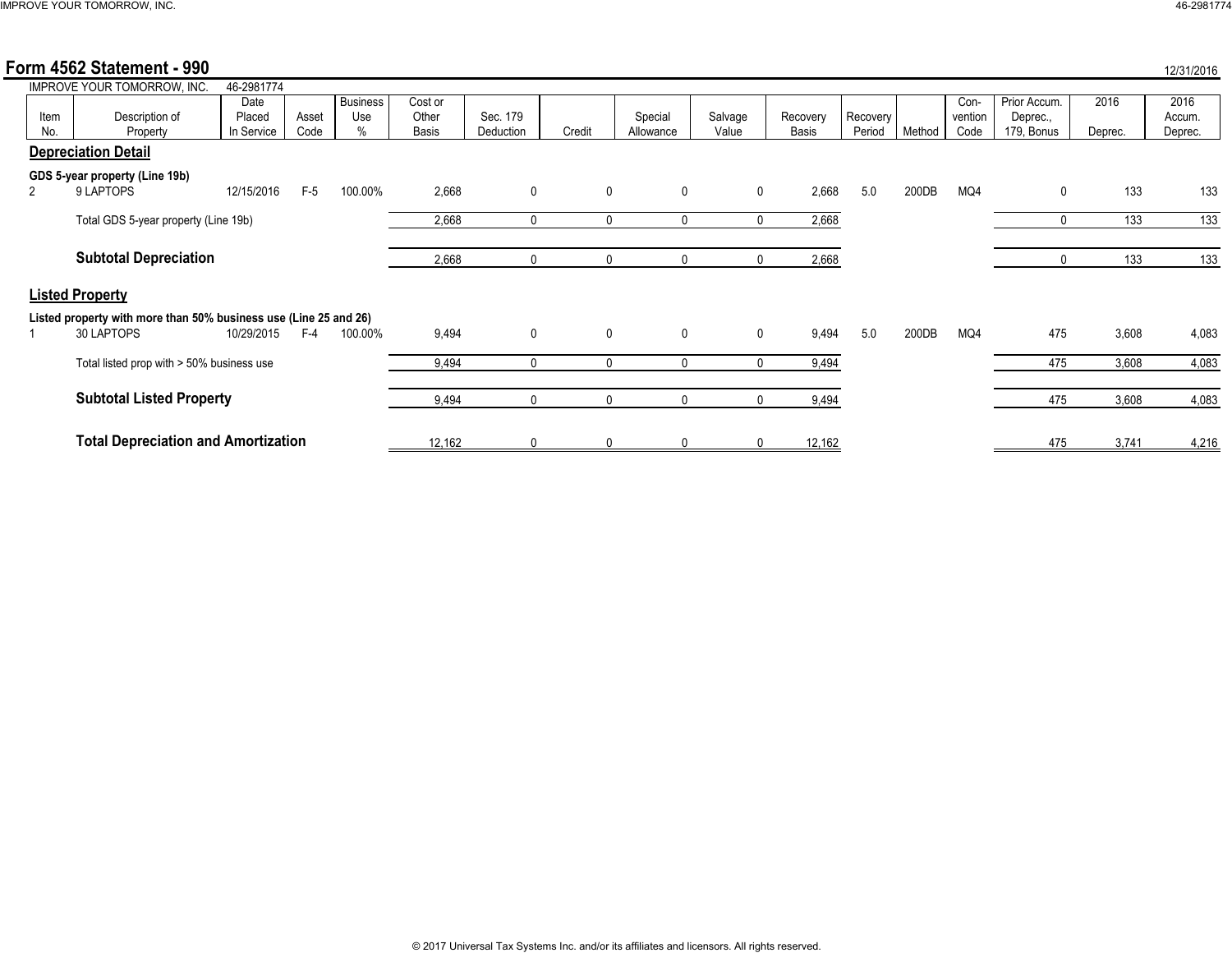### **Form 4562 Statement - 990** 12/31/2016

|      | IMPROVE YOUR TOMORROW, INC.                                      | 46-2981774 |       |                 |         |              |             |              |              |          |          |        |         |              |         |         |
|------|------------------------------------------------------------------|------------|-------|-----------------|---------|--------------|-------------|--------------|--------------|----------|----------|--------|---------|--------------|---------|---------|
|      |                                                                  | Date       |       | <b>Business</b> | Cost or |              |             |              |              |          |          |        | Con-    | Prior Accum. | 2016    | 2016    |
| Item | Description of                                                   | Placed     | Asset | Use             | Other   | Sec. 179     |             | Special      | Salvage      | Recovery | Recovery |        | vention | Deprec.,     |         | Accum.  |
| No.  | Property                                                         | In Service | Code  | %               | Basis   | Deduction    | Credit      | Allowance    | Value        | Basis    | Period   | Method | Code    | 179, Bonus   | Deprec. | Deprec. |
|      | <b>Depreciation Detail</b>                                       |            |       |                 |         |              |             |              |              |          |          |        |         |              |         |         |
| 2    | GDS 5-year property (Line 19b)<br>9 LAPTOPS                      | 12/15/2016 | $F-5$ | 100.00%         | 2,668   | $\mathbf 0$  | $\mathbf 0$ | 0            | $\mathbf 0$  | 2,668    | 5.0      | 200DB  | MQ4     | 0            | 133     | 133     |
|      | Total GDS 5-year property (Line 19b)                             |            |       |                 | 2,668   | $\mathbf{0}$ | 0           | $\mathbf{0}$ | $\mathbf{0}$ | 2,668    |          |        |         |              | 133     | 133     |
|      | <b>Subtotal Depreciation</b>                                     |            |       |                 | 2,668   | $\Omega$     | 0           | $\Omega$     | $\mathbf{0}$ | 2,668    |          |        |         | <sup>0</sup> | 133     | 133     |
|      | <b>Listed Property</b>                                           |            |       |                 |         |              |             |              |              |          |          |        |         |              |         |         |
|      | Listed property with more than 50% business use (Line 25 and 26) |            |       |                 |         |              |             |              |              |          |          |        |         |              |         |         |
|      | 30 LAPTOPS                                                       | 10/29/2015 | $F-4$ | 100.00%         | 9,494   | $\mathbf 0$  | $\mathbf 0$ | 0            | $\mathbf 0$  | 9,494    | 5.0      | 200DB  | MQ4     | 475          | 3,608   | 4,083   |
|      | Total listed prop with > 50% business use                        |            |       |                 | 9,494   | 0            |             | $\Omega$     | 0            | 9,494    |          |        |         | 475          | 3,608   | 4,083   |
|      | <b>Subtotal Listed Property</b>                                  |            |       |                 | 9,494   | $\mathbf{0}$ | 0           | $\mathbf{0}$ | $\mathbf{0}$ | 9,494    |          |        |         | 475          | 3,608   | 4,083   |
|      | <b>Total Depreciation and Amortization</b>                       |            |       |                 | 12.162  | 0            | 0           | 0            | 0            | 12.162   |          |        |         | 475          | 3.741   | 4.216   |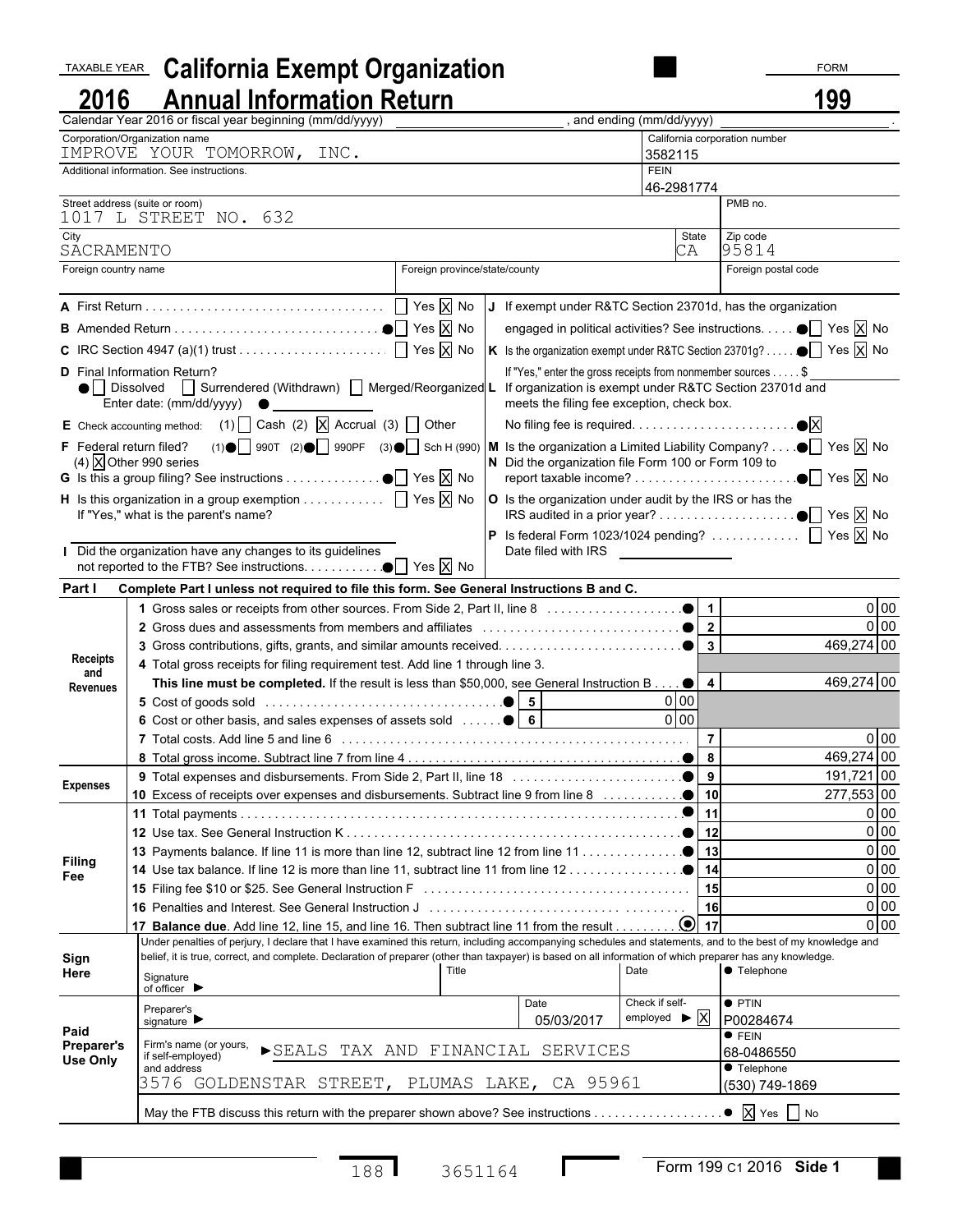# TAXABLE YEAR **California Exempt Organization** FORM **TAXABLE YEAR** California Exempt Organization **2016 Annual Information Return 199**

|                        | Calendar Year 2016 or fiscal year beginning (mm/dd/yyyy)                                                                                                                        | , and ending (mm/dd/yyyy)                                                                             |                                                                                               |  |  |  |
|------------------------|---------------------------------------------------------------------------------------------------------------------------------------------------------------------------------|-------------------------------------------------------------------------------------------------------|-----------------------------------------------------------------------------------------------|--|--|--|
|                        | Corporation/Organization name                                                                                                                                                   |                                                                                                       | California corporation number                                                                 |  |  |  |
|                        | IMPROVE YOUR TOMORROW, INC.<br>Additional information. See instructions.                                                                                                        | 3582115<br><b>FEIN</b>                                                                                |                                                                                               |  |  |  |
|                        |                                                                                                                                                                                 | 46-2981774                                                                                            |                                                                                               |  |  |  |
|                        | Street address (suite or room)<br>1017 L STREET NO. 632                                                                                                                         |                                                                                                       | PMB no.                                                                                       |  |  |  |
| City<br>SACRAMENTO     |                                                                                                                                                                                 | State<br>CA                                                                                           | Zip code<br>95814                                                                             |  |  |  |
| Foreign country name   | Foreign province/state/county                                                                                                                                                   |                                                                                                       | Foreign postal code                                                                           |  |  |  |
|                        |                                                                                                                                                                                 |                                                                                                       |                                                                                               |  |  |  |
|                        |                                                                                                                                                                                 | If exempt under R&TC Section 23701d, has the organization                                             |                                                                                               |  |  |  |
|                        |                                                                                                                                                                                 |                                                                                                       | engaged in political activities? See instructions. $\bullet$ $\bullet$ Yes $\overline{X}$ No  |  |  |  |
|                        |                                                                                                                                                                                 |                                                                                                       | Is the organization exempt under R&TC Section 23701g? $\bullet \bullet$ Yes $\overline{X}$ No |  |  |  |
|                        | D Final Information Return?                                                                                                                                                     | If "Yes," enter the gross receipts from nonmember sources \$                                          |                                                                                               |  |  |  |
|                        | ● Dissolved   Surrendered (Withdrawn)   Merged/Reorganized L<br>Enter date: $(mm/dd/yyyy)$                                                                                      | If organization is exempt under R&TC Section 23701d and<br>meets the filing fee exception, check box. |                                                                                               |  |  |  |
|                        | E Check accounting method: $(1)$ Cash (2) $\boxed{\times}$ Accrual (3) $\boxed{\phantom{1}}$ Other                                                                              |                                                                                                       | $\bullet$                                                                                     |  |  |  |
|                        | F Federal return filed? (1) $\bigcirc$ 990T (2) $\bigcirc$ 990PF (3) $\bigcirc$ Sch H (990)   M Is the organization a Limited Liability Company?<br>$(4)$ X Other 990 series    | N Did the organization file Form 100 or Form 109 to                                                   | $\bullet$ Yes $\overline{X}$ No                                                               |  |  |  |
|                        | <b>H</b> Is this organization in a group exemption $\Box$ Yes $\overline{X}$ No<br>If "Yes," what is the parent's name?                                                         | <b>O</b> Is the organization under audit by the IRS or has the                                        |                                                                                               |  |  |  |
|                        | Did the organization have any changes to its guidelines                                                                                                                         | Date filed with IRS <b>CONSUMING THE READER</b>                                                       |                                                                                               |  |  |  |
| Part I                 | Complete Part I unless not required to file this form. See General Instructions B and C.                                                                                        |                                                                                                       |                                                                                               |  |  |  |
|                        |                                                                                                                                                                                 |                                                                                                       | 0 <sub>0</sub>                                                                                |  |  |  |
|                        |                                                                                                                                                                                 |                                                                                                       | 0 00                                                                                          |  |  |  |
|                        |                                                                                                                                                                                 |                                                                                                       | 469,274 00                                                                                    |  |  |  |
| <b>Receipts</b><br>and | 4 Total gross receipts for filing requirement test. Add line 1 through line 3.                                                                                                  |                                                                                                       |                                                                                               |  |  |  |
| Revenues               | This line must be completed. If the result is less than \$50,000, see General Instruction B $\bullet$   4                                                                       |                                                                                                       | 469,274 00                                                                                    |  |  |  |
|                        |                                                                                                                                                                                 | 0 00                                                                                                  |                                                                                               |  |  |  |
|                        | 6 Cost or other basis, and sales expenses of assets sold    6                                                                                                                   | 0 00                                                                                                  |                                                                                               |  |  |  |
|                        |                                                                                                                                                                                 |                                                                                                       | 0 00                                                                                          |  |  |  |
|                        |                                                                                                                                                                                 |                                                                                                       | 469,274 00                                                                                    |  |  |  |
| <b>Expenses</b>        |                                                                                                                                                                                 |                                                                                                       | 191,721 00                                                                                    |  |  |  |
|                        |                                                                                                                                                                                 |                                                                                                       | 277,553 00                                                                                    |  |  |  |
|                        |                                                                                                                                                                                 |                                                                                                       | $0\,00$<br>0 <sub>0</sub>                                                                     |  |  |  |
|                        |                                                                                                                                                                                 |                                                                                                       | 0 <sub>0</sub>                                                                                |  |  |  |
| <b>Filing</b>          |                                                                                                                                                                                 |                                                                                                       | 0 <sub>0</sub>                                                                                |  |  |  |
| Fee                    |                                                                                                                                                                                 |                                                                                                       | 0 <sub>0</sub>                                                                                |  |  |  |
|                        |                                                                                                                                                                                 | 16                                                                                                    | 0 <sub>0</sub>                                                                                |  |  |  |
|                        |                                                                                                                                                                                 |                                                                                                       | 0 <sub>0</sub>                                                                                |  |  |  |
|                        | Under penalties of perjury, I declare that I have examined this return, including accompanying schedules and statements, and to the best of my knowledge and                    |                                                                                                       |                                                                                               |  |  |  |
| Sign<br>Here           | belief, it is true, correct, and complete. Declaration of preparer (other than taxpayer) is based on all information of which preparer has any knowledge.<br>Title<br>Signature | Date                                                                                                  | $\bullet$ Telephone                                                                           |  |  |  |
|                        | of officer $\blacktriangleright$<br>Date<br>Preparer's<br>signature $\blacktriangleright$                                                                                       | Check if self-<br>employed $\blacktriangleright$ $\overline{X}$<br>05/03/2017                         | <b>•</b> PTIN<br>P00284674                                                                    |  |  |  |
| Paid                   |                                                                                                                                                                                 |                                                                                                       | $\bullet$ FEIN                                                                                |  |  |  |
| Preparer's<br>Use Only | Firm's name (or yours,<br>SEALS TAX AND FINANCIAL SERVICES<br>if self-employed)                                                                                                 |                                                                                                       | 68-0486550                                                                                    |  |  |  |
|                        | and address                                                                                                                                                                     |                                                                                                       | • Telephone                                                                                   |  |  |  |
|                        | 3576 GOLDENSTAR STREET, PLUMAS LAKE, CA 95961                                                                                                                                   |                                                                                                       | (530) 749-1869                                                                                |  |  |  |
|                        |                                                                                                                                                                                 |                                                                                                       |                                                                                               |  |  |  |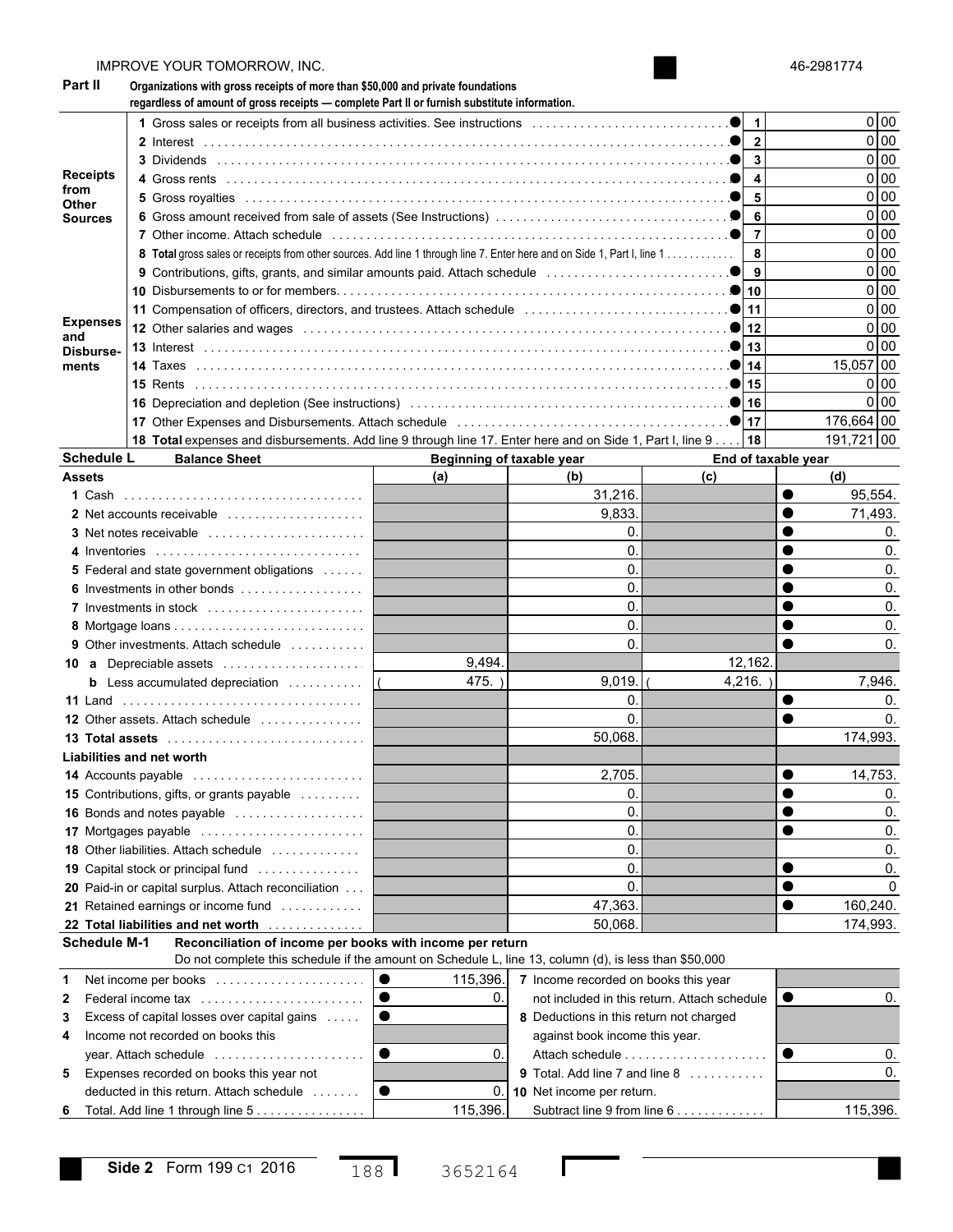| Part II       |                     | Organizations with gross receipts of more than \$50,000 and private foundations<br>regardless of amount of gross receipts - complete Part II or furnish substitute information.                                               |                       |                                              |              |                         |              |
|---------------|---------------------|-------------------------------------------------------------------------------------------------------------------------------------------------------------------------------------------------------------------------------|-----------------------|----------------------------------------------|--------------|-------------------------|--------------|
|               |                     |                                                                                                                                                                                                                               |                       |                                              |              | 1                       | 0 00         |
|               |                     |                                                                                                                                                                                                                               |                       |                                              |              | $\mathbf{2}$            | 0 00         |
|               |                     |                                                                                                                                                                                                                               |                       |                                              |              | 3                       | 0 00         |
|               | <b>Receipts</b>     |                                                                                                                                                                                                                               |                       |                                              |              | $\overline{\mathbf{4}}$ | 0 00         |
| from          |                     |                                                                                                                                                                                                                               |                       |                                              |              | 5                       | 0 00         |
| <b>Other</b>  | <b>Sources</b>      |                                                                                                                                                                                                                               |                       |                                              |              | 6                       | 0 00         |
|               |                     |                                                                                                                                                                                                                               |                       |                                              |              | $\overline{7}$          | 0 00         |
|               |                     | 8 Total gross sales or receipts from other sources. Add line 1 through line 7. Enter here and on Side 1, Part I, line 1                                                                                                       |                       |                                              |              | 8                       | 0 00         |
|               |                     | 9 Contributions, gifts, grants, and similar amounts paid. Attach schedule entitled and contributions, gifts, grants, and similar amounts paid. Attach schedule entitled and contributions, gifts,                             |                       |                                              |              | 9                       | 0 00         |
|               |                     |                                                                                                                                                                                                                               |                       |                                              |              | 10                      | 0 00         |
|               |                     |                                                                                                                                                                                                                               |                       |                                              |              | 11                      | 0 00         |
|               | <b>Expenses</b>     | 12 Other salaries and wages influences in the contract of the contract of the contract of the contract of the contract of the contract of the contract of the contract of the contract of the contract of the contract of the |                       |                                              |              | 12                      | 0 00         |
| and           | Disburse-           |                                                                                                                                                                                                                               |                       |                                              |              | 13                      | 0 00         |
| ments         |                     |                                                                                                                                                                                                                               |                       |                                              |              | 14                      | 15,057 00    |
|               |                     | 15 Rents …………………………………………………………………………………………●                                                                                                                                                                                  |                       |                                              |              | 15                      | 0 00         |
|               |                     |                                                                                                                                                                                                                               |                       |                                              |              | 16                      | 0 00         |
|               |                     |                                                                                                                                                                                                                               |                       |                                              | $\bullet$ 17 |                         | 176,664 00   |
|               |                     | 18 Total expenses and disbursements. Add line 9 through line 17. Enter here and on Side 1, Part I, line 9                                                                                                                     |                       |                                              |              | 18                      | 191,721 00   |
|               | <b>Schedule L</b>   | <b>Balance Sheet</b>                                                                                                                                                                                                          |                       | Beginning of taxable year                    |              | End of taxable year     |              |
| <b>Assets</b> |                     |                                                                                                                                                                                                                               | (a)                   | (b)                                          | (c)          |                         | (d)          |
|               |                     | 1 Cash                                                                                                                                                                                                                        |                       | 31,216.                                      |              |                         | 95,554.      |
|               |                     | 2 Net accounts receivable                                                                                                                                                                                                     |                       | 9,833                                        |              | ●                       | 71,493.      |
|               |                     | 3 Net notes receivable                                                                                                                                                                                                        |                       | 0.                                           |              |                         | 0.           |
|               |                     | 4 Inventories                                                                                                                                                                                                                 |                       | 0.                                           |              |                         | 0.           |
|               |                     | 5 Federal and state government obligations                                                                                                                                                                                    |                       | $\mathbf{0}$                                 |              |                         | 0.           |
|               |                     | 6 Investments in other bonds                                                                                                                                                                                                  |                       | $\mathbf{0}$                                 |              |                         | 0.           |
|               |                     | 7 Investments in stock                                                                                                                                                                                                        |                       | $\mathbf{0}$                                 |              |                         | 0.           |
|               |                     |                                                                                                                                                                                                                               |                       | $\mathbf{0}$                                 |              |                         | 0.           |
|               |                     | <b>9</b> Other investments. Attach schedule                                                                                                                                                                                   |                       | $\mathbf{0}$                                 |              | ●                       | 0.           |
| 10            |                     | a Depreciable assets                                                                                                                                                                                                          | 9,494.                |                                              | 12,162       |                         |              |
|               |                     | <b>b</b> Less accumulated depreciation                                                                                                                                                                                        | $475.$ )              | 9,019.                                       | $4,216.$ )   |                         | 7,946.       |
|               |                     |                                                                                                                                                                                                                               |                       | 0.                                           |              |                         | 0.           |
|               |                     | <b>12</b> Other assets. Attach schedule                                                                                                                                                                                       |                       | $\mathbf{0}$                                 |              | 0                       | $\mathbf{0}$ |
|               |                     |                                                                                                                                                                                                                               |                       | 50,068                                       |              |                         | 174,993.     |
|               |                     | Liabilities and net worth                                                                                                                                                                                                     |                       |                                              |              |                         |              |
|               |                     | 14 Accounts payable                                                                                                                                                                                                           |                       | 2,705.                                       |              |                         | 14,753.      |
|               |                     | <b>15</b> Contributions, gifts, or grants payable                                                                                                                                                                             |                       | 0.                                           |              | 0                       | 0.           |
|               |                     | 16 Bonds and notes payable                                                                                                                                                                                                    |                       | 0.                                           |              |                         | 0.           |
|               |                     | 17 Mortgages payable                                                                                                                                                                                                          |                       | 0.                                           |              |                         | 0.           |
|               |                     | 18 Other liabilities. Attach schedule                                                                                                                                                                                         |                       | 0.                                           |              |                         | 0.           |
|               |                     | 19 Capital stock or principal fund                                                                                                                                                                                            |                       | 0.                                           |              |                         | 0.           |
|               |                     | 20 Paid-in or capital surplus. Attach reconciliation                                                                                                                                                                          |                       | 0.                                           |              |                         | 0            |
|               |                     | 21 Retained earnings or income fund                                                                                                                                                                                           |                       | 47,363                                       |              | $\bullet$               | 160,240.     |
|               |                     | 22 Total liabilities and net worth                                                                                                                                                                                            |                       | 50,068                                       |              |                         | 174,993.     |
|               | <b>Schedule M-1</b> | Reconciliation of income per books with income per return                                                                                                                                                                     |                       |                                              |              |                         |              |
|               |                     | Do not complete this schedule if the amount on Schedule L, line 13, column (d), is less than \$50,000                                                                                                                         |                       |                                              |              |                         |              |
| 1             |                     | Net income per books                                                                                                                                                                                                          | $\bullet$<br>115,396. | 7 Income recorded on books this year         |              |                         |              |
| 2             |                     | Federal income tax                                                                                                                                                                                                            | $\bullet$<br>0.       | not included in this return. Attach schedule |              | ●                       | 0.           |
| 3             |                     | Excess of capital losses over capital gains                                                                                                                                                                                   | ●                     | 8 Deductions in this return not charged      |              |                         |              |
| 4             |                     | Income not recorded on books this                                                                                                                                                                                             |                       | against book income this year.               |              |                         |              |
|               |                     | year. Attach schedule                                                                                                                                                                                                         | 0.<br>$\bullet$       |                                              |              | ●                       | 0.           |
| 5             |                     | Expenses recorded on books this year not                                                                                                                                                                                      |                       | 9 Total. Add line 7 and line 8               |              |                         | 0.           |
|               |                     | deducted in this return. Attach schedule                                                                                                                                                                                      | 0.                    | 10 Net income per return.                    |              |                         |              |
| 6             |                     | Total. Add line 1 through line 5                                                                                                                                                                                              | 115,396.              | Subtract line 9 from line 6                  |              |                         | 115,396.     |

46-2981774

IMPROVE YOUR TOMORROW, INC.

 $\Gamma$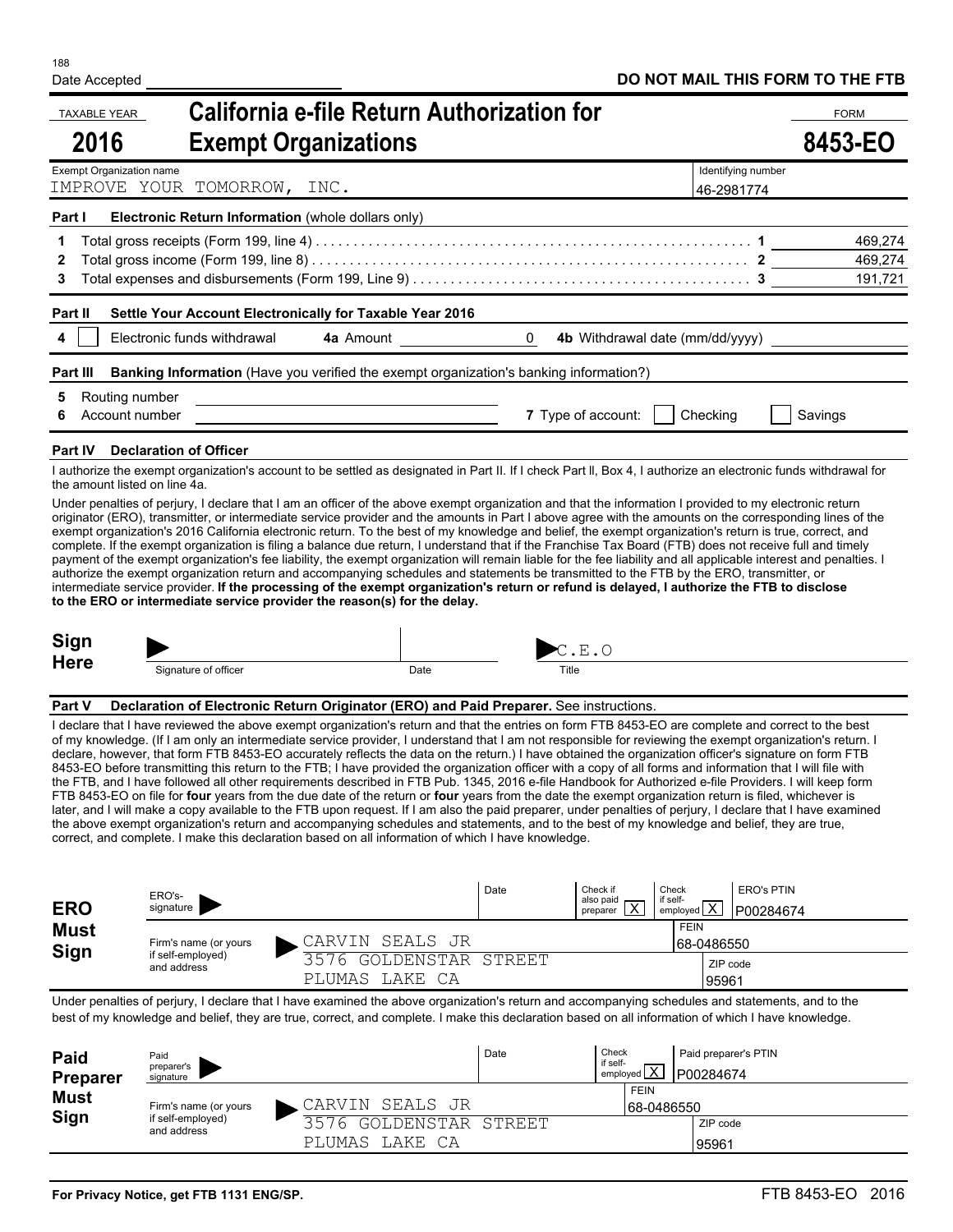| <b>TAXABLE YEAR</b>                   |                                                           | <b>California e-file Return Authorization for</b>                                                                                                                                                                                                                                                                                                                                                                                                                                                                                                                                                                                                                                                                                                                                                                                                                                                                                                                                                                                                                                                                                                                                                                                                                                                                                                                               |      |                                                     |                                                |                                   |                                | <b>FORM</b>                   |
|---------------------------------------|-----------------------------------------------------------|---------------------------------------------------------------------------------------------------------------------------------------------------------------------------------------------------------------------------------------------------------------------------------------------------------------------------------------------------------------------------------------------------------------------------------------------------------------------------------------------------------------------------------------------------------------------------------------------------------------------------------------------------------------------------------------------------------------------------------------------------------------------------------------------------------------------------------------------------------------------------------------------------------------------------------------------------------------------------------------------------------------------------------------------------------------------------------------------------------------------------------------------------------------------------------------------------------------------------------------------------------------------------------------------------------------------------------------------------------------------------------|------|-----------------------------------------------------|------------------------------------------------|-----------------------------------|--------------------------------|-------------------------------|
| 2016                                  |                                                           | <b>Exempt Organizations</b>                                                                                                                                                                                                                                                                                                                                                                                                                                                                                                                                                                                                                                                                                                                                                                                                                                                                                                                                                                                                                                                                                                                                                                                                                                                                                                                                                     |      |                                                     |                                                |                                   |                                | 8453-EO                       |
| Exempt Organization name              | IMPROVE YOUR TOMORROW, INC.                               |                                                                                                                                                                                                                                                                                                                                                                                                                                                                                                                                                                                                                                                                                                                                                                                                                                                                                                                                                                                                                                                                                                                                                                                                                                                                                                                                                                                 |      |                                                     |                                                | Identifying number<br>46-2981774  |                                |                               |
| Part I                                |                                                           | Electronic Return Information (whole dollars only)                                                                                                                                                                                                                                                                                                                                                                                                                                                                                                                                                                                                                                                                                                                                                                                                                                                                                                                                                                                                                                                                                                                                                                                                                                                                                                                              |      |                                                     |                                                |                                   |                                |                               |
| $\mathbf 1$<br>2<br>3                 |                                                           |                                                                                                                                                                                                                                                                                                                                                                                                                                                                                                                                                                                                                                                                                                                                                                                                                                                                                                                                                                                                                                                                                                                                                                                                                                                                                                                                                                                 |      |                                                     |                                                |                                   |                                | 469,274<br>469,274<br>191,721 |
| Part II                               |                                                           | Settle Your Account Electronically for Taxable Year 2016                                                                                                                                                                                                                                                                                                                                                                                                                                                                                                                                                                                                                                                                                                                                                                                                                                                                                                                                                                                                                                                                                                                                                                                                                                                                                                                        |      |                                                     |                                                |                                   |                                |                               |
| 4                                     | Electronic funds withdrawal                               |                                                                                                                                                                                                                                                                                                                                                                                                                                                                                                                                                                                                                                                                                                                                                                                                                                                                                                                                                                                                                                                                                                                                                                                                                                                                                                                                                                                 |      | 0 4b Withdrawal date (mm/dd/yyyy)                   |                                                |                                   |                                |                               |
| Part III                              |                                                           | Banking Information (Have you verified the exempt organization's banking information?)                                                                                                                                                                                                                                                                                                                                                                                                                                                                                                                                                                                                                                                                                                                                                                                                                                                                                                                                                                                                                                                                                                                                                                                                                                                                                          |      |                                                     |                                                |                                   |                                |                               |
| Routing number<br>5<br>Account number |                                                           | <u>and the state of the state of the state of the state of the state of the state of the state of the state of th</u>                                                                                                                                                                                                                                                                                                                                                                                                                                                                                                                                                                                                                                                                                                                                                                                                                                                                                                                                                                                                                                                                                                                                                                                                                                                           |      | 7 Type of account:                                  |                                                | Checking                          |                                | Savings                       |
|                                       | Part IV Declaration of Officer                            |                                                                                                                                                                                                                                                                                                                                                                                                                                                                                                                                                                                                                                                                                                                                                                                                                                                                                                                                                                                                                                                                                                                                                                                                                                                                                                                                                                                 |      |                                                     |                                                |                                   |                                |                               |
| the amount listed on line 4a.         |                                                           | I authorize the exempt organization's account to be settled as designated in Part II. If I check Part II, Box 4, I authorize an electronic funds withdrawal for                                                                                                                                                                                                                                                                                                                                                                                                                                                                                                                                                                                                                                                                                                                                                                                                                                                                                                                                                                                                                                                                                                                                                                                                                 |      |                                                     |                                                |                                   |                                |                               |
| <b>Sign</b>                           |                                                           | payment of the exempt organization's fee liability, the exempt organization will remain liable for the fee liability and all applicable interest and penalties. I<br>authorize the exempt organization return and accompanying schedules and statements be transmitted to the FTB by the ERO, transmitter, or<br>intermediate service provider. If the processing of the exempt organization's return or refund is delayed, I authorize the FTB to disclose<br>to the ERO or intermediate service provider the reason(s) for the delay.                                                                                                                                                                                                                                                                                                                                                                                                                                                                                                                                                                                                                                                                                                                                                                                                                                         |      | $\mathcal{C}$ .E.O                                  |                                                |                                   |                                |                               |
| <b>Here</b>                           | Signature of officer                                      | Date                                                                                                                                                                                                                                                                                                                                                                                                                                                                                                                                                                                                                                                                                                                                                                                                                                                                                                                                                                                                                                                                                                                                                                                                                                                                                                                                                                            |      |                                                     |                                                |                                   |                                |                               |
| Part V                                |                                                           | Declaration of Electronic Return Originator (ERO) and Paid Preparer. See instructions.                                                                                                                                                                                                                                                                                                                                                                                                                                                                                                                                                                                                                                                                                                                                                                                                                                                                                                                                                                                                                                                                                                                                                                                                                                                                                          |      |                                                     |                                                |                                   |                                |                               |
|                                       |                                                           | I declare that I have reviewed the above exempt organization's return and that the entries on form FTB 8453-EO are complete and correct to the best<br>of my knowledge. (If I am only an intermediate service provider, I understand that I am not responsible for reviewing the exempt organization's return. I<br>declare, however, that form FTB 8453-EO accurately reflects the data on the return.) I have obtained the organization officer's signature on form FTB<br>8453-EO before transmitting this return to the FTB; I have provided the organization officer with a copy of all forms and information that I will file with<br>the FTB, and I have followed all other requirements described in FTB Pub. 1345, 2016 e-file Handbook for Authorized e-file Providers. I will keep form<br>FTB 8453-EO on file for four years from the due date of the return or four years from the date the exempt organization return is filed, whichever is<br>later, and I will make a copy available to the FTB upon request. If I am also the paid preparer, under penalties of perjury, I declare that I have examined<br>the above exempt organization's return and accompanying schedules and statements, and to the best of my knowledge and belief, they are true,<br>correct, and complete. I make this declaration based on all information of which I have knowledge. |      |                                                     |                                                |                                   |                                |                               |
| <b>ERO</b>                            | ERO's-<br>signature                                       |                                                                                                                                                                                                                                                                                                                                                                                                                                                                                                                                                                                                                                                                                                                                                                                                                                                                                                                                                                                                                                                                                                                                                                                                                                                                                                                                                                                 | Date | Check if<br>also paid<br>$\frac{1}{2}$ preparer $X$ | Check<br>if self-<br>$emploved$ $\overline{X}$ |                                   | <b>ERO's PTIN</b><br>P00284674 |                               |
| <b>Must</b><br><b>Sign</b>            | Firm's name (or yours<br>if self-employed)<br>and address | CARVIN SEALS JR<br>3576 GOLDENSTAR STREET<br>PLUMAS LAKE CA                                                                                                                                                                                                                                                                                                                                                                                                                                                                                                                                                                                                                                                                                                                                                                                                                                                                                                                                                                                                                                                                                                                                                                                                                                                                                                                     |      |                                                     | <b>FEIN</b>                                    | 68-0486550<br>ZIP code<br>95961   |                                |                               |
|                                       |                                                           | Under penalties of perjury, I declare that I have examined the above organization's return and accompanying schedules and statements, and to the<br>best of my knowledge and belief, they are true, correct, and complete. I make this declaration based on all information of which I have knowledge.                                                                                                                                                                                                                                                                                                                                                                                                                                                                                                                                                                                                                                                                                                                                                                                                                                                                                                                                                                                                                                                                          |      |                                                     |                                                |                                   |                                |                               |
| Paid<br><b>Preparer</b>               | Paid<br>preparer's<br>signature                           |                                                                                                                                                                                                                                                                                                                                                                                                                                                                                                                                                                                                                                                                                                                                                                                                                                                                                                                                                                                                                                                                                                                                                                                                                                                                                                                                                                                 | Date | Check<br>if self-<br>$emploved$ $\overline{X}$      |                                                | Paid preparer's PTIN<br>P00284674 |                                |                               |
| <b>Must</b>                           | Firm's name (or yours                                     | CARVIN SEALS JR                                                                                                                                                                                                                                                                                                                                                                                                                                                                                                                                                                                                                                                                                                                                                                                                                                                                                                                                                                                                                                                                                                                                                                                                                                                                                                                                                                 |      | <b>FEIN</b>                                         | 68-0486550                                     |                                   |                                |                               |
| Sign                                  | if self-employed)<br>and address                          | 3576 GOLDENSTAR STREET<br>PLUMAS LAKE CA                                                                                                                                                                                                                                                                                                                                                                                                                                                                                                                                                                                                                                                                                                                                                                                                                                                                                                                                                                                                                                                                                                                                                                                                                                                                                                                                        |      |                                                     |                                                | ZIP code<br>95961                 |                                |                               |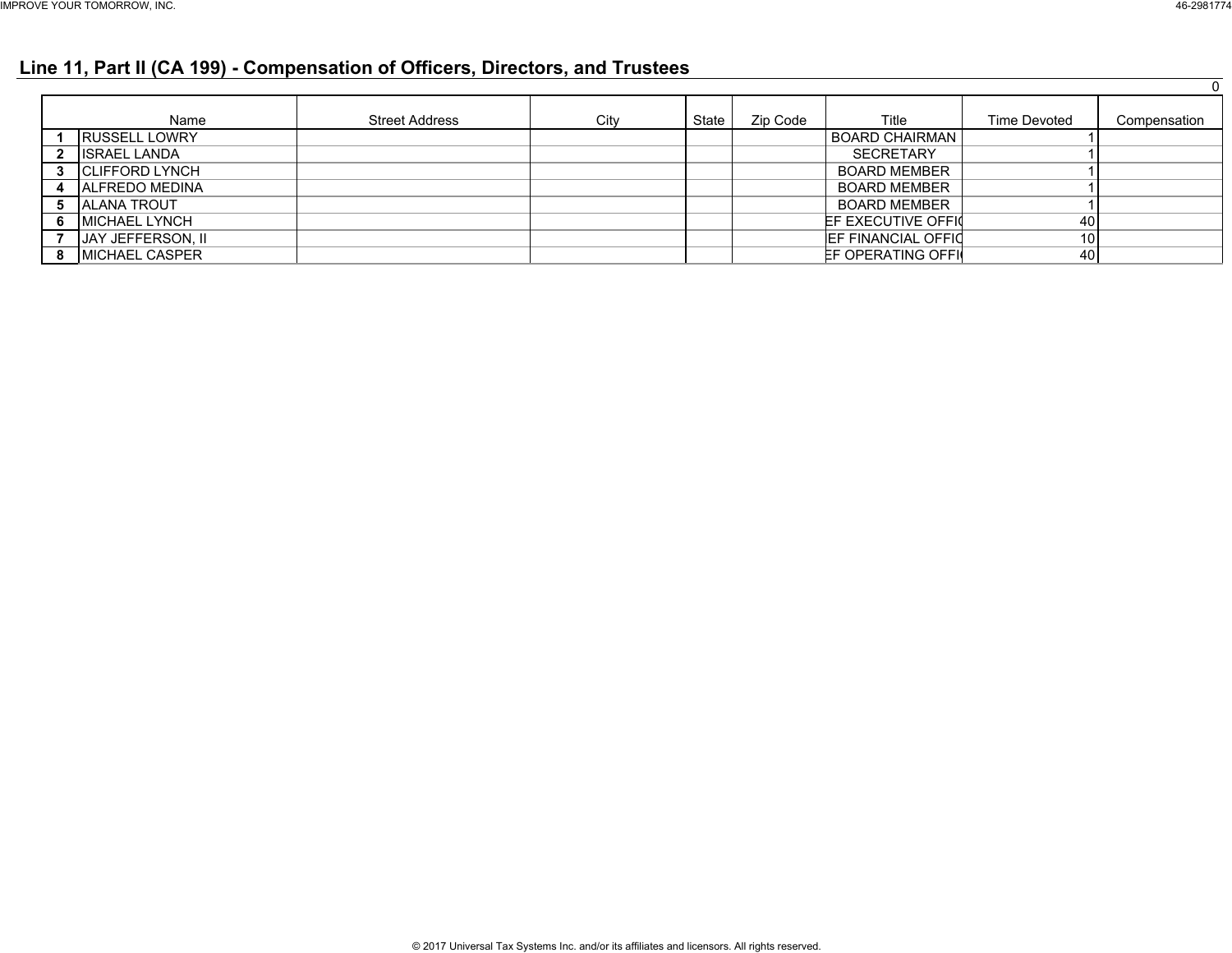## **Line 11, Part II (CA 199) - Compensation of Officers, Directors, and Trustees**

|   | Name                   | <b>Street Address</b> | City | State | Zip Code | Title                      | Time Devoted | Compensation |
|---|------------------------|-----------------------|------|-------|----------|----------------------------|--------------|--------------|
|   | <b>IRUSSELL LOWRY</b>  |                       |      |       |          | <b>BOARD CHAIRMAN</b>      |              |              |
| 2 | <b>ISRAEL LANDA</b>    |                       |      |       |          | <b>SECRETARY</b>           |              |              |
| 3 | <b>CLIFFORD LYNCH</b>  |                       |      |       |          | <b>BOARD MEMBER</b>        |              |              |
|   | <b>ALFREDO MEDINA</b>  |                       |      |       |          | <b>BOARD MEMBER</b>        |              |              |
| 5 | <b>ALANA TROUT</b>     |                       |      |       |          | <b>BOARD MEMBER</b>        |              |              |
| 6 | <b>IMICHAEL LYNCH</b>  |                       |      |       |          | EF EXECUTIVE OFFIC         | 40           |              |
|   | JAY JEFFERSON, II      |                       |      |       |          | <b>IEF FINANCIAL OFFIC</b> | 10           |              |
| 8 | <b>IMICHAEL CASPER</b> |                       |      |       |          | EF OPERATING OFFI          | 40           |              |